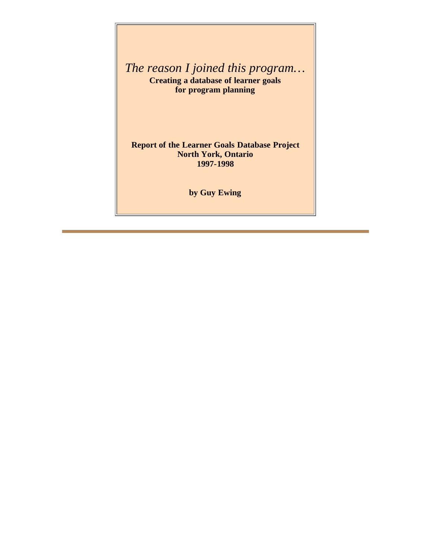*The reason I joined this program…* **Creating a database of learner goals for program planning**

**Report of the Learner Goals Database Project North York, Ontario 1997-1998**

**by Guy Ewing**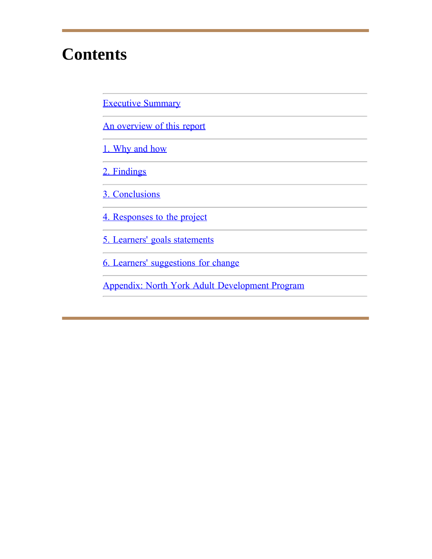# **Contents**

[Executive Summary](#page-3-0) [An overview of this report](#page-4-0) [1. Why and how](#page-5-0) [2. Findings](#page-19-0) [3. Conclusions](#page-40-0) [4. Responses to the project](#page-52-0) [5. Learners' goals statements](#page-57-0) [6. Learners' suggestions for change](#page-99-0) [Appendix: North York Adult Development Program](#page-122-0)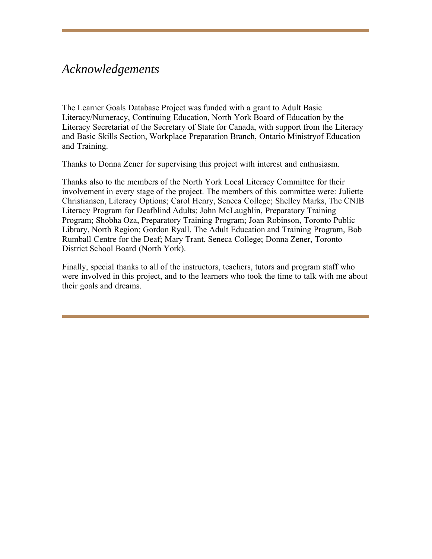#### *Acknowledgements*

The Learner Goals Database Project was funded with a grant to Adult Basic Literacy/Numeracy, Continuing Education, North York Board of Education by the Literacy Secretariat of the Secretary of State for Canada, with support from the Literacy and Basic Skills Section, Workplace Preparation Branch, Ontario Ministryof Education and Training.

Thanks to Donna Zener for supervising this project with interest and enthusiasm.

Thanks also to the members of the North York Local Literacy Committee for their involvement in every stage of the project. The members of this committee were: Juliette Christiansen, Literacy Options; Carol Henry, Seneca College; Shelley Marks, The CNIB Literacy Program for Deafblind Adults; John McLaughlin, Preparatory Training Program; Shobha Oza, Preparatory Training Program; Joan Robinson, Toronto Public Library, North Region; Gordon Ryall, The Adult Education and Training Program, Bob Rumball Centre for the Deaf; Mary Trant, Seneca College; Donna Zener, Toronto District School Board (North York).

Finally, special thanks to all of the instructors, teachers, tutors and program staff who were involved in this project, and to the learners who took the time to talk with me about their goals and dreams.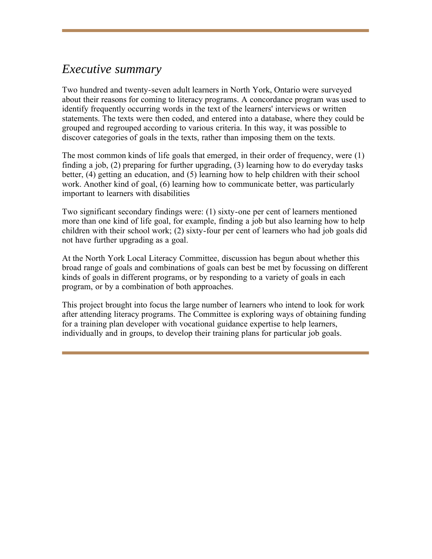### <span id="page-3-0"></span>*Executive summary*

Two hundred and twenty-seven adult learners in North York, Ontario were surveyed about their reasons for coming to literacy programs. A concordance program was used to identify frequently occurring words in the text of the learners' interviews or written statements. The texts were then coded, and entered into a database, where they could be grouped and regrouped according to various criteria. In this way, it was possible to discover categories of goals in the texts, rather than imposing them on the texts.

The most common kinds of life goals that emerged, in their order of frequency, were (1) finding a job, (2) preparing for further upgrading, (3) learning how to do everyday tasks better, (4) getting an education, and (5) learning how to help children with their school work. Another kind of goal, (6) learning how to communicate better, was particularly important to learners with disabilities

Two significant secondary findings were: (1) sixty-one per cent of learners mentioned more than one kind of life goal, for example, finding a job but also learning how to help children with their school work; (2) sixty-four per cent of learners who had job goals did not have further upgrading as a goal.

At the North York Local Literacy Committee, discussion has begun about whether this broad range of goals and combinations of goals can best be met by focussing on different kinds of goals in different programs, or by responding to a variety of goals in each program, or by a combination of both approaches.

This project brought into focus the large number of learners who intend to look for work after attending literacy programs. The Committee is exploring ways of obtaining funding for a training plan developer with vocational guidance expertise to help learners, individually and in groups, to develop their training plans for particular job goals.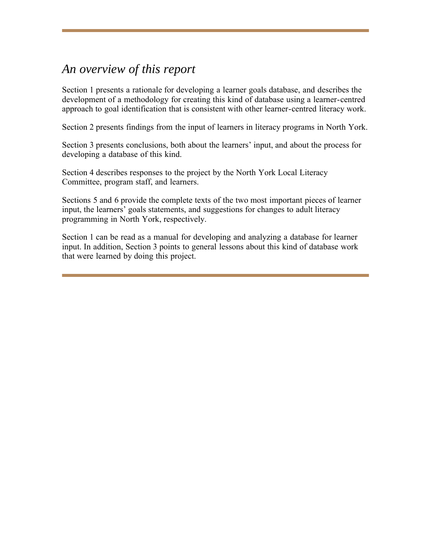### <span id="page-4-0"></span>*An overview of this report*

Section 1 presents a rationale for developing a learner goals database, and describes the development of a methodology for creating this kind of database using a learner-centred approach to goal identification that is consistent with other learner-centred literacy work.

Section 2 presents findings from the input of learners in literacy programs in North York.

Section 3 presents conclusions, both about the learners' input, and about the process for developing a database of this kind.

Section 4 describes responses to the project by the North York Local Literacy Committee, program staff, and learners.

Sections 5 and 6 provide the complete texts of the two most important pieces of learner input, the learners' goals statements, and suggestions for changes to adult literacy programming in North York, respectively.

Section 1 can be read as a manual for developing and analyzing a database for learner input. In addition, Section 3 points to general lessons about this kind of database work that were learned by doing this project.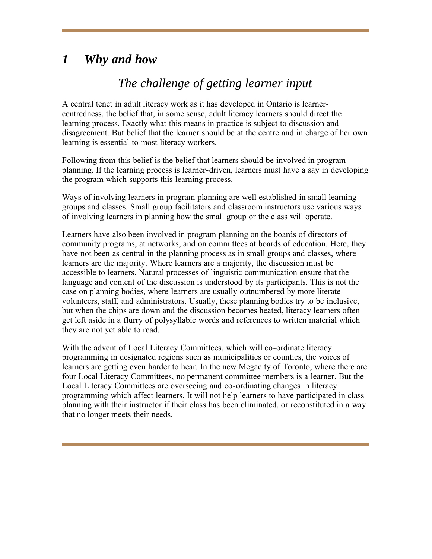## <span id="page-5-0"></span>*1 Why and how*

## *The challenge of getting learner input*

A central tenet in adult literacy work as it has developed in Ontario is learnercentredness, the belief that, in some sense, adult literacy learners should direct the learning process. Exactly what this means in practice is subject to discussion and disagreement. But belief that the learner should be at the centre and in charge of her own learning is essential to most literacy workers.

Following from this belief is the belief that learners should be involved in program planning. If the learning process is learner-driven, learners must have a say in developing the program which supports this learning process.

Ways of involving learners in program planning are well established in small learning groups and classes. Small group facilitators and classroom instructors use various ways of involving learners in planning how the small group or the class will operate.

Learners have also been involved in program planning on the boards of directors of community programs, at networks, and on committees at boards of education. Here, they have not been as central in the planning process as in small groups and classes, where learners are the majority. Where learners are a majority, the discussion must be accessible to learners. Natural processes of linguistic communication ensure that the language and content of the discussion is understood by its participants. This is not the case on planning bodies, where learners are usually outnumbered by more literate volunteers, staff, and administrators. Usually, these planning bodies try to be inclusive, but when the chips are down and the discussion becomes heated, literacy learners often get left aside in a flurry of polysyllabic words and references to written material which they are not yet able to read.

With the advent of Local Literacy Committees, which will co-ordinate literacy programming in designated regions such as municipalities or counties, the voices of learners are getting even harder to hear. In the new Megacity of Toronto, where there are four Local Literacy Committees, no permanent committee members is a learner. But the Local Literacy Committees are overseeing and co-ordinating changes in literacy programming which affect learners. It will not help learners to have participated in class planning with their instructor if their class has been eliminated, or reconstituted in a way that no longer meets their needs.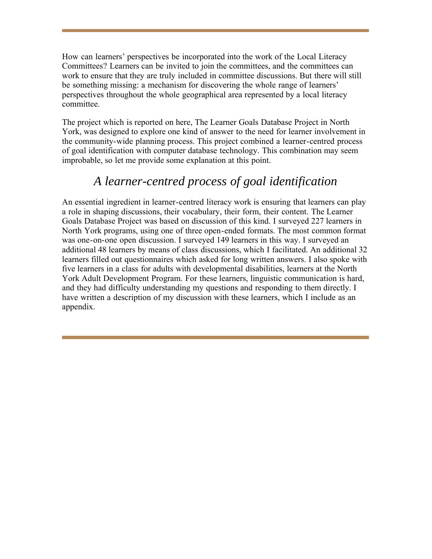How can learners' perspectives be incorporated into the work of the Local Literacy Committees? Learners can be invited to join the committees, and the committees can work to ensure that they are truly included in committee discussions. But there will still be something missing: a mechanism for discovering the whole range of learners' perspectives throughout the whole geographical area represented by a local literacy committee.

The project which is reported on here, The Learner Goals Database Project in North York, was designed to explore one kind of answer to the need for learner involvement in the community-wide planning process. This project combined a learner-centred process of goal identification with computer database technology. This combination may seem improbable, so let me provide some explanation at this point.

### *A learner-centred process of goal identification*

An essential ingredient in learner-centred literacy work is ensuring that learners can play a role in shaping discussions, their vocabulary, their form, their content. The Learner Goals Database Project was based on discussion of this kind. I surveyed 227 learners in North York programs, using one of three open-ended formats. The most common format was one-on-one open discussion. I surveyed 149 learners in this way. I surveyed an additional 48 learners by means of class discussions, which I facilitated. An additional 32 learners filled out questionnaires which asked for long written answers. I also spoke with five learners in a class for adults with developmental disabilities, learners at the North York Adult Development Program. For these learners, linguistic communication is hard, and they had difficulty understanding my questions and responding to them directly. I have written a description of my discussion with these learners, which I include as an appendix.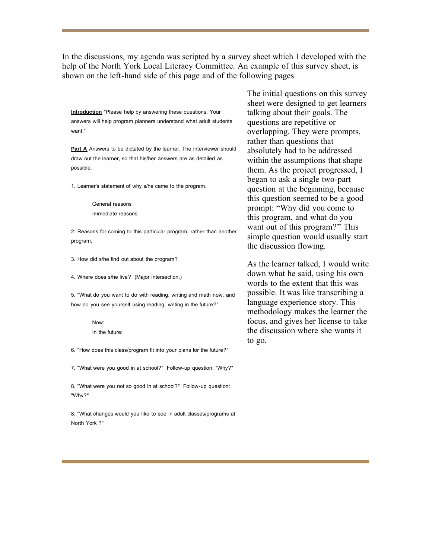In the discussions, my agenda was scripted by a survey sheet which I developed with the help of the North York Local Literacy Committee. An example of this survey sheet, is shown on the left-hand side of this page and of the following pages.

**Introduction** "Please help by answering these questions. Your answers will help program planners understand what adult students want."

**Part A** Answers to be dictated by the learner. The interviewer should draw out the learner, so that his/her answers are as detailed as possible.

1. Learner's statement of why s/he came to the program.

General reasons Immediate reasons

2. Reasons for coming to this particular program, rather than another program.

3. How did s/he find out about the program?

4. Where does s/he live? (Major intersection.)

5. "What do you want to do with reading, writing and math now, and how do you see yourself using reading, writing in the future?"

Now:

In the future:

6. "How does this class/program fit into your plans for the future?"

7. "What were you good in at school?" Follow-up question: "Why?"

8. "What were you not so good in at school?" Follow-up question: "Why?"

8. "What changes would you like to see in adult classes/programs at North York ?"

The initial questions on this survey sheet were designed to get learners talking about their goals. The questions are repetitive or overlapping. They were prompts, rather than questions that absolutely had to be addressed within the assumptions that shape them. As the project progressed, I began to ask a single two-part question at the beginning, because this question seemed to be a good prompt: "Why did you come to this program, and what do you want out of this program?" This simple question would usually start the discussion flowing.

As the learner talked, I would write down what he said, using his own words to the extent that this was possible. It was like transcribing a language experience story. This methodology makes the learner the focus, and gives her license to take the discussion where she wants it to go.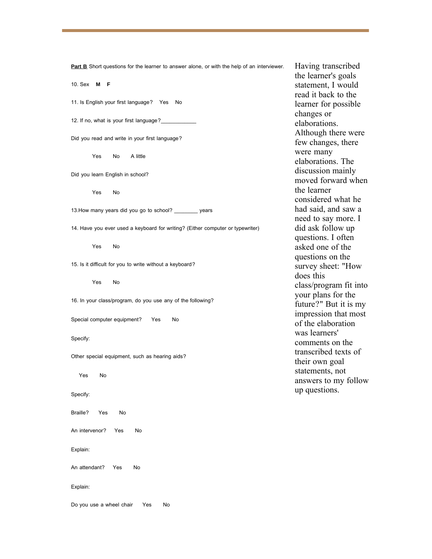| Part B Short questions for the learner to answer alone, or with the help of an interviewer. |
|---------------------------------------------------------------------------------------------|
| 10. Sex<br>Μ<br>F                                                                           |
| 11. Is English your first language? Yes<br>No                                               |
| 12. If no, what is your first language?___                                                  |
| Did you read and write in your first language?                                              |
| A little<br>Yes<br>No                                                                       |
| Did you learn English in school?                                                            |
| Yes<br>No                                                                                   |
| 13. How many years did you go to school? __________ years                                   |
| 14. Have you ever used a keyboard for writing? (Either computer or typewriter)              |
| Yes<br>No                                                                                   |
| 15. Is it difficult for you to write without a keyboard?                                    |
| Yes<br>No                                                                                   |
| 16. In your class/program, do you use any of the following?                                 |
| Special computer equipment?<br>Yes<br>No                                                    |
| Specify:                                                                                    |
| Other special equipment, such as hearing aids?                                              |
| No<br>Yes                                                                                   |
| Specify:                                                                                    |
| Braille?<br>Yes<br>No                                                                       |
| An intervenor?<br>Yes<br>No                                                                 |
| Explain:                                                                                    |
| An attendant?<br>Yes<br>No                                                                  |
| Explain:                                                                                    |
| Do you use a wheel chair<br>Yes<br>No                                                       |

Having transcribed the learner's goals statement, I would read it back to the learner for possible changes or elaborations. Although there were few changes, there were many elaborations. The discussion mainly moved forward when the learner considered what he had said, and saw a need to say more. I did ask follow up questions. I often asked one of the questions on the survey sheet: "How does this class/program fit into your plans for the future?" But it is my impression that most of the elaboration was learners' comments on the transcribed texts of their own goal statements, not answers to my follow up questions.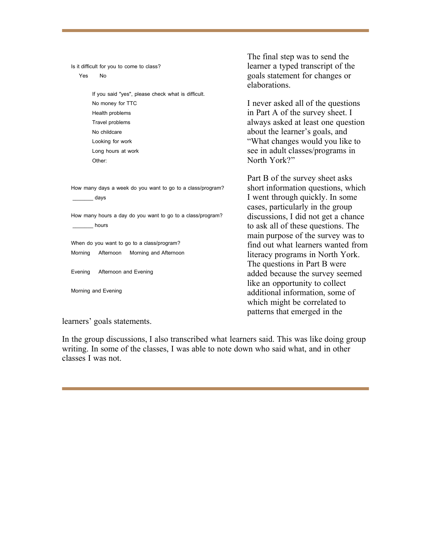Is it difficult for you to come to class?

Yes No

If you said "yes", please check what is difficult. No money for TTC Health problems Travel problems No childcare Looking for work Long hours at work Other:

How many days a week do you want to go to a class/program? \_\_\_\_\_\_\_ days

How many hours a day do you want to go to a class/program? \_\_\_\_\_\_\_ hours

When do you want to go to a class/program? Morning Afternoon Morning and Afternoon

Evening Afternoon and Evening

Morning and Evening

The final step was to send the learner a typed transcript of the goals statement for changes or elaborations.

I never asked all of the questions in Part A of the survey sheet. I always asked at least one question about the learner's goals, and "What changes would you like to see in adult classes/programs in North York?"

Part B of the survey sheet asks short information questions, which I went through quickly. In some cases, particularly in the group discussions, I did not get a chance to ask all of these questions. The main purpose of the survey was to find out what learners wanted from literacy programs in North York. The questions in Part B were added because the survey seemed like an opportunity to collect additional information, some of which might be correlated to patterns that emerged in the

learners' goals statements.

In the group discussions, I also transcribed what learners said. This was like doing group writing. In some of the classes, I was able to note down who said what, and in other classes I was not.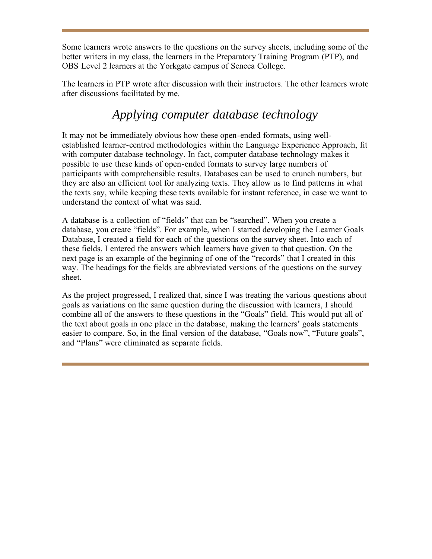Some learners wrote answers to the questions on the survey sheets, including some of the better writers in my class, the learners in the Preparatory Training Program (PTP), and OBS Level 2 learners at the Yorkgate campus of Seneca College.

The learners in PTP wrote after discussion with their instructors. The other learners wrote after discussions facilitated by me.

### *Applying computer database technology*

It may not be immediately obvious how these open-ended formats, using wellestablished learner-centred methodologies within the Language Experience Approach, fit with computer database technology. In fact, computer database technology makes it possible to use these kinds of open-ended formats to survey large numbers of participants with comprehensible results. Databases can be used to crunch numbers, but they are also an efficient tool for analyzing texts. They allow us to find patterns in what the texts say, while keeping these texts available for instant reference, in case we want to understand the context of what was said.

A database is a collection of "fields" that can be "searched". When you create a database, you create "fields". For example, when I started developing the Learner Goals Database, I created a field for each of the questions on the survey sheet. Into each of these fields, I entered the answers which learners have given to that question. On the next page is an example of the beginning of one of the "records" that I created in this way. The headings for the fields are abbreviated versions of the questions on the survey sheet.

As the project progressed, I realized that, since I was treating the various questions about goals as variations on the same question during the discussion with learners, I should combine all of the answers to these questions in the "Goals" field. This would put all of the text about goals in one place in the database, making the learners' goals statements easier to compare. So, in the final version of the database, "Goals now", "Future goals", and "Plans" were eliminated as separate fields.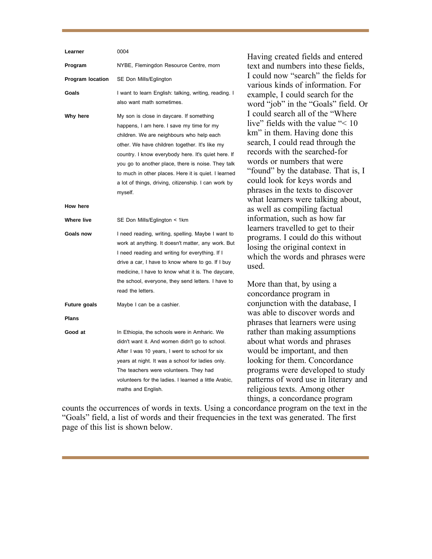| Learner                 | 0004                                                  |                                                                          |
|-------------------------|-------------------------------------------------------|--------------------------------------------------------------------------|
| Program                 | NYBE, Flemingdon Resource Centre, morn                | Having created fields and entered<br>text and numbers into these fields, |
|                         |                                                       | I could now "search" the fields for                                      |
| <b>Program location</b> | SE Don Mills/Eglington                                | various kinds of information. For                                        |
| Goals                   | I want to learn English: talking, writing, reading. I | example, I could search for the                                          |
|                         | also want math sometimes.                             | word "job" in the "Goals" field. Or                                      |
| Why here                | My son is close in daycare. If something              | I could search all of the "Where"                                        |
|                         | happens, I am here. I save my time for my             | live" fields with the value " $\leq 10$                                  |
|                         | children. We are neighbours who help each             | km" in them. Having done this                                            |
|                         | other. We have children together. It's like my        | search, I could read through the                                         |
|                         | country. I know everybody here. It's quiet here. If   | records with the searched-for                                            |
|                         | you go to another place, there is noise. They talk    | words or numbers that were                                               |
|                         | to much in other places. Here it is quiet. I learned  | "found" by the database. That is, I                                      |
|                         | a lot of things, driving, citizenship. I can work by  | could look for keys words and                                            |
|                         | myself.                                               | phrases in the texts to discover                                         |
| How here                |                                                       | what learners were talking about,                                        |
|                         |                                                       | as well as compiling factual                                             |
| <b>Where live</b>       | SE Don Mills/Eglington < 1km                          | information, such as how far                                             |
| <b>Goals now</b>        | I need reading, writing, spelling. Maybe I want to    | learners travelled to get to their                                       |
|                         | work at anything. It doesn't matter, any work. But    | programs. I could do this without                                        |
|                         | I need reading and writing for everything. If I       | losing the original context in                                           |
|                         | drive a car, I have to know where to go. If I buy     | which the words and phrases were                                         |
|                         | medicine, I have to know what it is. The daycare,     | used.                                                                    |
|                         | the school, everyone, they send letters. I have to    |                                                                          |
|                         | read the letters.                                     | More than that, by using a                                               |
|                         |                                                       | concordance program in                                                   |
| Future goals            | Maybe I can be a cashier.                             | conjunction with the database, I<br>was able to discover words and       |
| Plans                   |                                                       | phrases that learners were using                                         |
| Good at                 | In Ethiopia, the schools were in Amharic. We          | rather than making assumptions                                           |
|                         | didn't want it. And women didn't go to school.        | about what words and phrases                                             |
|                         | After I was 10 years, I went to school for six        | would be important, and then                                             |
|                         | years at night. It was a school for ladies only.      | looking for them. Concordance                                            |
|                         | The teachers were volunteers. They had                | programs were developed to study                                         |
|                         | volunteers for the ladies. I learned a little Arabic, | patterns of word use in literary and                                     |
|                         | maths and English.                                    | religious texts. Among other                                             |
|                         |                                                       | things, a concordance program                                            |

counts the occurrences of words in texts. Using a concordance program on the text in the "Goals" field, a list of words and their frequencies in the text was generated. The first page of this list is shown below.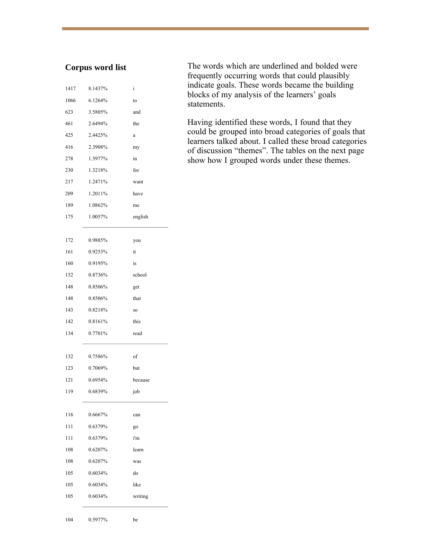#### **Corpus word list**

| 1417 | 8.1437% | i       |
|------|---------|---------|
| 1066 | 6.1264% | to      |
| 623  | 3.5805% | and     |
| 461  | 2.6494% | the     |
| 425  | 2.4425% | a       |
| 416  | 2.3908% | my      |
| 278  | 1.5977% | in      |
| 230  | 1.3218% | for     |
| 217  | 1.2471% | want    |
| 209  | 1.2011% | have    |
| 189  | 1.0862% | me      |
| 175  | 1.0057% | english |
| 172  | 0.9885% | you     |
| 161  | 0.9253% | it      |
| 160  | 0.9195% | is      |
| 152  | 0.8736% | school  |
| 148  | 0.8506% | get     |
| 148  | 0.8506% | that    |
| 143  | 0.8218% | so      |
| 142  | 0.8161% | this    |
| 134  | 0.7701% | read    |
| 132  | 0.7586% | of      |
| 123  | 0.7069% | but     |
| 121  | 0.6954% | because |
| 119  | 0.6839% | job     |
| 116  | 0.6667% | can     |
| 111  | 0.6379% | go      |
| 111  | 0.6379% | i'm     |
| 108  | 0.6207% | learn   |
| 108  | 0.6207% | was     |
| 105  | 0.6034% | do      |
| 105  | 0.6034% | like    |
| 105  | 0.6034% | writing |
| 104  | 0.5977% | be      |

The words which are underlined and bolded were frequently occurring words that could plausibly indicate goals. These words became the building blocks of my analysis of the learners' goals statements.

Having identified these words, I found that they could be grouped into broad categories of goals that learners talked about. I called these broad categories of discussion "themes". The tables on the next page show how I grouped words under these themes.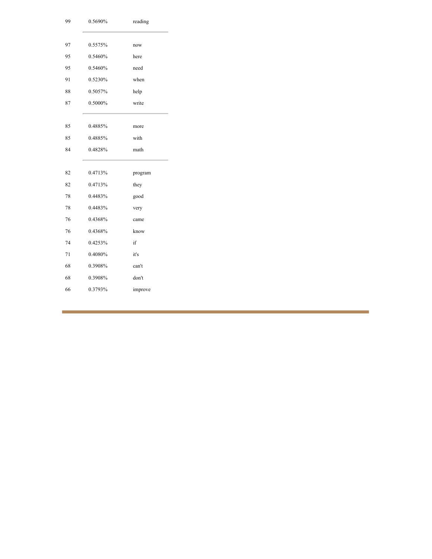| 99 | 0.5690% | reading |  |
|----|---------|---------|--|
|    |         |         |  |
| 97 | 0.5575% | now     |  |
| 95 | 0.5460% | here    |  |
| 95 | 0.5460% | need    |  |
| 91 | 0.5230% | when    |  |
| 88 | 0.5057% | help    |  |
| 87 | 0.5000% | write   |  |
|    |         |         |  |
| 85 | 0.4885% | more    |  |
| 85 | 0.4885% | with    |  |
| 84 | 0.4828% | math    |  |
|    |         |         |  |
| 82 | 0.4713% | program |  |
| 82 | 0.4713% | they    |  |
| 78 | 0.4483% | good    |  |
| 78 | 0.4483% | very    |  |
| 76 | 0.4368% | came    |  |
| 76 | 0.4368% | know    |  |
| 74 | 0.4253% | if      |  |
| 71 | 0.4080% | it's    |  |
| 68 | 0.3908% | can't   |  |
| 68 | 0.3908% | don't   |  |
| 66 |         |         |  |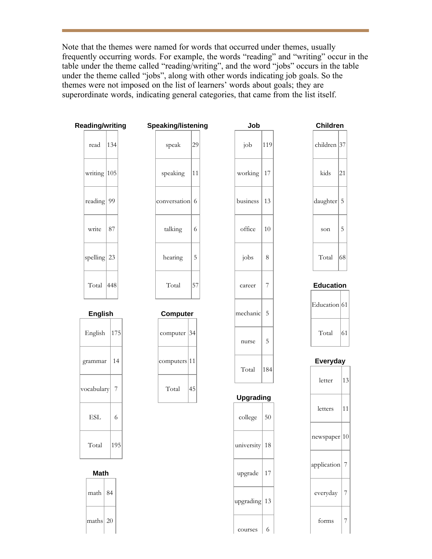Note that the themes were named for words that occurred under themes, usually frequently occurring words. For example, the words "reading" and "writing" occur in the table under the theme called "reading/writing", and the word "jobs" occurs in the table under the theme called "jobs", along with other words indicating job goals. So the themes were not imposed on the list of learners' words about goals; they are superordinate words, indicating general categories, that came from the list itself.

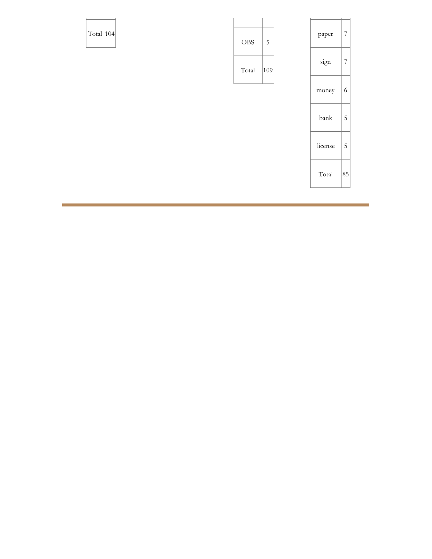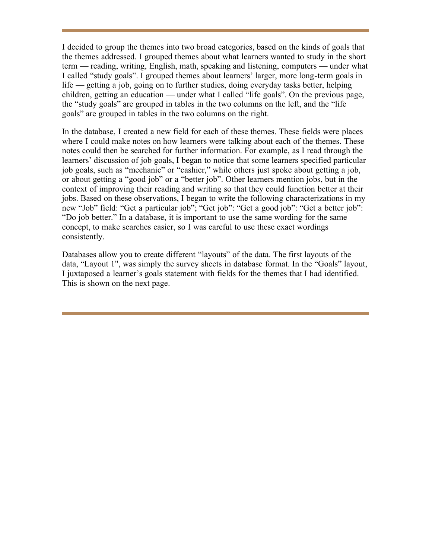I decided to group the themes into two broad categories, based on the kinds of goals that the themes addressed. I grouped themes about what learners wanted to study in the short term — reading, writing, English, math, speaking and listening, computers — under what I called "study goals". I grouped themes about learners' larger, more long-term goals in life — getting a job, going on to further studies, doing everyday tasks better, helping children, getting an education — under what I called "life goals". On the previous page, the "study goals" are grouped in tables in the two columns on the left, and the "life goals" are grouped in tables in the two columns on the right.

In the database, I created a new field for each of these themes. These fields were places where I could make notes on how learners were talking about each of the themes. These notes could then be searched for further information. For example, as I read through the learners' discussion of job goals, I began to notice that some learners specified particular job goals, such as "mechanic" or "cashier," while others just spoke about getting a job, or about getting a "good job" or a "better job". Other learners mention jobs, but in the context of improving their reading and writing so that they could function better at their jobs. Based on these observations, I began to write the following characterizations in my new "Job" field: "Get a particular job"; "Get job": "Get a good job": "Get a better job": "Do job better." In a database, it is important to use the same wording for the same concept, to make searches easier, so I was careful to use these exact wordings consistently.

Databases allow you to create different "layouts" of the data. The first layouts of the data, "Layout 1", was simply the survey sheets in database format. In the "Goals" layout, I juxtaposed a learner's goals statement with fields for the themes that I had identified. This is shown on the next page.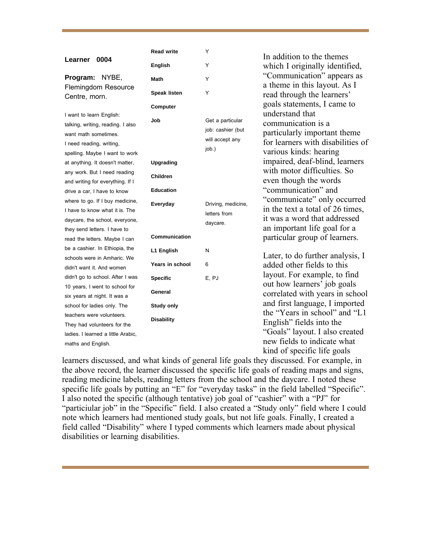#### **Learner 0004**

**Program:** NYBE, Flemingdom Resource Centre, morn.

I want to learn English: talking, writing, reading. I also want math sometimes. I need reading, writing, spelling. Maybe I want to work at anything. It doesn't matter, any work. But I need reading and writing for everything. If I drive a car, I have to know where to go. If I buy medicine, I have to know what it is. The daycare, the school, everyone, they send letters. I have to read the letters. Maybe I can be a cashier. In Ethiopia, the schools were in Amharic. We didn't want it. And women didn't go to school. After I was 10 years, I went to school for six years at night. It was a school for ladies only. The teachers were volunteers. They had volunteers for the ladies. I learned a little Arabic, maths and English.

| <b>Read write</b>   | Y                                                                 |
|---------------------|-------------------------------------------------------------------|
| <b>English</b>      | Ý                                                                 |
| Math                | Y                                                                 |
| <b>Speak listen</b> | Ý                                                                 |
| Computer            |                                                                   |
| Job                 | Get a particular<br>job: cashier (but<br>will accept any<br>job.) |
| Upgrading           |                                                                   |
| <b>Children</b>     |                                                                   |
| <b>Education</b>    |                                                                   |
| Everyday            | Driving, medicine,<br>letters from<br>daycare.                    |
| Communication       |                                                                   |
| L1 English          | N                                                                 |
| Years in school     | 6                                                                 |
| <b>Specific</b>     | E, PJ                                                             |
| General             |                                                                   |
| <b>Study only</b>   |                                                                   |
| <b>Disability</b>   |                                                                   |
|                     |                                                                   |
|                     |                                                                   |

In addition to the themes which I originally identified, "Communication" appears as a theme in this layout. As I read through the learners' goals statements, I came to understand that communication is a particularly important theme for learners with disabilities of various kinds: hearing impaired, deaf-blind, learners with motor difficulties. So even though the words "communication" and "communicate" only occurred in the text a total of 26 times, it was a word that addressed an important life goal for a particular group of learners.

Later, to do further analysis, I added other fields to this layout. For example, to find out how learners' job goals correlated with years in school and first language, I imported the "Years in school" and "L1 English" fields into the "Goals" layout. I also created new fields to indicate what kind of specific life goals

learners discussed, and what kinds of general life goals they discussed. For example, in the above record, the learner discussed the specific life goals of reading maps and signs, reading medicine labels, reading letters from the school and the daycare. I noted these specific life goals by putting an "E" for "everyday tasks" in the field labelled "Specific". I also noted the specific (although tentative) job goal of "cashier" with a "PJ" for "particiular job" in the "Specific" field. I also created a "Study only" field where I could note which learners had mentioned study goals, but not life goals. Finally, I created a field called "Disability" where I typed comments which learners made about physical disabilities or learning disabilities.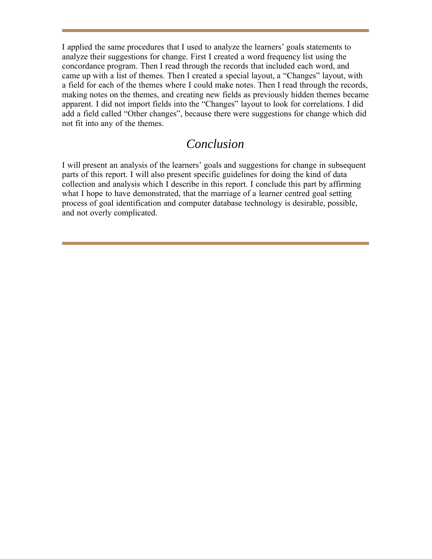I applied the same procedures that I used to analyze the learners' goals statements to analyze their suggestions for change. First I created a word frequency list using the concordance program. Then I read through the records that included each word, and came up with a list of themes. Then I created a special layout, a "Changes" layout, with a field for each of the themes where I could make notes. Then I read through the records, making notes on the themes, and creating new fields as previously hidden themes became apparent. I did not import fields into the "Changes" layout to look for correlations. I did add a field called "Other changes", because there were suggestions for change which did not fit into any of the themes.

#### *Conclusion*

I will present an analysis of the learners' goals and suggestions for change in subsequent parts of this report. I will also present specific guidelines for doing the kind of data collection and analysis which I describe in this report. I conclude this part by affirming what I hope to have demonstrated, that the marriage of a learner centred goal setting process of goal identification and computer database technology is desirable, possible, and not overly complicated.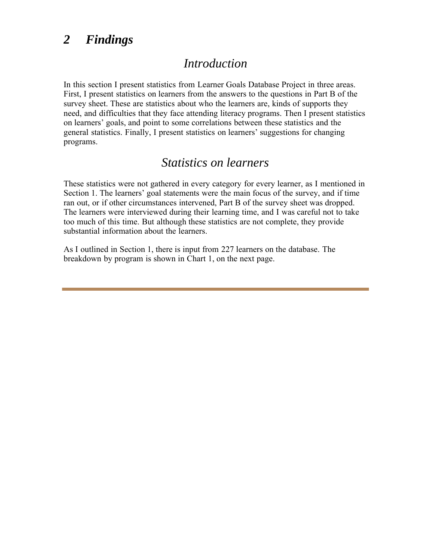### <span id="page-19-0"></span>*2 Findings*

#### *Introduction*

In this section I present statistics from Learner Goals Database Project in three areas. First, I present statistics on learners from the answers to the questions in Part B of the survey sheet. These are statistics about who the learners are, kinds of supports they need, and difficulties that they face attending literacy programs. Then I present statistics on learners' goals, and point to some correlations between these statistics and the general statistics. Finally, I present statistics on learners' suggestions for changing programs.

#### *Statistics on learners*

These statistics were not gathered in every category for every learner, as I mentioned in Section 1. The learners' goal statements were the main focus of the survey, and if time ran out, or if other circumstances intervened, Part B of the survey sheet was dropped. The learners were interviewed during their learning time, and I was careful not to take too much of this time. But although these statistics are not complete, they provide substantial information about the learners.

As I outlined in Section 1, there is input from 227 learners on the database. The breakdown by program is shown in Chart 1, on the next page.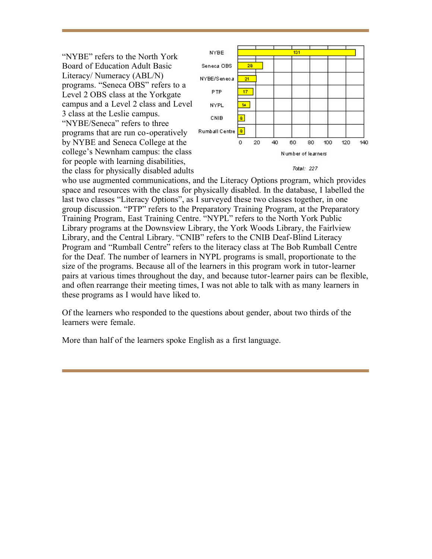"NYBE" refers to the North York Board of Education Adult Basic Literacy/ Numeracy (ABL/N) programs. "Seneca OBS" refers to a Level 2 OBS class at the Yorkgate campus and a Level 2 class and Level 3 class at the Leslie campus. "NYBE/Seneca" refers to three programs that are run co-operatively by NYBE and Seneca College at the college's Newnham campus: the class for people with learning disabilities, the class for physically disabled adults



who use augmented communications, and the Literacy Options program, which provides space and resources with the class for physically disabled. In the database, I labelled the last two classes "Literacy Options", as I surveyed these two classes together, in one group discussion. "PTP" refers to the Preparatory Training Program, at the Preparatory Training Program, East Training Centre. "NYPL" refers to the North York Public Library programs at the Downsview Library, the York Woods Library, the Fairlview Library, and the Central Library. "CNIB" refers to the CNIB Deaf-Blind Literacy Program and "Rumball Centre" refers to the literacy class at The Bob Rumball Centre for the Deaf. The number of learners in NYPL programs is small, proportionate to the size of the programs. Because all of the learners in this program work in tutor-learner pairs at various times throughout the day, and because tutor-learner pairs can be flexible, and often rearrange their meeting times, I was not able to talk with as many learners in these programs as I would have liked to.

Of the learners who responded to the questions about gender, about two thirds of the learners were female.

More than half of the learners spoke English as a first language.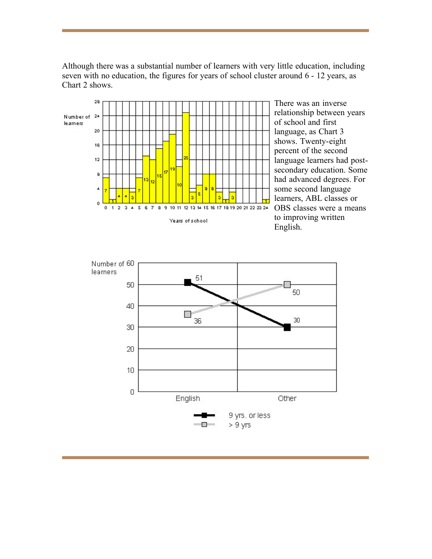Although there was a substantial number of learners with very little education, including seven with no education, the figures for years of school cluster around 6 - 12 years, as Chart 2 shows.



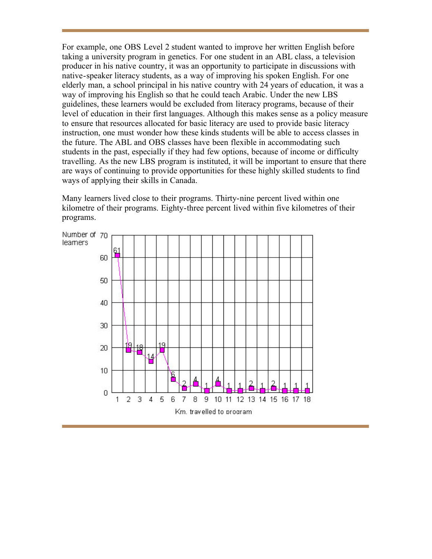For example, one OBS Level 2 student wanted to improve her written English before taking a university program in genetics. For one student in an ABL class, a television producer in his native country, it was an opportunity to participate in discussions with native-speaker literacy students, as a way of improving his spoken English. For one elderly man, a school principal in his native country with 24 years of education, it was a way of improving his English so that he could teach Arabic. Under the new LBS guidelines, these learners would be excluded from literacy programs, because of their level of education in their first languages. Although this makes sense as a policy measure to ensure that resources allocated for basic literacy are used to provide basic literacy instruction, one must wonder how these kinds students will be able to access classes in the future. The ABL and OBS classes have been flexible in accommodating such students in the past, especially if they had few options, because of income or difficulty travelling. As the new LBS program is instituted, it will be important to ensure that there are ways of continuing to provide opportunities for these highly skilled students to find ways of applying their skills in Canada.

Many learners lived close to their programs. Thirty-nine percent lived within one kilometre of their programs. Eighty-three percent lived within five kilometres of their programs.

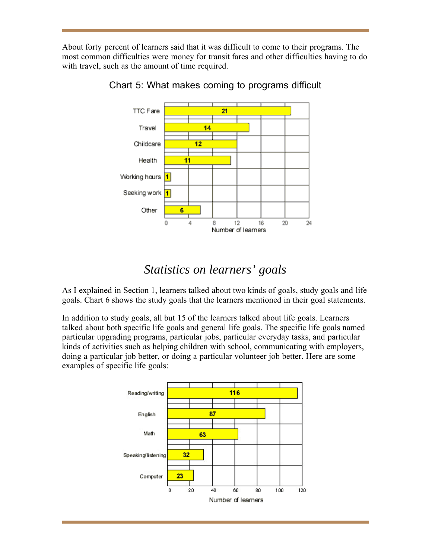About forty percent of learners said that it was difficult to come to their programs. The most common difficulties were money for transit fares and other difficulties having to do with travel, such as the amount of time required.



Chart 5: What makes coming to programs difficult

### *Statistics on learners' goals*

As I explained in Section 1, learners talked about two kinds of goals, study goals and life goals. Chart 6 shows the study goals that the learners mentioned in their goal statements.

In addition to study goals, all but 15 of the learners talked about life goals. Learners talked about both specific life goals and general life goals. The specific life goals named particular upgrading programs, particular jobs, particular everyday tasks, and particular kinds of activities such as helping children with school, communicating with employers, doing a particular job better, or doing a particular volunteer job better. Here are some examples of specific life goals:

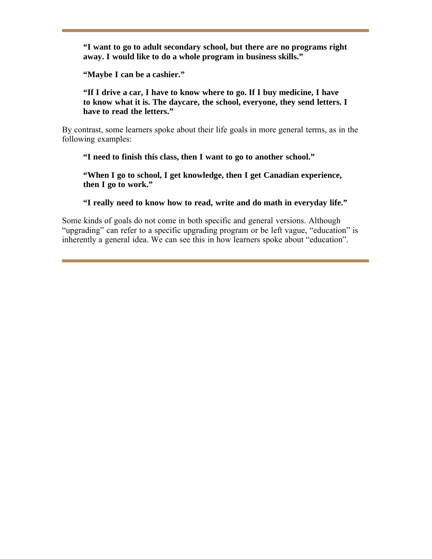**"I want to go to adult secondary school, but there are no programs right away. I would like to do a whole program in business skills."**

**"Maybe I can be a cashier."**

**"If I drive a car, I have to know where to go. If I buy medicine, I have to know what it is. The daycare, the school, everyone, they send letters. I have to read the letters."**

By contrast, some learners spoke about their life goals in more general terms, as in the following examples:

**"I need to finish this class, then I want to go to another school."**

**"When I go to school, I get knowledge, then I get Canadian experience, then I go to work."**

**"I really need to know how to read, write and do math in everyday life."**

Some kinds of goals do not come in both specific and general versions. Although "upgrading" can refer to a specific upgrading program or be left vague, "education" is inherently a general idea. We can see this in how learners spoke about "education".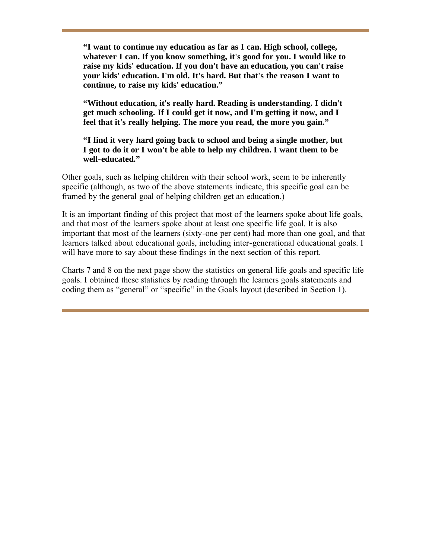**"I want to continue my education as far as I can. High school, college, whatever I can. If you know something, it's good for you. I would like to raise my kids' education. If you don't have an education, you can't raise your kids' education. I'm old. It's hard. But that's the reason I want to continue, to raise my kids' education."**

**"Without education, it's really hard. Reading is understanding. I didn't get much schooling. If I could get it now, and I'm getting it now, and I feel that it's really helping. The more you read, the more you gain."**

#### **"I find it very hard going back to school and being a single mother, but I got to do it or I won't be able to help my children. I want them to be well-educated."**

Other goals, such as helping children with their school work, seem to be inherently specific (although, as two of the above statements indicate, this specific goal can be framed by the general goal of helping children get an education.)

It is an important finding of this project that most of the learners spoke about life goals, and that most of the learners spoke about at least one specific life goal. It is also important that most of the learners (sixty-one per cent) had more than one goal, and that learners talked about educational goals, including inter-generational educational goals. I will have more to say about these findings in the next section of this report.

Charts 7 and 8 on the next page show the statistics on general life goals and specific life goals. I obtained these statistics by reading through the learners goals statements and coding them as "general" or "specific" in the Goals layout (described in Section 1).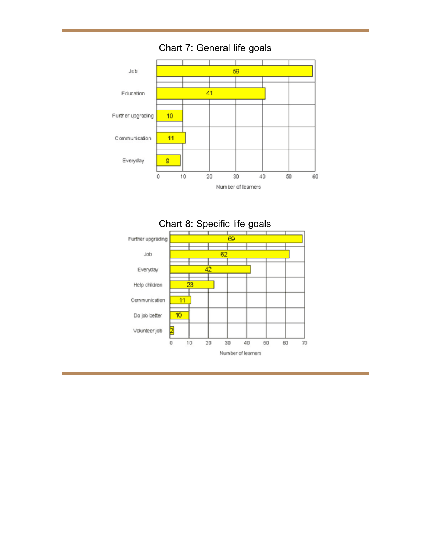





### Chart 7: General life goals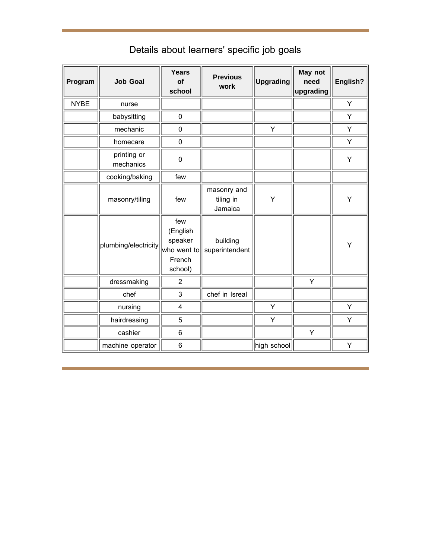| Program     | <b>Job Goal</b>          | <b>Years</b><br>of<br>school                                   | <b>Previous</b><br>work             | <b>Upgrading</b> | May not<br>need<br>upgrading | English? |
|-------------|--------------------------|----------------------------------------------------------------|-------------------------------------|------------------|------------------------------|----------|
| <b>NYBE</b> | nurse                    |                                                                |                                     |                  |                              | Υ        |
|             | babysitting              | $\mathbf 0$                                                    |                                     |                  |                              | Υ        |
|             | mechanic                 | $\pmb{0}$                                                      |                                     | Y                |                              | Υ        |
|             | homecare                 | $\mathbf 0$                                                    |                                     |                  |                              | Υ        |
|             | printing or<br>mechanics | $\mathbf 0$                                                    |                                     |                  |                              | Υ        |
|             | cooking/baking           | few                                                            |                                     |                  |                              |          |
|             | masonry/tiling           | few                                                            | masonry and<br>tiling in<br>Jamaica | Υ                |                              | Y        |
|             | plumbing/electricity     | few<br>(English<br>speaker<br>who went to<br>French<br>school) | building<br>superintendent          |                  |                              | Y        |
|             | dressmaking              | $\overline{2}$                                                 |                                     |                  | Υ                            |          |
|             | chef                     | $\mathbf{3}$                                                   | chef in Isreal                      |                  |                              |          |
|             | nursing                  | $\overline{\mathbf{4}}$                                        |                                     | Υ                |                              | Υ        |
|             | hairdressing             | $\overline{5}$                                                 |                                     | Υ                |                              | Υ        |
|             | cashier                  | 6                                                              |                                     |                  | Y                            |          |
|             | machine operator         | $\,6\,$                                                        |                                     | high school      |                              | Υ        |

# Details about learners' specific job goals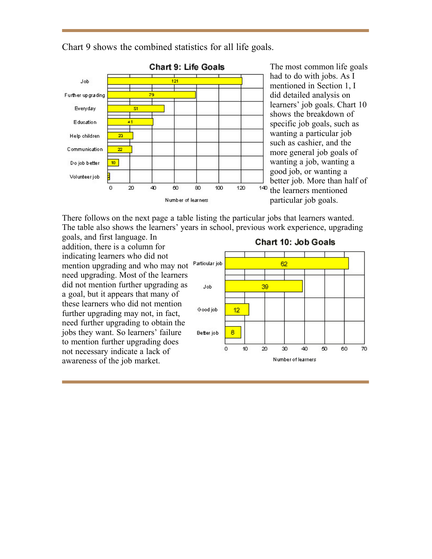

Chart 9 shows the combined statistics for all life goals.

The most common life goals had to do with jobs. As I mentioned in Section 1, I did detailed analysis on learners' job goals. Chart 10 shows the breakdown of specific job goals, such as wanting a particular job such as cashier, and the more general job goals of wanting a job, wanting a good job, or wanting a better job. More than half of <sup>140</sup> the learners mentioned particular job goals.

There follows on the next page a table listing the particular jobs that learners wanted. The table also shows the learners' years in school, previous work experience, upgrading

goals, and first language. In addition, there is a column for indicating learners who did not mention upgrading and who may not need upgrading. Most of the learners did not mention further upgrading as a goal, but it appears that many of these learners who did not mention further upgrading may not, in fact, need further upgrading to obtain the jobs they want. So learners' failure to mention further upgrading does not necessary indicate a lack of awareness of the job market.

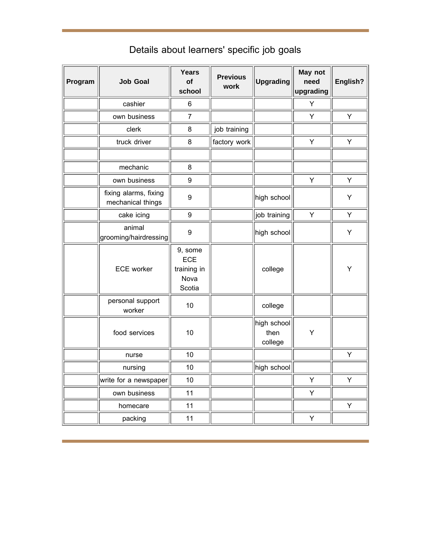| Program | <b>Job Goal</b>                            | <b>Years</b><br>of<br>school                    | <b>Previous</b><br>work | <b>Upgrading</b>               | May not<br>need<br>upgrading | English? |
|---------|--------------------------------------------|-------------------------------------------------|-------------------------|--------------------------------|------------------------------|----------|
|         | cashier                                    | $\,6\,$                                         |                         |                                | Υ                            |          |
|         | own business                               | $\overline{7}$                                  |                         |                                | Υ                            | Υ        |
|         | clerk                                      | 8                                               | job training            |                                |                              |          |
|         | truck driver                               | 8                                               | factory work            |                                | Υ                            | Y        |
|         |                                            |                                                 |                         |                                |                              |          |
|         | mechanic                                   | 8                                               |                         |                                |                              |          |
|         | own business                               | 9                                               |                         |                                | Υ                            | Υ        |
|         | fixing alarms, fixing<br>mechanical things | 9                                               |                         | high school                    |                              | Υ        |
|         | cake icing                                 | $\boldsymbol{9}$                                |                         | job training                   | Y                            | Y        |
|         | animal<br>grooming/hairdressing            | $\boldsymbol{9}$                                |                         | high school                    |                              | Y        |
|         | <b>ECE</b> worker                          | 9, some<br>ECE<br>training in<br>Nova<br>Scotia |                         | college                        |                              | Υ        |
|         | personal support<br>worker                 | 10                                              |                         | college                        |                              |          |
|         | food services                              | 10                                              |                         | high school<br>then<br>college | Υ                            |          |
|         | nurse                                      | 10                                              |                         |                                |                              | Y        |
|         | nursing                                    | 10                                              |                         | high school                    |                              |          |
|         | write for a newspaper                      | 10                                              |                         |                                | Υ                            | Y        |
|         | own business                               | 11                                              |                         |                                | Υ                            |          |
|         | homecare                                   | 11                                              |                         |                                |                              | Υ        |
|         | packing                                    | 11                                              |                         |                                | Υ                            |          |

Details about learners' specific job goals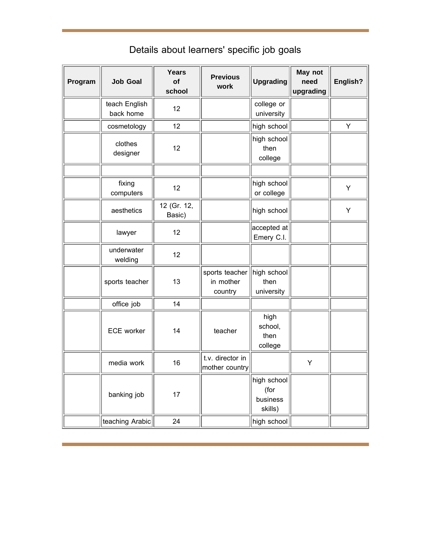| Program | <b>Job Goal</b>            | <b>Years</b><br>of<br>school | <b>Previous</b><br>work                | <b>Upgrading</b>                           | May not<br>need<br>upgrading | English? |
|---------|----------------------------|------------------------------|----------------------------------------|--------------------------------------------|------------------------------|----------|
|         | teach English<br>back home | 12                           |                                        | college or<br>university                   |                              |          |
|         | cosmetology                | 12                           |                                        | high school                                |                              | Y        |
|         | clothes<br>designer        | 12                           |                                        | high school<br>then<br>college             |                              |          |
|         | fixing<br>computers        | 12                           |                                        | high school<br>or college                  |                              | Υ        |
|         | aesthetics                 | 12 (Gr. 12,<br>Basic)        |                                        | high school                                |                              | Υ        |
|         | lawyer                     | 12                           |                                        | accepted at<br>Emery C.I.                  |                              |          |
|         | underwater<br>welding      | 12                           |                                        |                                            |                              |          |
|         | sports teacher             | 13                           | sports teacher<br>in mother<br>country | high school<br>then<br>university          |                              |          |
|         | office job                 | 14                           |                                        |                                            |                              |          |
|         | ECE worker                 | 14                           | teacher                                | high<br>school,<br>then<br>college         |                              |          |
|         | media work                 | 16                           | t.v. director in<br>mother country     |                                            | Y                            |          |
|         | banking job                | 17                           |                                        | high school<br>(for<br>business<br>skills) |                              |          |
|         | teaching Arabic            | 24                           |                                        | high school                                |                              |          |

Details about learners' specific job goals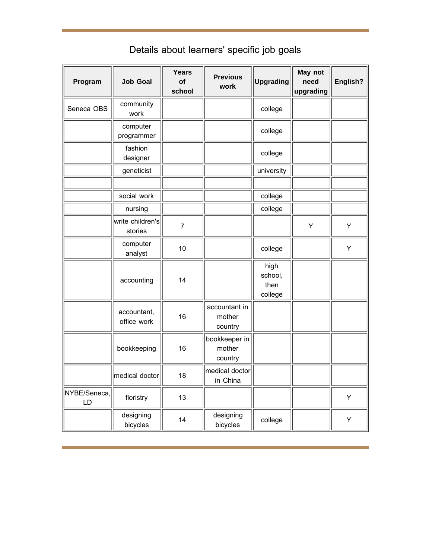| Program            | Job Goal                    | <b>Years</b><br>of<br>school | <b>Previous</b><br>work            | <b>Upgrading</b>                   | May not<br>need<br>upgrading | English? |
|--------------------|-----------------------------|------------------------------|------------------------------------|------------------------------------|------------------------------|----------|
| Seneca OBS         | community<br>work           |                              |                                    | college                            |                              |          |
|                    | computer<br>programmer      |                              |                                    | college                            |                              |          |
|                    | fashion<br>designer         |                              |                                    | college                            |                              |          |
|                    | geneticist                  |                              |                                    | university                         |                              |          |
|                    |                             |                              |                                    |                                    |                              |          |
|                    | social work                 |                              |                                    | college                            |                              |          |
|                    | nursing                     |                              |                                    | college                            |                              |          |
|                    | write children's<br>stories | $\overline{7}$               |                                    |                                    | Υ                            | Υ        |
|                    | computer<br>analyst         | 10                           |                                    | college                            |                              | Y        |
|                    | accounting                  | 14                           |                                    | high<br>school,<br>then<br>college |                              |          |
|                    | accountant,<br>office work  | 16                           | accountant in<br>mother<br>country |                                    |                              |          |
|                    | bookkeeping                 | 16                           | bookkeeper in<br>mother<br>country |                                    |                              |          |
|                    | medical doctor              | 18                           | medical doctor<br>in China         |                                    |                              |          |
| NYBE/Seneca,<br>LD | floristry                   | 13                           |                                    |                                    |                              | Y        |
|                    | designing<br>bicycles       | 14                           | designing<br>bicycles              | college                            |                              | Υ        |

# Details about learners' specific job goals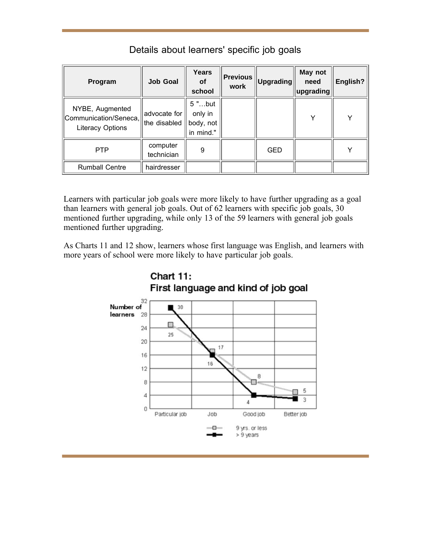| Program                                                             | <b>Job Goal</b>              | Years<br><b>of</b><br>school                | $ $ Previous $ $<br>work | Upgrading  | May not<br>need<br>upgrading | English? |
|---------------------------------------------------------------------|------------------------------|---------------------------------------------|--------------------------|------------|------------------------------|----------|
| NYBE, Augmented<br>Communication/Seneca,<br><b>Literacy Options</b> | advocate for<br>the disabled | 5 "but<br>only in<br>body, not<br>in mind." |                          |            | Υ                            | Υ        |
| <b>PTP</b>                                                          | computer<br>technician       | 9                                           |                          | <b>GED</b> |                              |          |
| <b>Rumball Centre</b>                                               | hairdresser                  |                                             |                          |            |                              |          |

#### Details about learners' specific job goals

Learners with particular job goals were more likely to have further upgrading as a goal than learners with general job goals. Out of 62 learners with specific job goals, 30 mentioned further upgrading, while only 13 of the 59 learners with general job goals mentioned further upgrading.

As Charts 11 and 12 show, learners whose first language was English, and learners with more years of school were more likely to have particular job goals.

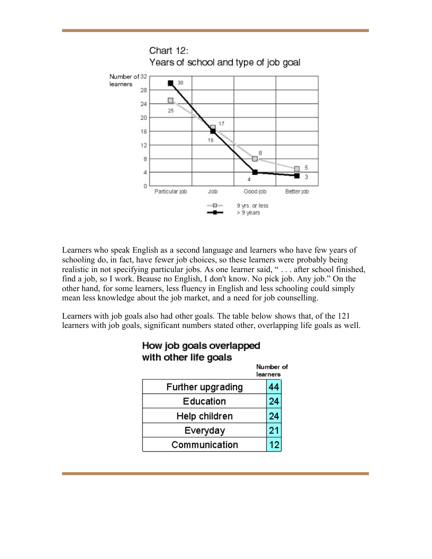

Learners who speak English as a second language and learners who have few years of schooling do, in fact, have fewer job choices, so these learners were probably being realistic in not specifying particular jobs. As one learner said, " . . . after school finished, find a job, so I work. Beause no English, I don't know. No pick job. Any job." On the other hand, for some learners, less fluency in English and less schooling could simply mean less knowledge about the job market, and a need for job counselling.

Learners with job goals also had other goals. The table below shows that, of the 121 learners with job goals, significant numbers stated other, overlapping life goals as well.

|                   | Number of<br>learners |
|-------------------|-----------------------|
| Further upgrading | 14                    |
| Education         | 24                    |
| Help children     | 24                    |
| Everyday          | 21                    |
| Communication     | 12                    |

#### How job goals overlapped with other life goals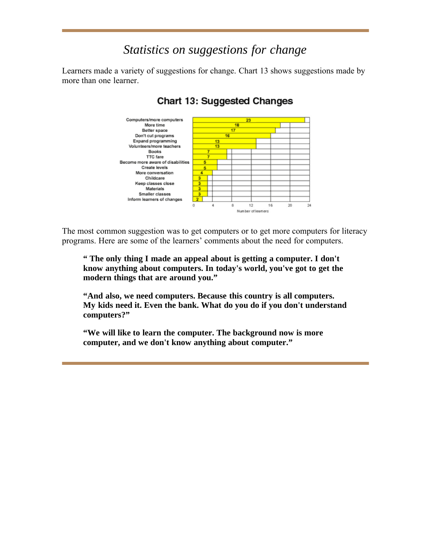### *Statistics on suggestions for change*

Learners made a variety of suggestions for change. Chart 13 shows suggestions made by more than one learner.



#### Chart 13: Suggested Changes

The most common suggestion was to get computers or to get more computers for literacy programs. Here are some of the learners' comments about the need for computers.

**" The only thing I made an appeal about is getting a computer. I don't know anything about computers. In today's world, you've got to get the modern things that are around you."**

**"And also, we need computers. Because this country is all computers. My kids need it. Even the bank. What do you do if you don't understand computers?"**

**"We will like to learn the computer. The background now is more computer, and we don't know anything about computer."**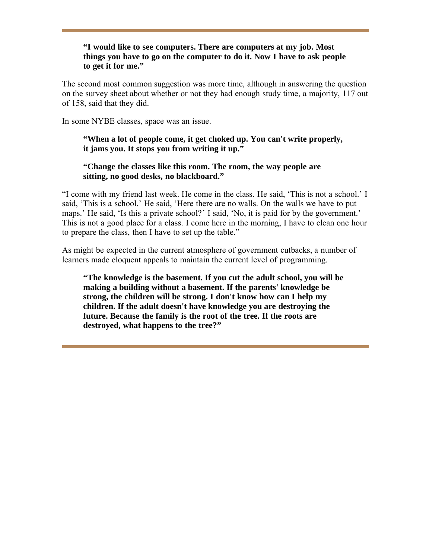#### **"I would like to see computers. There are computers at my job. Most things you have to go on the computer to do it. Now I have to ask people to get it for me."**

The second most common suggestion was more time, although in answering the question on the survey sheet about whether or not they had enough study time, a majority, 117 out of 158, said that they did.

In some NYBE classes, space was an issue.

#### **"When a lot of people come, it get choked up. You can't write properly, it jams you. It stops you from writing it up."**

#### **"Change the classes like this room. The room, the way people are sitting, no good desks, no blackboard."**

"I come with my friend last week. He come in the class. He said, 'This is not a school.' I said, 'This is a school.' He said, 'Here there are no walls. On the walls we have to put maps.' He said, 'Is this a private school?' I said, 'No, it is paid for by the government.' This is not a good place for a class. I come here in the morning, I have to clean one hour to prepare the class, then I have to set up the table."

As might be expected in the current atmosphere of government cutbacks, a number of learners made eloquent appeals to maintain the current level of programming.

**"The knowledge is the basement. If you cut the adult school, you will be making a building without a basement. If the parents' knowledge be strong, the children will be strong. I don't know how can I help my children. If the adult doesn't have knowledge you are destroying the future. Because the family is the root of the tree. If the roots are destroyed, what happens to the tree?"**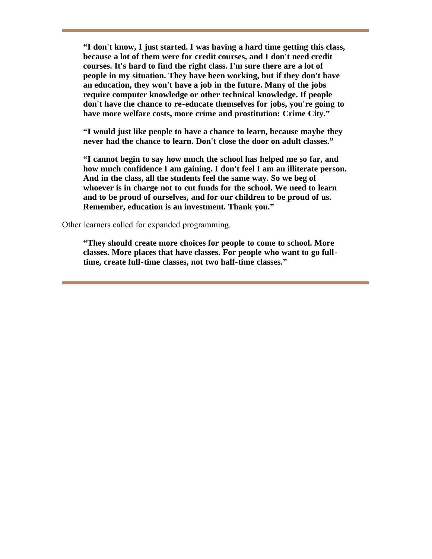**"I don't know, I just started. I was having a hard time getting this class, because a lot of them were for credit courses, and I don't need credit courses. It's hard to find the right class. I'm sure there are a lot of people in my situation. They have been working, but if they don't have an education, they won't have a job in the future. Many of the jobs require computer knowledge or other technical knowledge. If people don't have the chance to re-educate themselves for jobs, you're going to have more welfare costs, more crime and prostitution: Crime City."**

**"I would just like people to have a chance to learn, because maybe they never had the chance to learn. Don't close the door on adult classes."**

**"I cannot begin to say how much the school has helped me so far, and how much confidence I am gaining. I don't feel I am an illiterate person. And in the class, all the students feel the same way. So we beg of whoever is in charge not to cut funds for the school. We need to learn and to be proud of ourselves, and for our children to be proud of us. Remember, education is an investment. Thank you."**

Other learners called for expanded programming.

**"They should create more choices for people to come to school. More classes. More places that have classes. For people who want to go fulltime, create full-time classes, not two half-time classes."**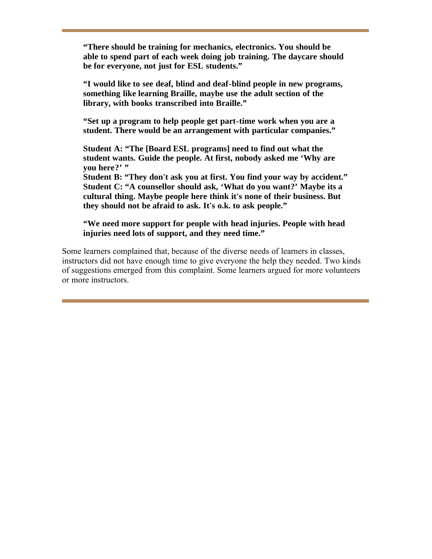**"There should be training for mechanics, electronics. You should be able to spend part of each week doing job training. The daycare should be for everyone, not just for ESL students."**

**"I would like to see deaf, blind and deaf-blind people in new programs, something like learning Braille, maybe use the adult section of the library, with books transcribed into Braille."**

**"Set up a program to help people get part-time work when you are a student. There would be an arrangement with particular companies."**

**Student A: "The [Board ESL programs] need to find out what the student wants. Guide the people. At first, nobody asked me 'Why are you here?'** "

**Student B: "They don't ask you at first. You find your way by accident." Student C: "A counsellor should ask, 'What do you want?' Maybe its a cultural thing. Maybe people here think it's none of their business. But they should not be afraid to ask. It's o.k. to ask people."**

**"We need more support for people with head injuries. People with head injuries need lots of support, and they need time."**

Some learners complained that, because of the diverse needs of learners in classes, instructors did not have enough time to give everyone the help they needed. Two kinds of suggestions emerged from this complaint. Some learners argued for more volunteers or more instructors.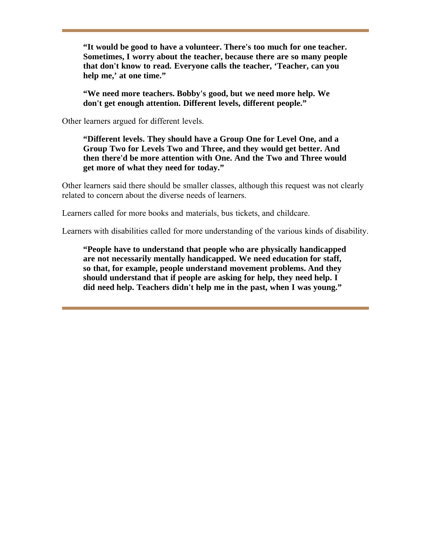**"It would be good to have a volunteer. There's too much for one teacher. Sometimes, I worry about the teacher, because there are so many people that don't know to read. Everyone calls the teacher, 'Teacher, can you help me,' at one time."**

**"We need more teachers. Bobby's good, but we need more help. We don't get enough attention. Different levels, different people."**

Other learners argued for different levels.

**"Different levels. They should have a Group One for Level One, and a Group Two for Levels Two and Three, and they would get better. And then there'd be more attention with One. And the Two and Three would get more of what they need for today."**

Other learners said there should be smaller classes, although this request was not clearly related to concern about the diverse needs of learners.

Learners called for more books and materials, bus tickets, and childcare.

Learners with disabilities called for more understanding of the various kinds of disability.

**"People have to understand that people who are physically handicapped are not necessarily mentally handicapped. We need education for staff, so that, for example, people understand movement problems. And they should understand that if people are asking for help, they need help. I did need help. Teachers didn't help me in the past, when I was young."**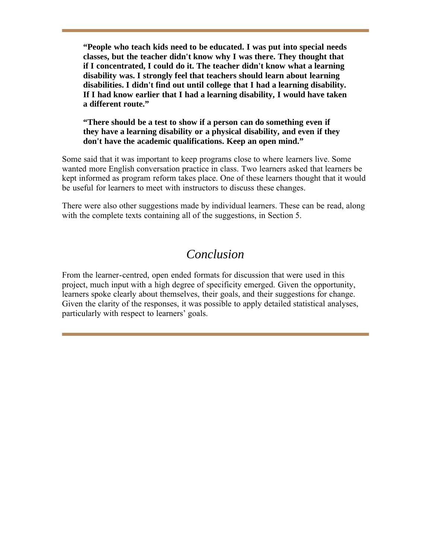**"People who teach kids need to be educated. I was put into special needs classes, but the teacher didn't know why I was there. They thought that if I concentrated, I could do it. The teacher didn't know what a learning disability was. I strongly feel that teachers should learn about learning disabilities. I didn't find out until college that I had a learning disability. If I had know earlier that I had a learning disability, I would have taken a different route."**

#### **"There should be a test to show if a person can do something even if they have a learning disability or a physical disability, and even if they don't have the academic qualifications. Keep an open mind."**

Some said that it was important to keep programs close to where learners live. Some wanted more English conversation practice in class. Two learners asked that learners be kept informed as program reform takes place. One of these learners thought that it would be useful for learners to meet with instructors to discuss these changes.

There were also other suggestions made by individual learners. These can be read, along with the complete texts containing all of the suggestions, in Section 5.

# *Conclusion*

From the learner-centred, open ended formats for discussion that were used in this project, much input with a high degree of specificity emerged. Given the opportunity, learners spoke clearly about themselves, their goals, and their suggestions for change. Given the clarity of the responses, it was possible to apply detailed statistical analyses, particularly with respect to learners' goals.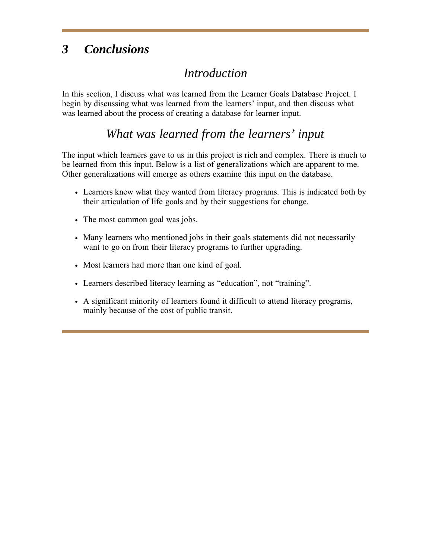# *3 Conclusions*

# *Introduction*

In this section, I discuss what was learned from the Learner Goals Database Project. I begin by discussing what was learned from the learners' input, and then discuss what was learned about the process of creating a database for learner input.

# *What was learned from the learners' input*

The input which learners gave to us in this project is rich and complex. There is much to be learned from this input. Below is a list of generalizations which are apparent to me. Other generalizations will emerge as others examine this input on the database.

- Learners knew what they wanted from literacy programs. This is indicated both by their articulation of life goals and by their suggestions for change.
- The most common goal was jobs.
- Many learners who mentioned jobs in their goals statements did not necessarily want to go on from their literacy programs to further upgrading.
- Most learners had more than one kind of goal.
- Learners described literacy learning as "education", not "training".
- A significant minority of learners found it difficult to attend literacy programs, mainly because of the cost of public transit.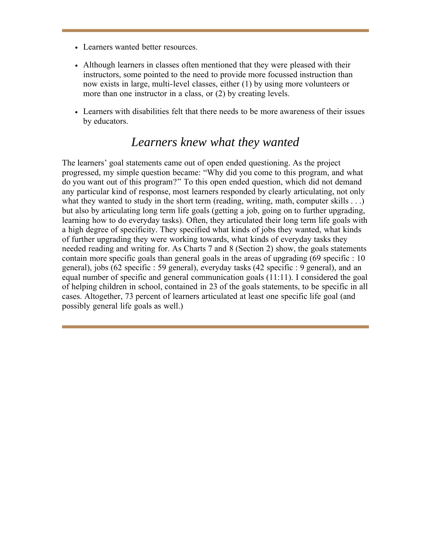- Learners wanted better resources.
- Although learners in classes often mentioned that they were pleased with their instructors, some pointed to the need to provide more focussed instruction than now exists in large, multi-level classes, either (1) by using more volunteers or more than one instructor in a class, or (2) by creating levels.
- Learners with disabilities felt that there needs to be more awareness of their issues by educators.

#### *Learners knew what they wanted*

The learners' goal statements came out of open ended questioning. As the project progressed, my simple question became: "Why did you come to this program, and what do you want out of this program?" To this open ended question, which did not demand any particular kind of response, most learners responded by clearly articulating, not only what they wanted to study in the short term (reading, writing, math, computer skills  $\ldots$ ) but also by articulating long term life goals (getting a job, going on to further upgrading, learning how to do everyday tasks). Often, they articulated their long term life goals with a high degree of specificity. They specified what kinds of jobs they wanted, what kinds of further upgrading they were working towards, what kinds of everyday tasks they needed reading and writing for. As Charts 7 and 8 (Section 2) show, the goals statements contain more specific goals than general goals in the areas of upgrading (69 specific : 10 general), jobs (62 specific : 59 general), everyday tasks (42 specific : 9 general), and an equal number of specific and general communication goals (11:11). I considered the goal of helping children in school, contained in 23 of the goals statements, to be specific in all cases. Altogether, 73 percent of learners articulated at least one specific life goal (and possibly general life goals as well.)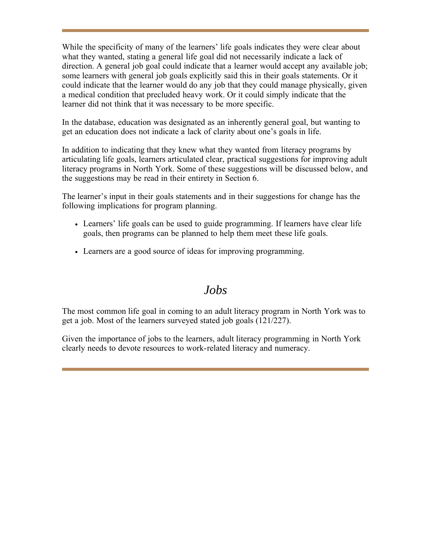While the specificity of many of the learners' life goals indicates they were clear about what they wanted, stating a general life goal did not necessarily indicate a lack of direction. A general job goal could indicate that a learner would accept any available job; some learners with general job goals explicitly said this in their goals statements. Or it could indicate that the learner would do any job that they could manage physically, given a medical condition that precluded heavy work. Or it could simply indicate that the learner did not think that it was necessary to be more specific.

In the database, education was designated as an inherently general goal, but wanting to get an education does not indicate a lack of clarity about one's goals in life.

In addition to indicating that they knew what they wanted from literacy programs by articulating life goals, learners articulated clear, practical suggestions for improving adult literacy programs in North York. Some of these suggestions will be discussed below, and the suggestions may be read in their entirety in Section 6.

The learner's input in their goals statements and in their suggestions for change has the following implications for program planning.

- Learners' life goals can be used to guide programming. If learners have clear life goals, then programs can be planned to help them meet these life goals.
- Learners are a good source of ideas for improving programming.

## *Jobs*

The most common life goal in coming to an adult literacy program in North York was to get a job. Most of the learners surveyed stated job goals (121/227).

Given the importance of jobs to the learners, adult literacy programming in North York clearly needs to devote resources to work-related literacy and numeracy.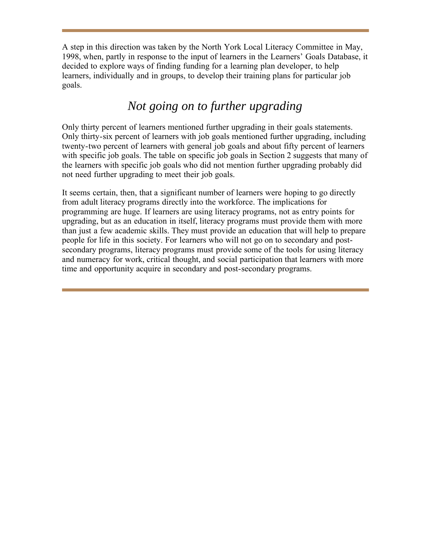A step in this direction was taken by the North York Local Literacy Committee in May, 1998, when, partly in response to the input of learners in the Learners' Goals Database, it decided to explore ways of finding funding for a learning plan developer, to help learners, individually and in groups, to develop their training plans for particular job goals.

# *Not going on to further upgrading*

Only thirty percent of learners mentioned further upgrading in their goals statements. Only thirty-six percent of learners with job goals mentioned further upgrading, including twenty-two percent of learners with general job goals and about fifty percent of learners with specific job goals. The table on specific job goals in Section 2 suggests that many of the learners with specific job goals who did not mention further upgrading probably did not need further upgrading to meet their job goals.

It seems certain, then, that a significant number of learners were hoping to go directly from adult literacy programs directly into the workforce. The implications for programming are huge. If learners are using literacy programs, not as entry points for upgrading, but as an education in itself, literacy programs must provide them with more than just a few academic skills. They must provide an education that will help to prepare people for life in this society. For learners who will not go on to secondary and postsecondary programs, literacy programs must provide some of the tools for using literacy and numeracy for work, critical thought, and social participation that learners with more time and opportunity acquire in secondary and post-secondary programs.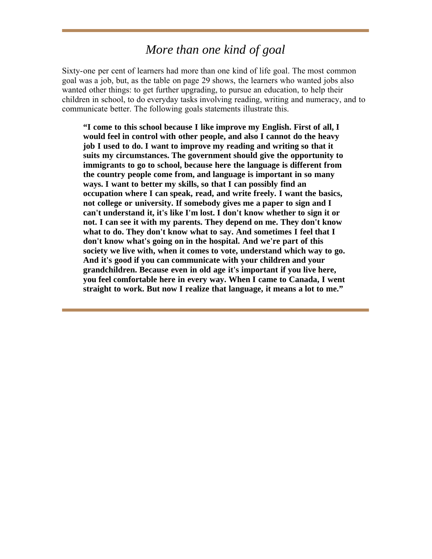# *More than one kind of goal*

Sixty-one per cent of learners had more than one kind of life goal. The most common goal was a job, but, as the table on page 29 shows, the learners who wanted jobs also wanted other things: to get further upgrading, to pursue an education, to help their children in school, to do everyday tasks involving reading, writing and numeracy, and to communicate better. The following goals statements illustrate this.

**"I come to this school because I like improve my English. First of all, I would feel in control with other people, and also I cannot do the heavy job I used to do. I want to improve my reading and writing so that it suits my circumstances. The government should give the opportunity to immigrants to go to school, because here the language is different from the country people come from, and language is important in so many ways. I want to better my skills, so that I can possibly find an occupation where I can speak, read, and write freely. I want the basics, not college or university. If somebody gives me a paper to sign and I can't understand it, it's like I'm lost. I don't know whether to sign it or not. I can see it with my parents. They depend on me. They don't know what to do. They don't know what to say. And sometimes I feel that I don't know what's going on in the hospital. And we're part of this society we live with, when it comes to vote, understand which way to go. And it's good if you can communicate with your children and your grandchildren. Because even in old age it's important if you live here, you feel comfortable here in every way. When I came to Canada, I went straight to work. But now I realize that language, it means a lot to me."**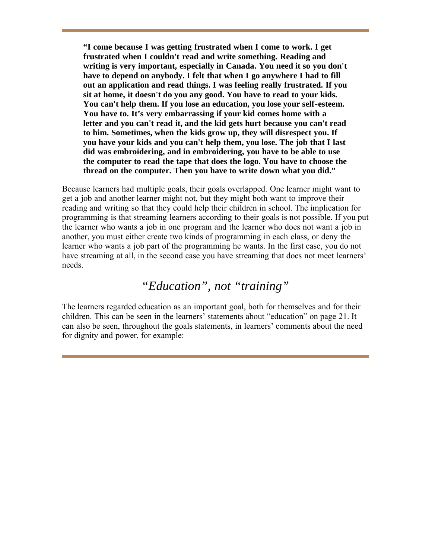**"I come because I was getting frustrated when I come to work. I get frustrated when I couldn't read and write something. Reading and writing is very important, especially in Canada. You need it so you don't have to depend on anybody. I felt that when I go anywhere I had to fill out an application and read things. I was feeling really frustrated. If you sit at home, it doesn't do you any good. You have to read to your kids. You can't help them. If you lose an education, you lose your self-esteem. You have to. It's very embarrassing if your kid comes home with a letter and you can't read it, and the kid gets hurt because you can't read to him. Sometimes, when the kids grow up, they will disrespect you. If you have your kids and you can't help them, you lose. The job that I last did was embroidering, and in embroidering, you have to be able to use the computer to read the tape that does the logo. You have to choose the thread on the computer. Then you have to write down what you did."**

Because learners had multiple goals, their goals overlapped. One learner might want to get a job and another learner might not, but they might both want to improve their reading and writing so that they could help their children in school. The implication for programming is that streaming learners according to their goals is not possible. If you put the learner who wants a job in one program and the learner who does not want a job in another, you must either create two kinds of programming in each class, or deny the learner who wants a job part of the programming he wants. In the first case, you do not have streaming at all, in the second case you have streaming that does not meet learners' needs.

# *"Education", not "training"*

The learners regarded education as an important goal, both for themselves and for their children. This can be seen in the learners' statements about "education" on page 21. It can also be seen, throughout the goals statements, in learners' comments about the need for dignity and power, for example: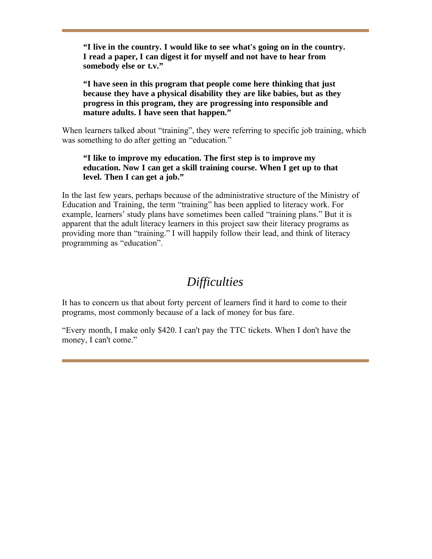**"I live in the country. I would like to see what's going on in the country. I read a paper, I can digest it for myself and not have to hear from somebody else or t.v."**

**"I have seen in this program that people come here thinking that just because they have a physical disability they are like babies, but as they progress in this program, they are progressing into responsible and mature adults. I have seen that happen."**

When learners talked about "training", they were referring to specific job training, which was something to do after getting an "education."

#### **"I like to improve my education. The first step is to improve my education. Now I can get a skill training course. When I get up to that level. Then I can get a job."**

In the last few years, perhaps because of the administrative structure of the Ministry of Education and Training, the term "training" has been applied to literacy work. For example, learners' study plans have sometimes been called "training plans." But it is apparent that the adult literacy learners in this project saw their literacy programs as providing more than "training." I will happily follow their lead, and think of literacy programming as "education".

# *Difficulties*

It has to concern us that about forty percent of learners find it hard to come to their programs, most commonly because of a lack of money for bus fare.

"Every month, I make only \$420. I can't pay the TTC tickets. When I don't have the money, I can't come."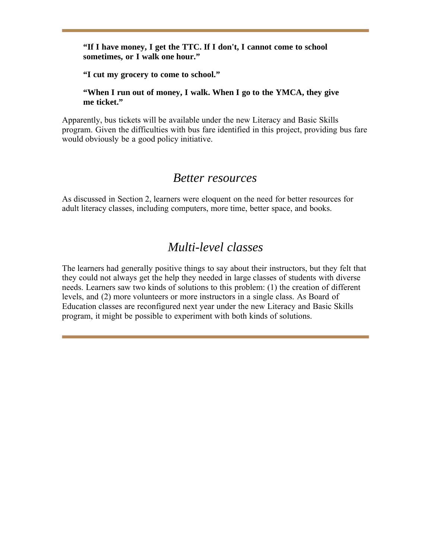#### **"If I have money, I get the TTC. If I don't, I cannot come to school sometimes, or I walk one hour."**

**"I cut my grocery to come to school."**

**"When I run out of money, I walk. When I go to the YMCA, they give me ticket."**

Apparently, bus tickets will be available under the new Literacy and Basic Skills program. Given the difficulties with bus fare identified in this project, providing bus fare would obviously be a good policy initiative.

#### *Better resources*

As discussed in Section 2, learners were eloquent on the need for better resources for adult literacy classes, including computers, more time, better space, and books.

# *Multi-level classes*

The learners had generally positive things to say about their instructors, but they felt that they could not always get the help they needed in large classes of students with diverse needs. Learners saw two kinds of solutions to this problem: (1) the creation of different levels, and (2) more volunteers or more instructors in a single class. As Board of Education classes are reconfigured next year under the new Literacy and Basic Skills program, it might be possible to experiment with both kinds of solutions.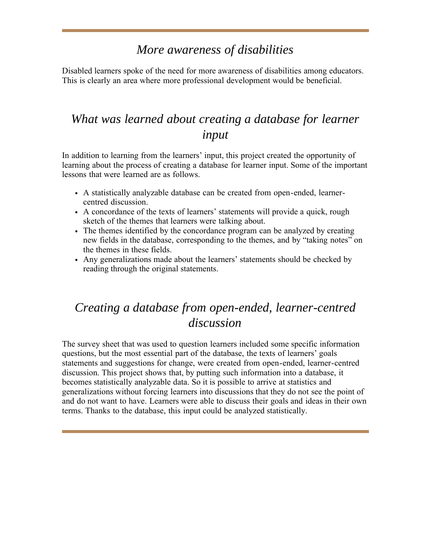## *More awareness of disabilities*

Disabled learners spoke of the need for more awareness of disabilities among educators. This is clearly an area where more professional development would be beneficial.

# *What was learned about creating a database for learner input*

In addition to learning from the learners' input, this project created the opportunity of learning about the process of creating a database for learner input. Some of the important lessons that were learned are as follows.

- A statistically analyzable database can be created from open-ended, learnercentred discussion.
- A concordance of the texts of learners' statements will provide a quick, rough sketch of the themes that learners were talking about.
- The themes identified by the concordance program can be analyzed by creating new fields in the database, corresponding to the themes, and by "taking notes" on the themes in these fields.
- Any generalizations made about the learners' statements should be checked by reading through the original statements.

# *Creating a database from open-ended, learner-centred discussion*

The survey sheet that was used to question learners included some specific information questions, but the most essential part of the database, the texts of learners' goals statements and suggestions for change, were created from open-ended, learner-centred discussion. This project shows that, by putting such information into a database, it becomes statistically analyzable data. So it is possible to arrive at statistics and generalizations without forcing learners into discussions that they do not see the point of and do not want to have. Learners were able to discuss their goals and ideas in their own terms. Thanks to the database, this input could be analyzed statistically.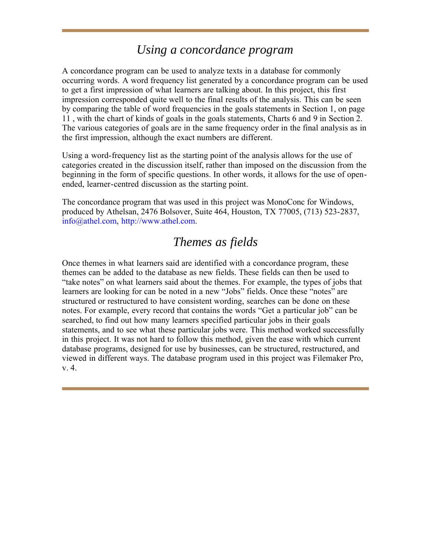# *Using a concordance program*

A concordance program can be used to analyze texts in a database for commonly occurring words. A word frequency list generated by a concordance program can be used to get a first impression of what learners are talking about. In this project, this first impression corresponded quite well to the final results of the analysis. This can be seen by comparing the table of word frequencies in the goals statements in Section 1, on page 11 , with the chart of kinds of goals in the goals statements, Charts 6 and 9 in Section 2. The various categories of goals are in the same frequency order in the final analysis as in the first impression, although the exact numbers are different.

Using a word-frequency list as the starting point of the analysis allows for the use of categories created in the discussion itself, rather than imposed on the discussion from the beginning in the form of specific questions. In other words, it allows for the use of openended, learner-centred discussion as the starting point.

The concordance program that was used in this project was MonoConc for Windows, produced by Athelsan, 2476 Bolsover, Suite 464, Houston, TX 77005, (713) 523-2837, info@athel.com, http://www.athel.com.

# *Themes as fields*

Once themes in what learners said are identified with a concordance program, these themes can be added to the database as new fields. These fields can then be used to "take notes" on what learners said about the themes. For example, the types of jobs that learners are looking for can be noted in a new "Jobs" fields. Once these "notes" are structured or restructured to have consistent wording, searches can be done on these notes. For example, every record that contains the words "Get a particular job" can be searched, to find out how many learners specified particular jobs in their goals statements, and to see what these particular jobs were. This method worked successfully in this project. It was not hard to follow this method, given the ease with which current database programs, designed for use by businesses, can be structured, restructured, and viewed in different ways. The database program used in this project was Filemaker Pro, v. 4.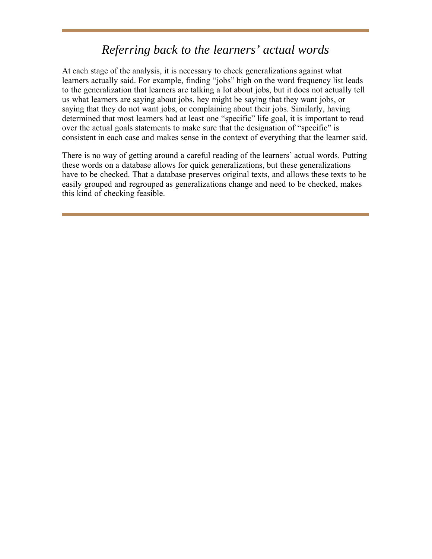# *Referring back to the learners' actual words*

At each stage of the analysis, it is necessary to check generalizations against what learners actually said. For example, finding "jobs" high on the word frequency list leads to the generalization that learners are talking a lot about jobs, but it does not actually tell us what learners are saying about jobs. hey might be saying that they want jobs, or saying that they do not want jobs, or complaining about their jobs. Similarly, having determined that most learners had at least one "specific" life goal, it is important to read over the actual goals statements to make sure that the designation of "specific" is consistent in each case and makes sense in the context of everything that the learner said.

There is no way of getting around a careful reading of the learners' actual words. Putting these words on a database allows for quick generalizations, but these generalizations have to be checked. That a database preserves original texts, and allows these texts to be easily grouped and regrouped as generalizations change and need to be checked, makes this kind of checking feasible.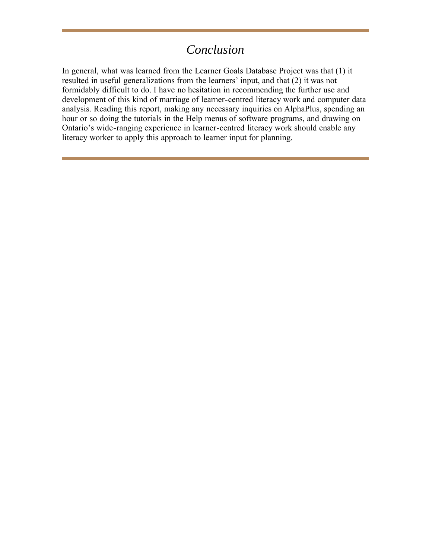# *Conclusion*

In general, what was learned from the Learner Goals Database Project was that (1) it resulted in useful generalizations from the learners' input, and that (2) it was not formidably difficult to do. I have no hesitation in recommending the further use and development of this kind of marriage of learner-centred literacy work and computer data analysis. Reading this report, making any necessary inquiries on AlphaPlus, spending an hour or so doing the tutorials in the Help menus of software programs, and drawing on Ontario's wide-ranging experience in learner-centred literacy work should enable any literacy worker to apply this approach to learner input for planning.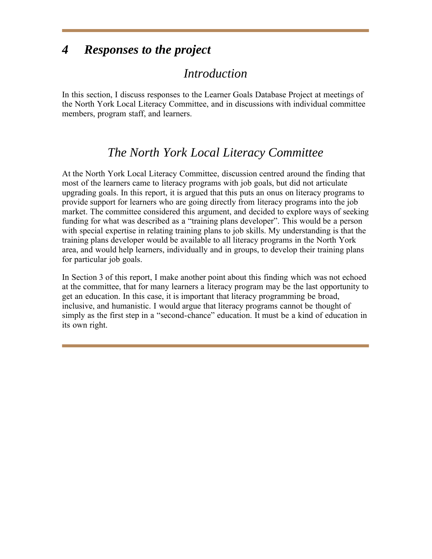# *4 Responses to the project*

# *Introduction*

In this section, I discuss responses to the Learner Goals Database Project at meetings of the North York Local Literacy Committee, and in discussions with individual committee members, program staff, and learners.

# *The North York Local Literacy Committee*

At the North York Local Literacy Committee, discussion centred around the finding that most of the learners came to literacy programs with job goals, but did not articulate upgrading goals. In this report, it is argued that this puts an onus on literacy programs to provide support for learners who are going directly from literacy programs into the job market. The committee considered this argument, and decided to explore ways of seeking funding for what was described as a "training plans developer". This would be a person with special expertise in relating training plans to job skills. My understanding is that the training plans developer would be available to all literacy programs in the North York area, and would help learners, individually and in groups, to develop their training plans for particular job goals.

In Section 3 of this report, I make another point about this finding which was not echoed at the committee, that for many learners a literacy program may be the last opportunity to get an education. In this case, it is important that literacy programming be broad, inclusive, and humanistic. I would argue that literacy programs cannot be thought of simply as the first step in a "second-chance" education. It must be a kind of education in its own right.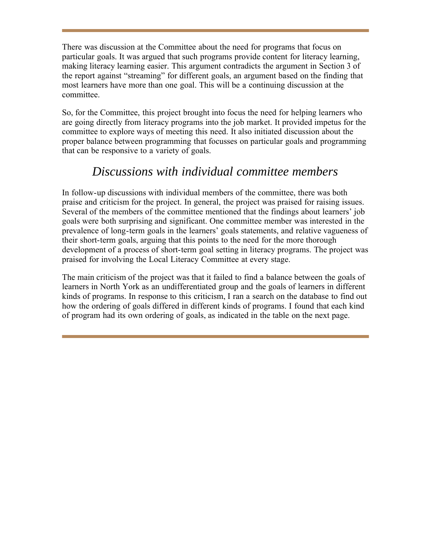There was discussion at the Committee about the need for programs that focus on particular goals. It was argued that such programs provide content for literacy learning, making literacy learning easier. This argument contradicts the argument in Section 3 of the report against "streaming" for different goals, an argument based on the finding that most learners have more than one goal. This will be a continuing discussion at the committee.

So, for the Committee, this project brought into focus the need for helping learners who are going directly from literacy programs into the job market. It provided impetus for the committee to explore ways of meeting this need. It also initiated discussion about the proper balance between programming that focusses on particular goals and programming that can be responsive to a variety of goals.

## *Discussions with individual committee members*

In follow-up discussions with individual members of the committee, there was both praise and criticism for the project. In general, the project was praised for raising issues. Several of the members of the committee mentioned that the findings about learners' job goals were both surprising and significant. One committee member was interested in the prevalence of long-term goals in the learners' goals statements, and relative vagueness of their short-term goals, arguing that this points to the need for the more thorough development of a process of short-term goal setting in literacy programs. The project was praised for involving the Local Literacy Committee at every stage.

The main criticism of the project was that it failed to find a balance between the goals of learners in North York as an undifferentiated group and the goals of learners in different kinds of programs. In response to this criticism, I ran a search on the database to find out how the ordering of goals differed in different kinds of programs. I found that each kind of program had its own ordering of goals, as indicated in the table on the next page.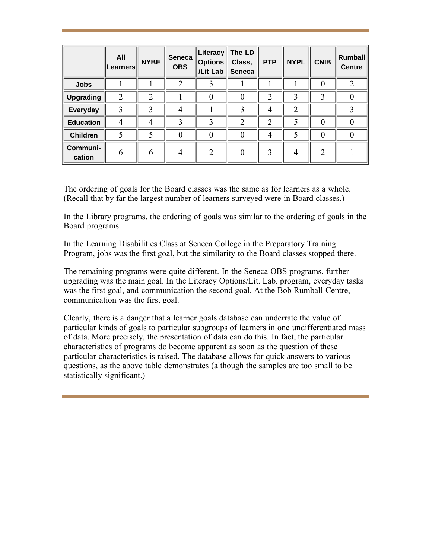|                    | All<br>Learners | <b>NYBE</b>    | <b>Seneca</b><br><b>OBS</b> | Literacy<br><b>Options</b><br>/Lit Lab | The LD<br>Class,<br><b>Seneca</b> | <b>PTP</b>     | <b>NYPL</b>    | <b>CNIB</b>    | Rumball<br><b>Centre</b> |
|--------------------|-----------------|----------------|-----------------------------|----------------------------------------|-----------------------------------|----------------|----------------|----------------|--------------------------|
| <b>Jobs</b>        |                 |                | $\overline{2}$              | 3                                      |                                   |                |                | 0              | 2                        |
| <b>Upgrading</b>   | $\overline{2}$  | $\overline{2}$ |                             | 0                                      | 0                                 | $\overline{2}$ |                | 3              |                          |
| Everyday           | 3               | 3              | $\overline{4}$              |                                        | 3                                 | 4              | 2              |                | 3                        |
| <b>Education</b>   | $\overline{4}$  | 4              | 3                           | 3                                      | 2                                 | $\overline{2}$ | 5              | 0              |                          |
| <b>Children</b>    | 5               | 5              | $\theta$                    | $\theta$                               | $\theta$                          | 4              | 5              | 0              |                          |
| Communi-<br>cation | 6               | 6              | $\overline{4}$              | $\overline{2}$                         | $\theta$                          | 3              | $\overline{4}$ | $\overline{2}$ |                          |

The ordering of goals for the Board classes was the same as for learners as a whole. (Recall that by far the largest number of learners surveyed were in Board classes.)

In the Library programs, the ordering of goals was similar to the ordering of goals in the Board programs.

In the Learning Disabilities Class at Seneca College in the Preparatory Training Program, jobs was the first goal, but the similarity to the Board classes stopped there.

The remaining programs were quite different. In the Seneca OBS programs, further upgrading was the main goal. In the Literacy Options/Lit. Lab. program, everyday tasks was the first goal, and communication the second goal. At the Bob Rumball Centre, communication was the first goal.

Clearly, there is a danger that a learner goals database can underrate the value of particular kinds of goals to particular subgroups of learners in one undifferentiated mass of data. More precisely, the presentation of data can do this. In fact, the particular characteristics of programs do become apparent as soon as the question of these particular characteristics is raised. The database allows for quick answers to various questions, as the above table demonstrates (although the samples are too small to be statistically significant.)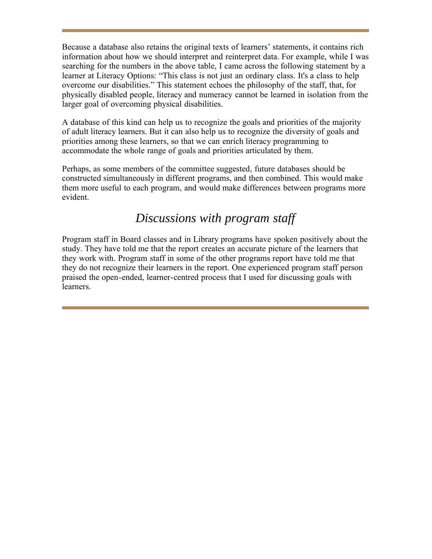Because a database also retains the original texts of learners' statements, it contains rich information about how we should interpret and reinterpret data. For example, while I was searching for the numbers in the above table, I came across the following statement by a learner at Literacy Options: "This class is not just an ordinary class. It's a class to help overcome our disabilities." This statement echoes the philosophy of the staff, that, for physically disabled people, literacy and numeracy cannot be learned in isolation from the larger goal of overcoming physical disabilities.

A database of this kind can help us to recognize the goals and priorities of the majority of adult literacy learners. But it can also help us to recognize the diversity of goals and priorities among these learners, so that we can enrich literacy programming to accommodate the whole range of goals and priorities articulated by them.

Perhaps, as some members of the committee suggested, future databases should be constructed simultaneously in different programs, and then combined. This would make them more useful to each program, and would make differences between programs more evident.

# *Discussions with program staff*

Program staff in Board classes and in Library programs have spoken positively about the study. They have told me that the report creates an accurate picture of the learners that they work with. Program staff in some of the other programs report have told me that they do not recognize their learners in the report. One experienced program staff person praised the open-ended, learner-centred process that I used for discussing goals with learners.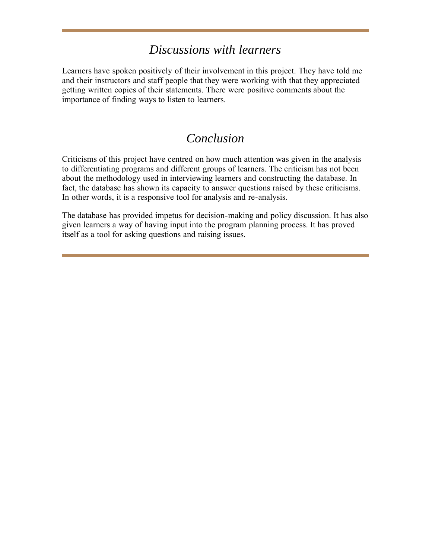# *Discussions with learners*

Learners have spoken positively of their involvement in this project. They have told me and their instructors and staff people that they were working with that they appreciated getting written copies of their statements. There were positive comments about the importance of finding ways to listen to learners.

# *Conclusion*

Criticisms of this project have centred on how much attention was given in the analysis to differentiating programs and different groups of learners. The criticism has not been about the methodology used in interviewing learners and constructing the database. In fact, the database has shown its capacity to answer questions raised by these criticisms. In other words, it is a responsive tool for analysis and re-analysis.

The database has provided impetus for decision-making and policy discussion. It has also given learners a way of having input into the program planning process. It has proved itself as a tool for asking questions and raising issues.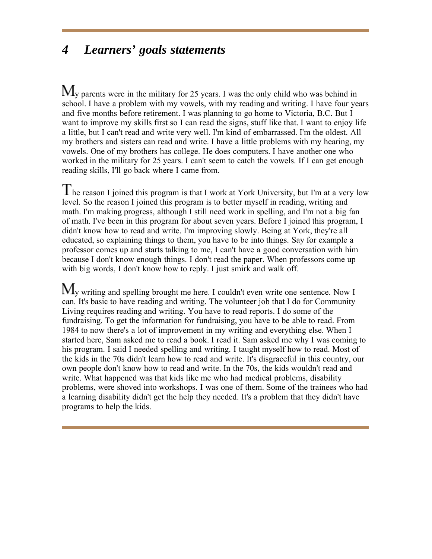# *4 Learners' goals statements*

 $M_{y}$  parents were in the military for 25 years. I was the only child who was behind in school. I have a problem with my vowels, with my reading and writing. I have four years and five months before retirement. I was planning to go home to Victoria, B.C. But I want to improve my skills first so I can read the signs, stuff like that. I want to enjoy life a little, but I can't read and write very well. I'm kind of embarrassed. I'm the oldest. All my brothers and sisters can read and write. I have a little problems with my hearing, my vowels. One of my brothers has college. He does computers. I have another one who worked in the military for 25 years. I can't seem to catch the vowels. If I can get enough reading skills, I'll go back where I came from.

 $\Gamma$  he reason I joined this program is that I work at York University, but I'm at a very low level. So the reason I joined this program is to better myself in reading, writing and math. I'm making progress, although I still need work in spelling, and I'm not a big fan of math. I've been in this program for about seven years. Before I joined this program, I didn't know how to read and write. I'm improving slowly. Being at York, they're all educated, so explaining things to them, you have to be into things. Say for example a professor comes up and starts talking to me, I can't have a good conversation with him because I don't know enough things. I don't read the paper. When professors come up with big words, I don't know how to reply. I just smirk and walk off.

 $M_{y}$  writing and spelling brought me here. I couldn't even write one sentence. Now I can. It's basic to have reading and writing. The volunteer job that I do for Community Living requires reading and writing. You have to read reports. I do some of the fundraising. To get the information for fundraising, you have to be able to read. From 1984 to now there's a lot of improvement in my writing and everything else. When I started here, Sam asked me to read a book. I read it. Sam asked me why I was coming to his program. I said I needed spelling and writing. I taught myself how to read. Most of the kids in the 70s didn't learn how to read and write. It's disgraceful in this country, our own people don't know how to read and write. In the 70s, the kids wouldn't read and write. What happened was that kids like me who had medical problems, disability problems, were shoved into workshops. I was one of them. Some of the trainees who had a learning disability didn't get the help they needed. It's a problem that they didn't have programs to help the kids.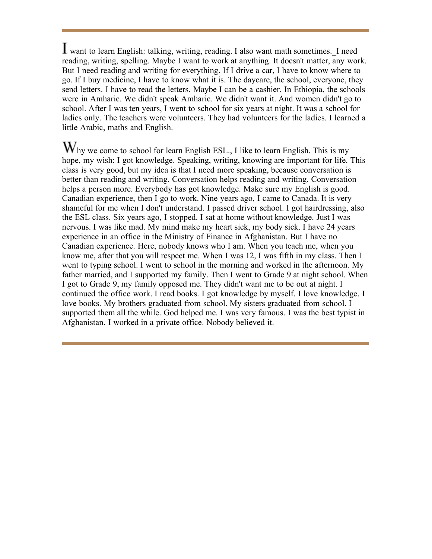want to learn English: talking, writing, reading. I also want math sometimes.\_I need reading, writing, spelling. Maybe I want to work at anything. It doesn't matter, any work. But I need reading and writing for everything. If I drive a car, I have to know where to go. If I buy medicine, I have to know what it is. The daycare, the school, everyone, they send letters. I have to read the letters. Maybe I can be a cashier. In Ethiopia, the schools were in Amharic. We didn't speak Amharic. We didn't want it. And women didn't go to school. After I was ten years, I went to school for six years at night. It was a school for ladies only. The teachers were volunteers. They had volunteers for the ladies. I learned a little Arabic, maths and English.

 $W_{hv}$  we come to school for learn English ESL., I like to learn English. This is my hope, my wish: I got knowledge. Speaking, writing, knowing are important for life. This class is very good, but my idea is that I need more speaking, because conversation is better than reading and writing. Conversation helps reading and writing. Conversation helps a person more. Everybody has got knowledge. Make sure my English is good. Canadian experience, then I go to work. Nine years ago, I came to Canada. It is very shameful for me when I don't understand. I passed driver school. I got hairdressing, also the ESL class. Six years ago, I stopped. I sat at home without knowledge. Just I was nervous. I was like mad. My mind make my heart sick, my body sick. I have 24 years experience in an office in the Ministry of Finance in Afghanistan. But I have no Canadian experience. Here, nobody knows who I am. When you teach me, when you know me, after that you will respect me. When I was 12, I was fifth in my class. Then I went to typing school. I went to school in the morning and worked in the afternoon. My father married, and I supported my family. Then I went to Grade 9 at night school. When I got to Grade 9, my family opposed me. They didn't want me to be out at night. I continued the office work. I read books. I got knowledge by myself. I love knowledge. I love books. My brothers graduated from school. My sisters graduated from school. I supported them all the while. God helped me. I was very famous. I was the best typist in Afghanistan. I worked in a private office. Nobody believed it.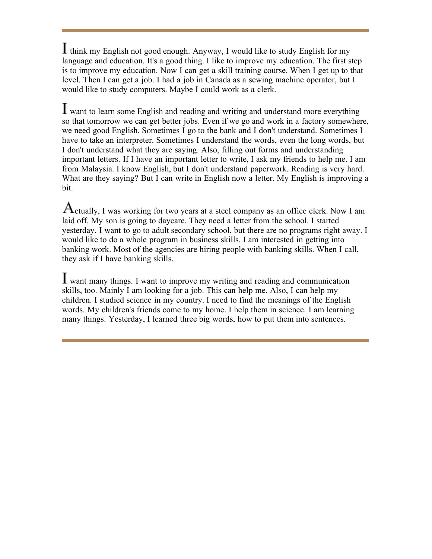I think my English not good enough. Anyway, I would like to study English for my language and education. It's a good thing. I like to improve my education. The first step is to improve my education. Now I can get a skill training course. When I get up to that level. Then I can get a job. I had a job in Canada as a sewing machine operator, but I would like to study computers. Maybe I could work as a clerk.

I want to learn some English and reading and writing and understand more everything so that tomorrow we can get better jobs. Even if we go and work in a factory somewhere, we need good English. Sometimes I go to the bank and I don't understand. Sometimes I have to take an interpreter. Sometimes I understand the words, even the long words, but I don't understand what they are saying. Also, filling out forms and understanding important letters. If I have an important letter to write, I ask my friends to help me. I am from Malaysia. I know English, but I don't understand paperwork. Reading is very hard. What are they saying? But I can write in English now a letter. My English is improving a bit.

 $A$ ctually, I was working for two years at a steel company as an office clerk. Now I am laid off. My son is going to daycare. They need a letter from the school. I started yesterday. I want to go to adult secondary school, but there are no programs right away. I would like to do a whole program in business skills. I am interested in getting into banking work. Most of the agencies are hiring people with banking skills. When I call, they ask if I have banking skills.

 want many things. I want to improve my writing and reading and communication skills, too. Mainly I am looking for a job. This can help me. Also, I can help my children. I studied science in my country. I need to find the meanings of the English words. My children's friends come to my home. I help them in science. I am learning many things. Yesterday, I learned three big words, how to put them into sentences.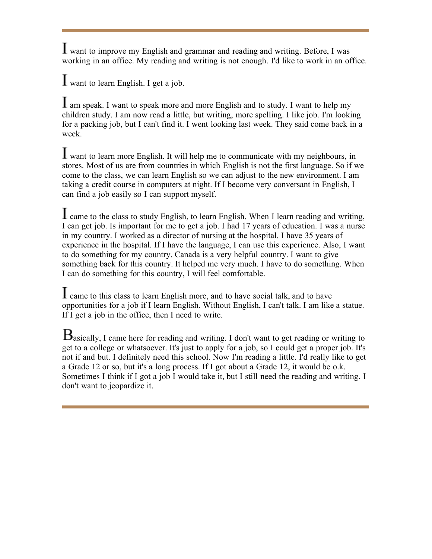**I** want to improve my English and grammar and reading and writing. Before, I was working in an office. My reading and writing is not enough. I'd like to work in an office.

want to learn English. I get a job.

 am speak. I want to speak more and more English and to study. I want to help my children study. I am now read a little, but writing, more spelling. I like job. I'm looking for a packing job, but I can't find it. I went looking last week. They said come back in a week.

 want to learn more English. It will help me to communicate with my neighbours, in stores. Most of us are from countries in which English is not the first language. So if we come to the class, we can learn English so we can adjust to the new environment. I am taking a credit course in computers at night. If I become very conversant in English, I can find a job easily so I can support myself.

 came to the class to study English, to learn English. When I learn reading and writing, I can get job. Is important for me to get a job. I had 17 years of education. I was a nurse in my country. I worked as a director of nursing at the hospital. I have 35 years of experience in the hospital. If I have the language, I can use this experience. Also, I want to do something for my country. Canada is a very helpful country. I want to give something back for this country. It helped me very much. I have to do something. When I can do something for this country, I will feel comfortable.

 came to this class to learn English more, and to have social talk, and to have opportunities for a job if I learn English. Without English, I can't talk. I am like a statue. If I get a job in the office, then I need to write.

 $B_{\text{asically, I came here for reading and writing. I don't want to get reading or writing to}$ get to a college or whatsoever. It's just to apply for a job, so I could get a proper job. It's not if and but. I definitely need this school. Now I'm reading a little. I'd really like to get a Grade 12 or so, but it's a long process. If I got about a Grade 12, it would be o.k. Sometimes I think if I got a job I would take it, but I still need the reading and writing. I don't want to jeopardize it.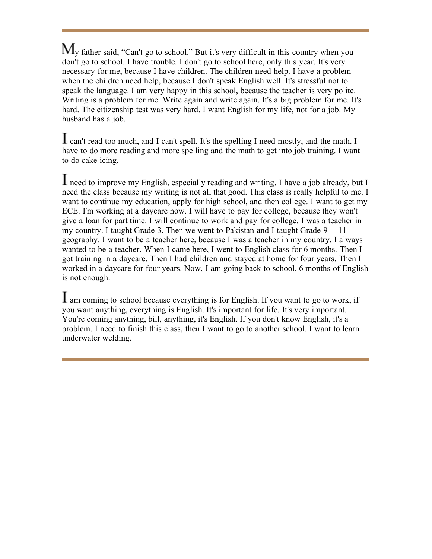$M_{y}$  father said, "Can't go to school." But it's very difficult in this country when you don't go to school. I have trouble. I don't go to school here, only this year. It's very necessary for me, because I have children. The children need help. I have a problem when the children need help, because I don't speak English well. It's stressful not to speak the language. I am very happy in this school, because the teacher is very polite. Writing is a problem for me. Write again and write again. It's a big problem for me. It's hard. The citizenship test was very hard. I want English for my life, not for a job. My husband has a job.

**L** can't read too much, and I can't spell. It's the spelling I need mostly, and the math. I have to do more reading and more spelling and the math to get into job training. I want to do cake icing.

I need to improve my English, especially reading and writing. I have a job already, but I need the class because my writing is not all that good. This class is really helpful to me. I want to continue my education, apply for high school, and then college. I want to get my ECE. I'm working at a daycare now. I will have to pay for college, because they won't give a loan for part time. I will continue to work and pay for college. I was a teacher in my country. I taught Grade 3. Then we went to Pakistan and I taught Grade 9 —11 geography. I want to be a teacher here, because I was a teacher in my country. I always wanted to be a teacher. When I came here, I went to English class for 6 months. Then I got training in a daycare. Then I had children and stayed at home for four years. Then I worked in a daycare for four years. Now, I am going back to school. 6 months of English is not enough.

am coming to school because everything is for English. If you want to go to work, if you want anything, everything is English. It's important for life. It's very important. You're coming anything, bill, anything, it's English. If you don't know English, it's a problem. I need to finish this class, then I want to go to another school. I want to learn underwater welding.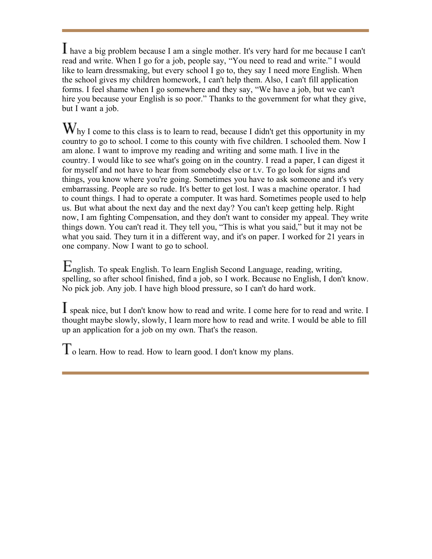have a big problem because I am a single mother. It's very hard for me because I can't read and write. When I go for a job, people say, "You need to read and write." I would like to learn dressmaking, but every school I go to, they say I need more English. When the school gives my children homework, I can't help them. Also, I can't fill application forms. I feel shame when I go somewhere and they say, "We have a job, but we can't hire you because your English is so poor." Thanks to the government for what they give, but I want a job.

 $W_{hv}$  I come to this class is to learn to read, because I didn't get this opportunity in my country to go to school. I come to this county with five children. I schooled them. Now I am alone. I want to improve my reading and writing and some math. I live in the country. I would like to see what's going on in the country. I read a paper, I can digest it for myself and not have to hear from somebody else or t.v. To go look for signs and things, you know where you're going. Sometimes you have to ask someone and it's very embarrassing. People are so rude. It's better to get lost. I was a machine operator. I had to count things. I had to operate a computer. It was hard. Sometimes people used to help us. But what about the next day and the next day? You can't keep getting help. Right now, I am fighting Compensation, and they don't want to consider my appeal. They write things down. You can't read it. They tell you, "This is what you said," but it may not be what you said. They turn it in a different way, and it's on paper. I worked for 21 years in one company. Now I want to go to school.

 $E_{\text{nglish}}$ . To speak English. To learn English Second Language, reading, writing, spelling, so after school finished, find a job, so I work. Because no English, I don't know. No pick job. Any job. I have high blood pressure, so I can't do hard work.

I speak nice, but I don't know how to read and write. I come here for to read and write. I thought maybe slowly, slowly, I learn more how to read and write. I would be able to fill up an application for a job on my own. That's the reason.

 $T_0$  learn. How to read. How to learn good. I don't know my plans.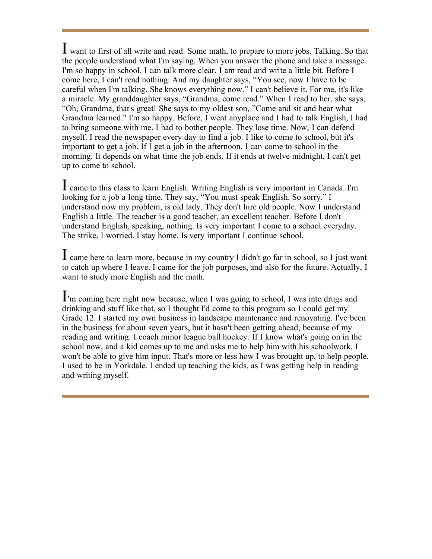want to first of all write and read. Some math, to prepare to more jobs. Talking. So that the people understand what I'm saying. When you answer the phone and take a message. I'm so happy in school. I can talk more clear. I am read and write a little bit. Before I come here, I can't read nothing. And my daughter says, "You see, now I have to be careful when I'm talking. She knows everything now." I can't believe it. For me, it's like a miracle. My granddaughter says, "Grandma, come read." When I read to her, she says, "Oh, Grandma, that's great! She says to my oldest son, "Come and sit and hear what Grandma learned." I'm so happy. Before, I went anyplace and I had to talk English, I had to bring someone with me. I had to bother people. They lose time. Now, I can defend myself. I read the newspaper every day to find a job. I like to come to school, but it's important to get a job. If I get a job in the afternoon, I can come to school in the morning. It depends on what time the job ends. If it ends at twelve midnight, I can't get up to come to school.

 came to this class to learn English. Writing English is very important in Canada. I'm looking for a job a long time. They say, "You must speak English. So sorry." I understand now my problem, is old lady. They don't hire old people. Now I understand English a little. The teacher is a good teacher, an excellent teacher. Before I don't understand English, speaking, nothing. Is very important I come to a school everyday. The strike, I worried. I stay home. Is very important I continue school.

 came here to learn more, because in my country I didn't go far in school, so I just want to catch up where I leave. I came for the job purposes, and also for the future. Actually, I want to study more English and the math.

'm coming here right now because, when I was going to school, I was into drugs and drinking and stuff like that, so I thought I'd come to this program so I could get my Grade 12. I started my own business in landscape maintenance and renovating. I've been in the business for about seven years, but it hasn't been getting ahead, because of my reading and writing. I coach minor league ball hockey. If I know what's going on in the school now, and a kid comes up to me and asks me to help him with his schoolwork, I won't be able to give him input. That's more or less how I was brought up, to help people. I used to be in Yorkdale. I ended up teaching the kids, as I was getting help in reading and writing myself.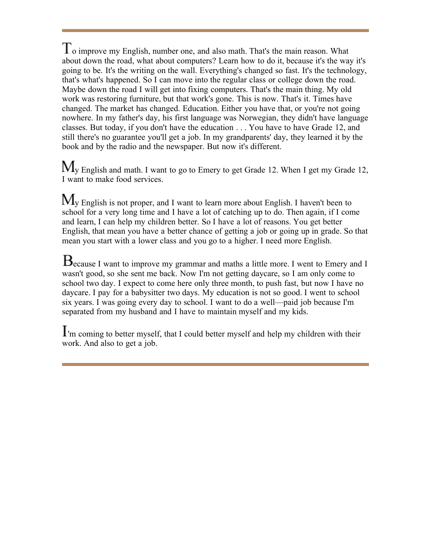o improve my English, number one, and also math. That's the main reason. What about down the road, what about computers? Learn how to do it, because it's the way it's going to be. It's the writing on the wall. Everything's changed so fast. It's the technology, that's what's happened. So I can move into the regular class or college down the road. Maybe down the road I will get into fixing computers. That's the main thing. My old work was restoring furniture, but that work's gone. This is now. That's it. Times have changed. The market has changed. Education. Either you have that, or you're not going nowhere. In my father's day, his first language was Norwegian, they didn't have language classes. But today, if you don't have the education . . . You have to have Grade 12, and still there's no guarantee you'll get a job. In my grandparents' day, they learned it by the book and by the radio and the newspaper. But now it's different.

 $M_{v}$  English and math. I want to go to Emery to get Grade 12. When I get my Grade 12, I want to make food services.

 $\mathbf{M}_{\mathbf{y}}$  English is not proper, and I want to learn more about English. I haven't been to school for a very long time and I have a lot of catching up to do. Then again, if I come and learn, I can help my children better. So I have a lot of reasons. You get better English, that mean you have a better chance of getting a job or going up in grade. So that mean you start with a lower class and you go to a higher. I need more English.

 $B_{\text{ecause I want to improve my grammar and marks a little more. I went to Emery and I}$ wasn't good, so she sent me back. Now I'm not getting daycare, so I am only come to school two day. I expect to come here only three month, to push fast, but now I have no daycare. I pay for a babysitter two days. My education is not so good. I went to school six years. I was going every day to school. I want to do a well—paid job because I'm separated from my husband and I have to maintain myself and my kids.

'm coming to better myself, that I could better myself and help my children with their work. And also to get a job.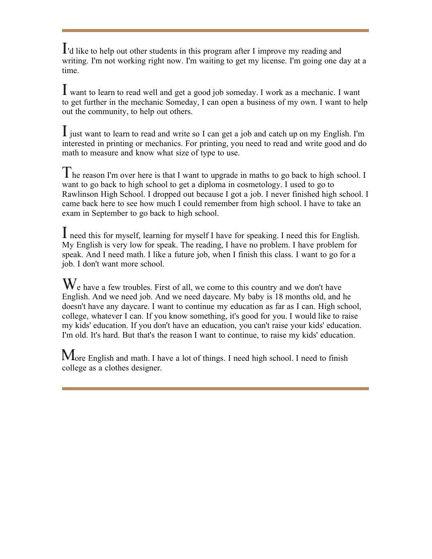'd like to help out other students in this program after I improve my reading and writing. I'm not working right now. I'm waiting to get my license. I'm going one day at a time.

 want to learn to read well and get a good job someday. I work as a mechanic. I want to get further in the mechanic Someday, I can open a business of my own. I want to help out the community, to help out others.

 $\mathbf l$  just want to learn to read and write so I can get a job and catch up on my English. I'm interested in printing or mechanics. For printing, you need to read and write good and do math to measure and know what size of type to use.

 $\Gamma$  he reason I'm over here is that I want to upgrade in maths to go back to high school. I want to go back to high school to get a diploma in cosmetology. I used to go to Rawlinson High School. I dropped out because I got a job. I never finished high school. I came back here to see how much I could remember from high school. I have to take an exam in September to go back to high school.

 need this for myself, learning for myself I have for speaking. I need this for English. My English is very low for speak. The reading, I have no problem. I have problem for speak. And I need math. I like a future job, when I finish this class. I want to go for a job. I don't want more school.

 $W_e$  have a few troubles. First of all, we come to this country and we don't have English. And we need job. And we need daycare. My baby is 18 months old, and he doesn't have any daycare. I want to continue my education as far as I can. High school, college, whatever I can. If you know something, it's good for you. I would like to raise my kids' education. If you don't have an education, you can't raise your kids' education. I'm old. It's hard. But that's the reason I want to continue, to raise my kids' education.

 $M_{\text{ore English and math. I have a lot of things. I need high school. I need to finish}$ college as a clothes designer.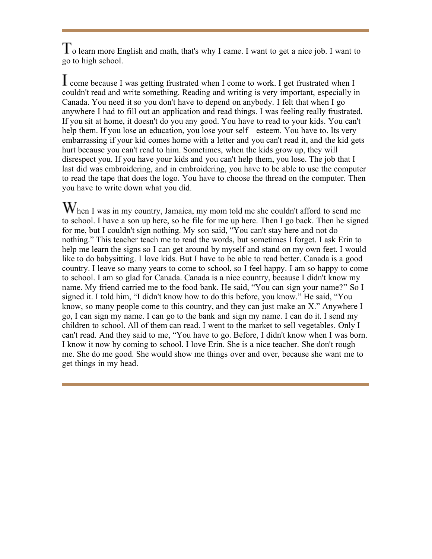$\Gamma$  o learn more English and math, that's why I came. I want to get a nice job. I want to go to high school.

**L** come because I was getting frustrated when I come to work. I get frustrated when I couldn't read and write something. Reading and writing is very important, especially in Canada. You need it so you don't have to depend on anybody. I felt that when I go anywhere I had to fill out an application and read things. I was feeling really frustrated. If you sit at home, it doesn't do you any good. You have to read to your kids. You can't help them. If you lose an education, you lose your self—esteem. You have to. Its very embarrassing if your kid comes home with a letter and you can't read it, and the kid gets hurt because you can't read to him. Sometimes, when the kids grow up, they will disrespect you. If you have your kids and you can't help them, you lose. The job that I last did was embroidering, and in embroidering, you have to be able to use the computer to read the tape that does the logo. You have to choose the thread on the computer. Then you have to write down what you did.

 $\mathbf{W}_{\text{hen I was in my country, Jamaica, my mom told me she couldn't afford to send me}$ to school. I have a son up here, so he file for me up here. Then I go back. Then he signed for me, but I couldn't sign nothing. My son said, "You can't stay here and not do nothing." This teacher teach me to read the words, but sometimes I forget. I ask Erin to help me learn the signs so I can get around by myself and stand on my own feet. I would like to do babysitting. I love kids. But I have to be able to read better. Canada is a good country. I leave so many years to come to school, so I feel happy. I am so happy to come to school. I am so glad for Canada. Canada is a nice country, because I didn't know my name. My friend carried me to the food bank. He said, "You can sign your name?" So I signed it. I told him, "I didn't know how to do this before, you know." He said, "You know, so many people come to this country, and they can just make an X." Anywhere I go, I can sign my name. I can go to the bank and sign my name. I can do it. I send my children to school. All of them can read. I went to the market to sell vegetables. Only I can't read. And they said to me, "You have to go. Before, I didn't know when I was born. I know it now by coming to school. I love Erin. She is a nice teacher. She don't rough me. She do me good. She would show me things over and over, because she want me to get things in my head.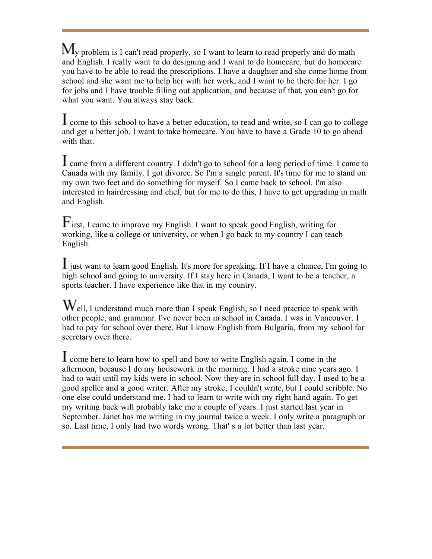$\mathbf{M}_{y}$  problem is I can't read properly, so I want to learn to read properly and do math and English. I really want to do designing and I want to do homecare, but do homecare you have to be able to read the prescriptions. I have a daughter and she come home from school and she want me to help her with her work, and I want to be there for her. I go for jobs and I have trouble filling out application, and because of that, you can't go for what you want. You always stay back.

I come to this school to have a better education, to read and write, so I can go to college and get a better job. I want to take homecare. You have to have a Grade 10 to go ahead with that.

 came from a different country. I didn't go to school for a long period of time. I came to Canada with my family. I got divorce. So I'm a single parent. It's time for me to stand on my own two feet and do something for myself. So I came back to school. I'm also interested in hairdressing and chef, but for me to do this, I have to get upgrading in math and English.

 $\mathbf{F}_{\text{irst, I}}$  came to improve my English. I want to speak good English, writing for working, like a college or university, or when I go back to my country I can teach English.

 just want to learn good English. It's more for speaking. If I have a chance, I'm going to high school and going to university. If I stay here in Canada, I want to be a teacher, a sports teacher. I have experience like that in my country.

 $W_{ell}$  I understand much more than I speak English, so I need practice to speak with other people, and grammar. I've never been in school in Canada. I was in Vancouver. I had to pay for school over there. But I know English from Bulgaria, from my school for secretary over there.

 come here to learn how to spell and how to write English again. I come in the afternoon, because I do my housework in the morning. I had a stroke nine years ago. I had to wait until my kids were in school. Now they are in school full day. I used to be a good speller and a good writer. After my stroke, I couldn't write, but I could scribble. No one else could understand me. I had to learn to write with my right hand again. To get my writing back will probably take me a couple of years. I just started last year in September. Janet has me writing in my journal twice a week. I only write a paragraph or so. Last time, I only had two words wrong. That' s a lot better than last year.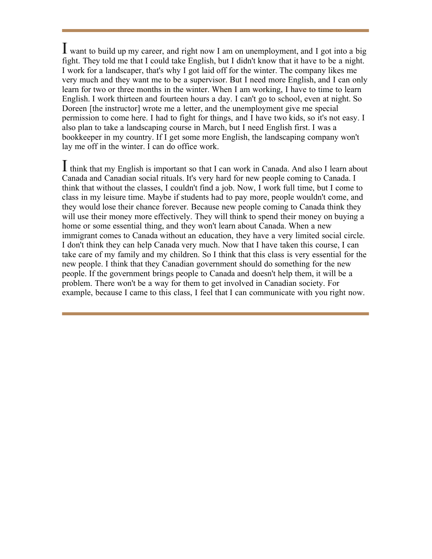want to build up my career, and right now I am on unemployment, and I got into a big fight. They told me that I could take English, but I didn't know that it have to be a night. I work for a landscaper, that's why I got laid off for the winter. The company likes me very much and they want me to be a supervisor. But I need more English, and I can only learn for two or three months in the winter. When I am working, I have to time to learn English. I work thirteen and fourteen hours a day. I can't go to school, even at night. So Doreen [the instructor] wrote me a letter, and the unemployment give me special permission to come here. I had to fight for things, and I have two kids, so it's not easy. I also plan to take a landscaping course in March, but I need English first. I was a bookkeeper in my country. If I get some more English, the landscaping company won't lay me off in the winter. I can do office work.

I think that my English is important so that I can work in Canada. And also I learn about Canada and Canadian social rituals. It's very hard for new people coming to Canada. I think that without the classes, I couldn't find a job. Now, I work full time, but I come to class in my leisure time. Maybe if students had to pay more, people wouldn't come, and they would lose their chance forever. Because new people coming to Canada think they will use their money more effectively. They will think to spend their money on buying a home or some essential thing, and they won't learn about Canada. When a new immigrant comes to Canada without an education, they have a very limited social circle. I don't think they can help Canada very much. Now that I have taken this course, I can take care of my family and my children. So I think that this class is very essential for the new people. I think that they Canadian government should do something for the new people. If the government brings people to Canada and doesn't help them, it will be a problem. There won't be a way for them to get involved in Canadian society. For example, because I came to this class, I feel that I can communicate with you right now.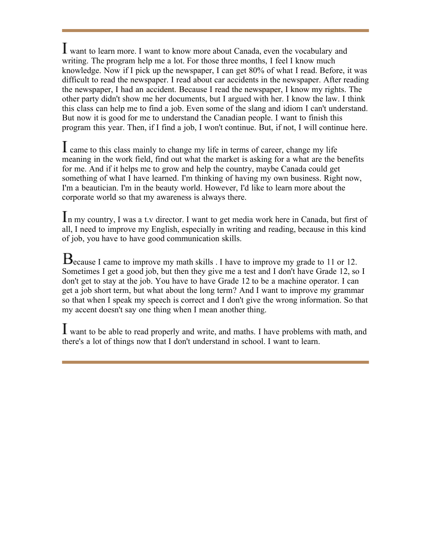want to learn more. I want to know more about Canada, even the vocabulary and writing. The program help me a lot. For those three months, I feel I know much knowledge. Now if I pick up the newspaper, I can get 80% of what I read. Before, it was difficult to read the newspaper. I read about car accidents in the newspaper. After reading the newspaper, I had an accident. Because I read the newspaper, I know my rights. The other party didn't show me her documents, but I argued with her. I know the law. I think this class can help me to find a job. Even some of the slang and idiom I can't understand. But now it is good for me to understand the Canadian people. I want to finish this program this year. Then, if I find a job, I won't continue. But, if not, I will continue here.

 came to this class mainly to change my life in terms of career, change my life meaning in the work field, find out what the market is asking for a what are the benefits for me. And if it helps me to grow and help the country, maybe Canada could get something of what I have learned. I'm thinking of having my own business. Right now, I'm a beautician. I'm in the beauty world. However, I'd like to learn more about the corporate world so that my awareness is always there.

In my country, I was a t.v director. I want to get media work here in Canada, but first of all, I need to improve my English, especially in writing and reading, because in this kind of job, you have to have good communication skills.

 $B_{\text{ecause I came to improve my math skills}$ . I have to improve my grade to 11 or 12. Sometimes I get a good job, but then they give me a test and I don't have Grade 12, so I don't get to stay at the job. You have to have Grade 12 to be a machine operator. I can get a job short term, but what about the long term? And I want to improve my grammar so that when I speak my speech is correct and I don't give the wrong information. So that my accent doesn't say one thing when I mean another thing.

 want to be able to read properly and write, and maths. I have problems with math, and there's a lot of things now that I don't understand in school. I want to learn.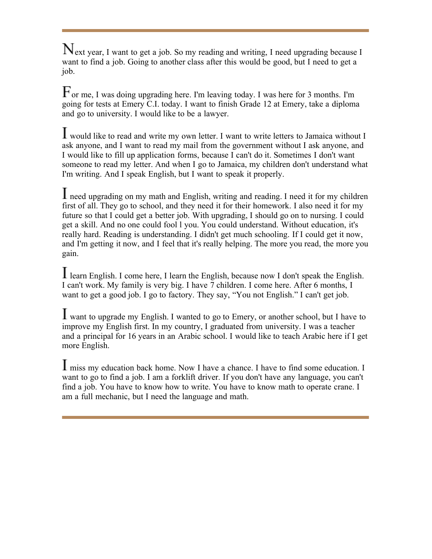$N_{\text{ext}}$  year, I want to get a job. So my reading and writing, I need upgrading because I want to find a job. Going to another class after this would be good, but I need to get a job.

 $F_{\text{or me, I was doing upgrading here. I'm leaving today. I was here for 3 months. I'm}$ going for tests at Emery C.I. today. I want to finish Grade 12 at Emery, take a diploma and go to university. I would like to be a lawyer.

 would like to read and write my own letter. I want to write letters to Jamaica without I ask anyone, and I want to read my mail from the government without I ask anyone, and I would like to fill up application forms, because I can't do it. Sometimes I don't want someone to read my letter. And when I go to Jamaica, my children don't understand what I'm writing. And I speak English, but I want to speak it properly.

 need upgrading on my math and English, writing and reading. I need it for my children first of all. They go to school, and they need it for their homework. I also need it for my future so that I could get a better job. With upgrading, I should go on to nursing. I could get a skill. And no one could fool l you. You could understand. Without education, it's really hard. Reading is understanding. I didn't get much schooling. If I could get it now, and I'm getting it now, and I feel that it's really helping. The more you read, the more you gain.

 learn English. I come here, I learn the English, because now I don't speak the English. I can't work. My family is very big. I have 7 children. I come here. After 6 months, I want to get a good job. I go to factory. They say, "You not English." I can't get job.

 want to upgrade my English. I wanted to go to Emery, or another school, but I have to improve my English first. In my country, I graduated from university. I was a teacher and a principal for 16 years in an Arabic school. I would like to teach Arabic here if I get more English.

I miss my education back home. Now I have a chance. I have to find some education. I want to go to find a job. I am a forklift driver. If you don't have any language, you can't find a job. You have to know how to write. You have to know math to operate crane. I am a full mechanic, but I need the language and math.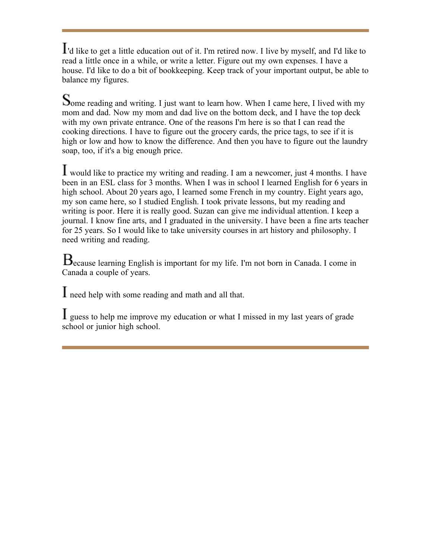'd like to get a little education out of it. I'm retired now. I live by myself, and I'd like to read a little once in a while, or write a letter. Figure out my own expenses. I have a house. I'd like to do a bit of bookkeeping. Keep track of your important output, be able to balance my figures.

Some reading and writing. I just want to learn how. When I came here, I lived with my mom and dad. Now my mom and dad live on the bottom deck, and I have the top deck with my own private entrance. One of the reasons I'm here is so that I can read the cooking directions. I have to figure out the grocery cards, the price tags, to see if it is high or low and how to know the difference. And then you have to figure out the laundry soap, too, if it's a big enough price.

 would like to practice my writing and reading. I am a newcomer, just 4 months. I have been in an ESL class for 3 months. When I was in school I learned English for 6 years in high school. About 20 years ago, I learned some French in my country. Eight years ago, my son came here, so I studied English. I took private lessons, but my reading and writing is poor. Here it is really good. Suzan can give me individual attention. I keep a journal. I know fine arts, and I graduated in the university. I have been a fine arts teacher for 25 years. So I would like to take university courses in art history and philosophy. I need writing and reading.

ecause learning English is important for my life. I'm not born in Canada. I come in Canada a couple of years.

I need help with some reading and math and all that.

 $\Gamma$  guess to help me improve my education or what I missed in my last years of grade school or junior high school.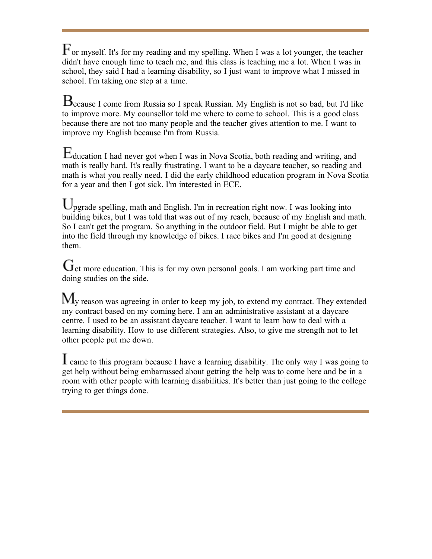$\mathbf F$  or myself. It's for my reading and my spelling. When I was a lot younger, the teacher didn't have enough time to teach me, and this class is teaching me a lot. When I was in school, they said I had a learning disability, so I just want to improve what I missed in school. I'm taking one step at a time.

 $B_{\text{ecause I come from Russia so I speak Russian. My English is not so bad, but I'd like}$ to improve more. My counsellor told me where to come to school. This is a good class because there are not too many people and the teacher gives attention to me. I want to improve my English because I'm from Russia.

 $E$ ducation I had never got when I was in Nova Scotia, both reading and writing, and math is really hard. It's really frustrating. I want to be a daycare teacher, so reading and math is what you really need. I did the early childhood education program in Nova Scotia for a year and then I got sick. I'm interested in ECE.

Upgrade spelling, math and English. I'm in recreation right now. I was looking into building bikes, but I was told that was out of my reach, because of my English and math. So I can't get the program. So anything in the outdoor field. But I might be able to get into the field through my knowledge of bikes. I race bikes and I'm good at designing them.

 $G$ <sub>et more education.</sub> This is for my own personal goals. I am working part time and doing studies on the side.

 $M_{v}$  reason was agreeing in order to keep my job, to extend my contract. They extended my contract based on my coming here. I am an administrative assistant at a daycare centre. I used to be an assistant daycare teacher. I want to learn how to deal with a learning disability. How to use different strategies. Also, to give me strength not to let other people put me down.

 came to this program because I have a learning disability. The only way I was going to get help without being embarrassed about getting the help was to come here and be in a room with other people with learning disabilities. It's better than just going to the college trying to get things done.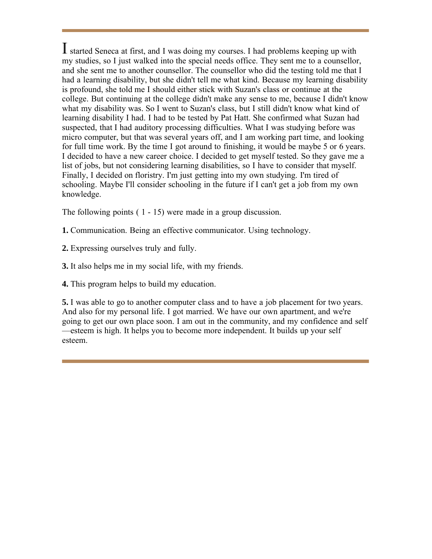I started Seneca at first, and I was doing my courses. I had problems keeping up with my studies, so I just walked into the special needs office. They sent me to a counsellor, and she sent me to another counsellor. The counsellor who did the testing told me that I had a learning disability, but she didn't tell me what kind. Because my learning disability is profound, she told me I should either stick with Suzan's class or continue at the college. But continuing at the college didn't make any sense to me, because I didn't know what my disability was. So I went to Suzan's class, but I still didn't know what kind of learning disability I had. I had to be tested by Pat Hatt. She confirmed what Suzan had suspected, that I had auditory processing difficulties. What I was studying before was micro computer, but that was several years off, and I am working part time, and looking for full time work. By the time I got around to finishing, it would be maybe 5 or 6 years. I decided to have a new career choice. I decided to get myself tested. So they gave me a list of jobs, but not considering learning disabilities, so I have to consider that myself. Finally, I decided on floristry. I'm just getting into my own studying. I'm tired of schooling. Maybe I'll consider schooling in the future if I can't get a job from my own knowledge.

The following points ( 1 - 15) were made in a group discussion.

- **1.** Communication. Being an effective communicator. Using technology.
- **2.** Expressing ourselves truly and fully.
- **3.** It also helps me in my social life, with my friends.
- **4.** This program helps to build my education.

**5.** I was able to go to another computer class and to have a job placement for two years. And also for my personal life. I got married. We have our own apartment, and we're going to get our own place soon. I am out in the community, and my confidence and self —esteem is high. It helps you to become more independent. It builds up your self esteem.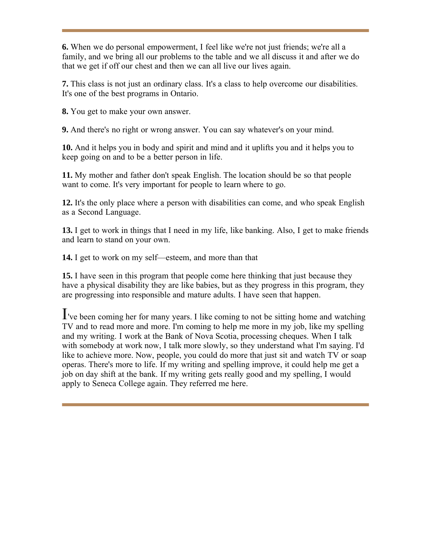**6.** When we do personal empowerment, I feel like we're not just friends; we're all a family, and we bring all our problems to the table and we all discuss it and after we do that we get if off our chest and then we can all live our lives again.

**7.** This class is not just an ordinary class. It's a class to help overcome our disabilities. It's one of the best programs in Ontario.

**8.** You get to make your own answer.

**9.** And there's no right or wrong answer. You can say whatever's on your mind.

**10.** And it helps you in body and spirit and mind and it uplifts you and it helps you to keep going on and to be a better person in life.

**11.** My mother and father don't speak English. The location should be so that people want to come. It's very important for people to learn where to go.

**12.** It's the only place where a person with disabilities can come, and who speak English as a Second Language.

**13.** I get to work in things that I need in my life, like banking. Also, I get to make friends and learn to stand on your own.

**14.** I get to work on my self—esteem, and more than that

**15.** I have seen in this program that people come here thinking that just because they have a physical disability they are like babies, but as they progress in this program, they are progressing into responsible and mature adults. I have seen that happen.

've been coming her for many years. I like coming to not be sitting home and watching TV and to read more and more. I'm coming to help me more in my job, like my spelling and my writing. I work at the Bank of Nova Scotia, processing cheques. When I talk with somebody at work now, I talk more slowly, so they understand what I'm saying. I'd like to achieve more. Now, people, you could do more that just sit and watch TV or soap operas. There's more to life. If my writing and spelling improve, it could help me get a job on day shift at the bank. If my writing gets really good and my spelling, I would apply to Seneca College again. They referred me here.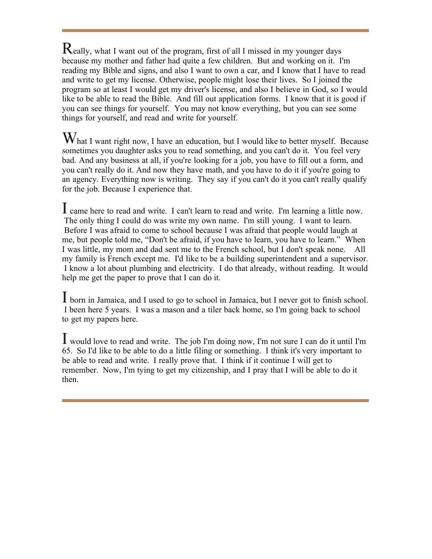**K**eally, what I want out of the program, first of all I missed in my younger days because my mother and father had quite a few children. But and working on it. I'm reading my Bible and signs, and also I want to own a car, and I know that I have to read and write to get my license. Otherwise, people might lose their lives. So I joined the program so at least I would get my driver's license, and also I believe in God, so I would like to be able to read the Bible. And fill out application forms. I know that it is good if you can see things for yourself. You may not know everything, but you can see some things for yourself, and read and write for yourself.

 $W<sub>hat I</sub>$  want right now, I have an education, but I would like to better myself. Because sometimes you daughter asks you to read something, and you can't do it. You feel very bad. And any business at all, if you're looking for a job, you have to fill out a form, and you can't really do it. And now they have math, and you have to do it if you're going to an agency. Everything now is writing. They say if you can't do it you can't really qualify for the job. Because I experience that.

 came here to read and write. I can't learn to read and write. I'm learning a little now. The only thing I could do was write my own name. I'm still young. I want to learn. Before I was afraid to come to school because I was afraid that people would laugh at me, but people told me, "Don't be afraid, if you have to learn, you have to learn." When I was little, my mom and dad sent me to the French school, but I don't speak none. All my family is French except me. I'd like to be a building superintendent and a supervisor. I know a lot about plumbing and electricity. I do that already, without reading. It would help me get the paper to prove that I can do it.

 born in Jamaica, and I used to go to school in Jamaica, but I never got to finish school. I been here 5 years. I was a mason and a tiler back home, so I'm going back to school to get my papers here.

 would love to read and write. The job I'm doing now, I'm not sure I can do it until I'm 65. So I'd like to be able to do a little filing or something. I think it's very important to be able to read and write. I really prove that. I think if it continue I will get to remember. Now, I'm tying to get my citizenship, and I pray that I will be able to do it then.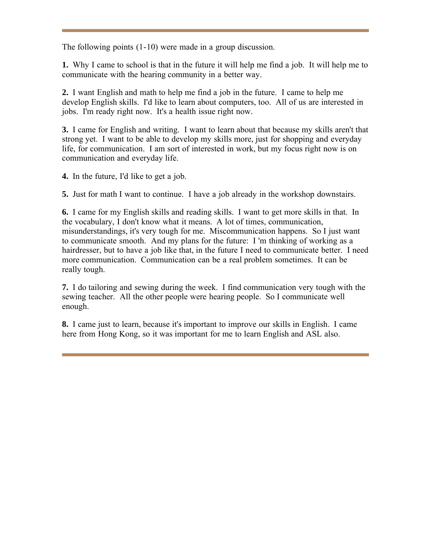The following points (1-10) were made in a group discussion.

**1.** Why I came to school is that in the future it will help me find a job. It will help me to communicate with the hearing community in a better way.

**2.** I want English and math to help me find a job in the future. I came to help me develop English skills. I'd like to learn about computers, too. All of us are interested in jobs. I'm ready right now. It's a health issue right now.

**3.** I came for English and writing. I want to learn about that because my skills aren't that strong yet. I want to be able to develop my skills more, just for shopping and everyday life, for communication. I am sort of interested in work, but my focus right now is on communication and everyday life.

**4.** In the future, I'd like to get a job.

**5.** Just for math I want to continue. I have a job already in the workshop downstairs.

**6.** I came for my English skills and reading skills. I want to get more skills in that. In the vocabulary, I don't know what it means. A lot of times, communication, misunderstandings, it's very tough for me. Miscommunication happens. So I just want to communicate smooth. And my plans for the future: I 'm thinking of working as a hairdresser, but to have a job like that, in the future I need to communicate better. I need more communication. Communication can be a real problem sometimes. It can be really tough.

**7.** I do tailoring and sewing during the week. I find communication very tough with the sewing teacher. All the other people were hearing people. So I communicate well enough.

**8.** I came just to learn, because it's important to improve our skills in English. I came here from Hong Kong, so it was important for me to learn English and ASL also.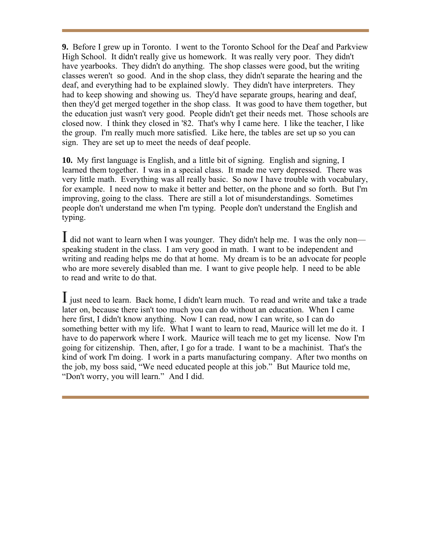**9.** Before I grew up in Toronto. I went to the Toronto School for the Deaf and Parkview High School. It didn't really give us homework. It was really very poor. They didn't have yearbooks. They didn't do anything. The shop classes were good, but the writing classes weren't so good. And in the shop class, they didn't separate the hearing and the deaf, and everything had to be explained slowly. They didn't have interpreters. They had to keep showing and showing us. They'd have separate groups, hearing and deaf, then they'd get merged together in the shop class. It was good to have them together, but the education just wasn't very good. People didn't get their needs met. Those schools are closed now. I think they closed in '82. That's why I came here. I like the teacher, I like the group. I'm really much more satisfied. Like here, the tables are set up so you can sign. They are set up to meet the needs of deaf people.

**10.** My first language is English, and a little bit of signing. English and signing, I learned them together. I was in a special class. It made me very depressed. There was very little math. Everything was all really basic. So now I have trouble with vocabulary, for example. I need now to make it better and better, on the phone and so forth. But I'm improving, going to the class. There are still a lot of misunderstandings. Sometimes people don't understand me when I'm typing. People don't understand the English and typing.

I did not want to learn when I was younger. They didn't help me. I was the only non speaking student in the class. I am very good in math. I want to be independent and writing and reading helps me do that at home. My dream is to be an advocate for people who are more severely disabled than me. I want to give people help. I need to be able to read and write to do that.

**I** just need to learn. Back home, I didn't learn much. To read and write and take a trade later on, because there isn't too much you can do without an education. When I came here first, I didn't know anything. Now I can read, now I can write, so I can do something better with my life. What I want to learn to read, Maurice will let me do it. I have to do paperwork where I work. Maurice will teach me to get my license. Now I'm going for citizenship. Then, after, I go for a trade. I want to be a machinist. That's the kind of work I'm doing. I work in a parts manufacturing company. After two months on the job, my boss said, "We need educated people at this job." But Maurice told me, "Don't worry, you will learn." And I did.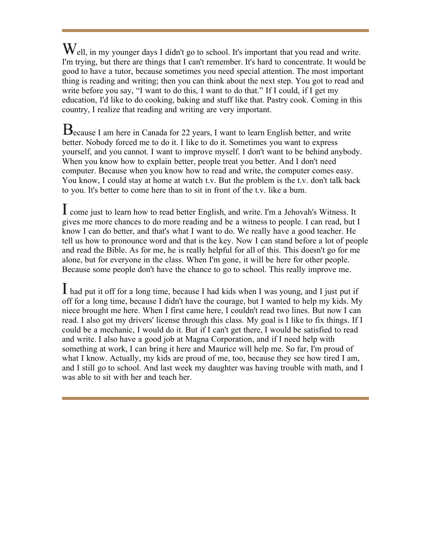$W_{ell}$ , in my younger days I didn't go to school. It's important that you read and write. I'm trying, but there are things that I can't remember. It's hard to concentrate. It would be good to have a tutor, because sometimes you need special attention. The most important thing is reading and writing; then you can think about the next step. You got to read and write before you say, "I want to do this, I want to do that." If I could, if I get my education, I'd like to do cooking, baking and stuff like that. Pastry cook. Coming in this country, I realize that reading and writing are very important.

 $B_{\text{ecause I am here in Canada for 22 years, I want to learn English better, and write}$ better. Nobody forced me to do it. I like to do it. Sometimes you want to express yourself, and you cannot. I want to improve myself. I don't want to be behind anybody. When you know how to explain better, people treat you better. And I don't need computer. Because when you know how to read and write, the computer comes easy. You know, I could stay at home at watch t.v. But the problem is the t.v. don't talk back to you. It's better to come here than to sit in front of the t.v. like a bum.

 come just to learn how to read better English, and write. I'm a Jehovah's Witness. It gives me more chances to do more reading and be a witness to people. I can read, but I know I can do better, and that's what I want to do. We really have a good teacher. He tell us how to pronounce word and that is the key. Now I can stand before a lot of people and read the Bible. As for me, he is really helpful for all of this. This doesn't go for me alone, but for everyone in the class. When I'm gone, it will be here for other people. Because some people don't have the chance to go to school. This really improve me.

 had put it off for a long time, because I had kids when I was young, and I just put if off for a long time, because I didn't have the courage, but I wanted to help my kids. My niece brought me here. When I first came here, I couldn't read two lines. But now I can read. I also got my drivers' license through this class. My goal is I like to fix things. If I could be a mechanic, I would do it. But if I can't get there, I would be satisfied to read and write. I also have a good job at Magna Corporation, and if I need help with something at work, I can bring it here and Maurice will help me. So far, I'm proud of what I know. Actually, my kids are proud of me, too, because they see how tired I am, and I still go to school. And last week my daughter was having trouble with math, and I was able to sit with her and teach her.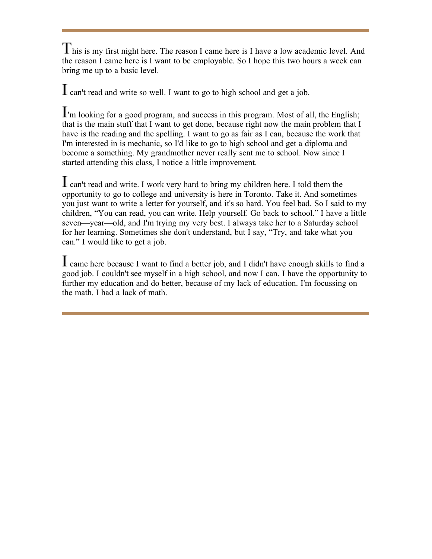his is my first night here. The reason I came here is I have a low academic level. And the reason I came here is I want to be employable. So I hope this two hours a week can bring me up to a basic level.

can't read and write so well. I want to go to high school and get a job.

'm looking for a good program, and success in this program. Most of all, the English; that is the main stuff that I want to get done, because right now the main problem that I have is the reading and the spelling. I want to go as fair as I can, because the work that I'm interested in is mechanic, so I'd like to go to high school and get a diploma and become a something. My grandmother never really sent me to school. Now since I started attending this class, I notice a little improvement.

 can't read and write. I work very hard to bring my children here. I told them the opportunity to go to college and university is here in Toronto. Take it. And sometimes you just want to write a letter for yourself, and it's so hard. You feel bad. So I said to my children, "You can read, you can write. Help yourself. Go back to school." I have a little seven—year—old, and I'm trying my very best. I always take her to a Saturday school for her learning. Sometimes she don't understand, but I say, "Try, and take what you can." I would like to get a job.

 came here because I want to find a better job, and I didn't have enough skills to find a good job. I couldn't see myself in a high school, and now I can. I have the opportunity to further my education and do better, because of my lack of education. I'm focussing on the math. I had a lack of math.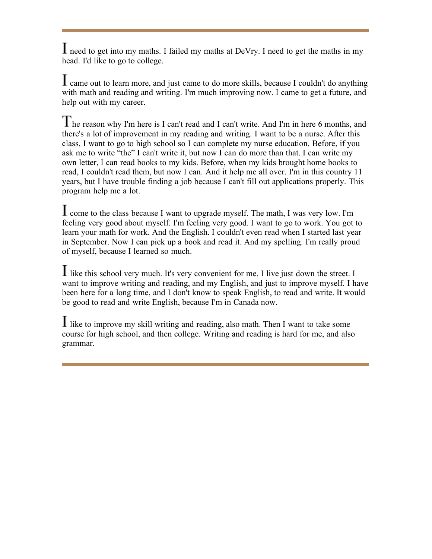$\mathbf I$  need to get into my maths. I failed my maths at DeVry. I need to get the maths in my head. I'd like to go to college.

 came out to learn more, and just came to do more skills, because I couldn't do anything with math and reading and writing. I'm much improving now. I came to get a future, and help out with my career.

he reason why I'm here is I can't read and I can't write. And I'm in here 6 months, and there's a lot of improvement in my reading and writing. I want to be a nurse. After this class, I want to go to high school so I can complete my nurse education. Before, if you ask me to write "the" I can't write it, but now I can do more than that. I can write my own letter, I can read books to my kids. Before, when my kids brought home books to read, I couldn't read them, but now I can. And it help me all over. I'm in this country 11 years, but I have trouble finding a job because I can't fill out applications properly. This program help me a lot.

 come to the class because I want to upgrade myself. The math, I was very low. I'm feeling very good about myself. I'm feeling very good. I want to go to work. You got to learn your math for work. And the English. I couldn't even read when I started last year in September. Now I can pick up a book and read it. And my spelling. I'm really proud of myself, because I learned so much.

 like this school very much. It's very convenient for me. I live just down the street. I want to improve writing and reading, and my English, and just to improve myself. I have been here for a long time, and I don't know to speak English, to read and write. It would be good to read and write English, because I'm in Canada now.

 like to improve my skill writing and reading, also math. Then I want to take some course for high school, and then college. Writing and reading is hard for me, and also grammar.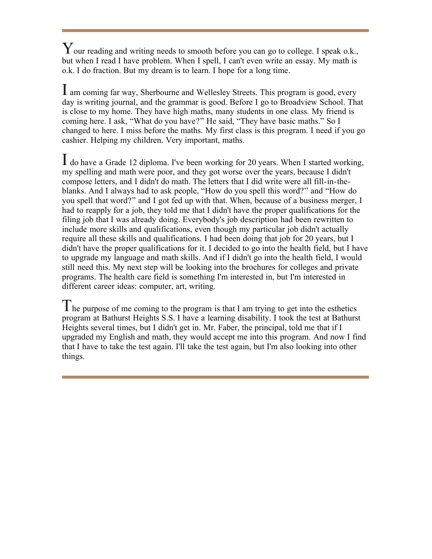$\mathbf Y$  our reading and writing needs to smooth before you can go to college. I speak o.k., but when I read I have problem. When I spell, I can't even write an essay. My math is o.k. I do fraction. But my dream is to learn. I hope for a long time.

 am coming far way, Sherbourne and Wellesley Streets. This program is good, every day is writing journal, and the grammar is good. Before I go to Broadview School. That is close to my home. They have high maths, many students in one class. My friend is coming here. I ask, "What do you have?" He said, "They have basic maths." So I changed to here. I miss before the maths. My first class is this program. I need if you go cashier. Helping my children. Very important, maths.

 do have a Grade 12 diploma. I've been working for 20 years. When I started working, my spelling and math were poor, and they got worse over the years, because I didn't compose letters, and I didn't do math. The letters that I did write were all fill-in-theblanks. And I always had to ask people, "How do you spell this word?" and "How do you spell that word?" and I got fed up with that. When, because of a business merger, I had to reapply for a job, they told me that I didn't have the proper qualifications for the filing job that I was already doing. Everybody's job description had been rewritten to include more skills and qualifications, even though my particular job didn't actually require all these skills and qualifications. I had been doing that job for 20 years, but I didn't have the proper qualifications for it. I decided to go into the health field, but I have to upgrade my language and math skills. And if I didn't go into the health field, I would still need this. My next step will be looking into the brochures for colleges and private programs. The health care field is something I'm interested in, but I'm interested in different career ideas: computer, art, writing.

The purpose of me coming to the program is that I am trying to get into the esthetics program at Bathurst Heights S.S. I have a learning disability. I took the test at Bathurst Heights several times, but I didn't get in. Mr. Faber, the principal, told me that if I upgraded my English and math, they would accept me into this program. And now I find that I have to take the test again. I'll take the test again, but I'm also looking into other things.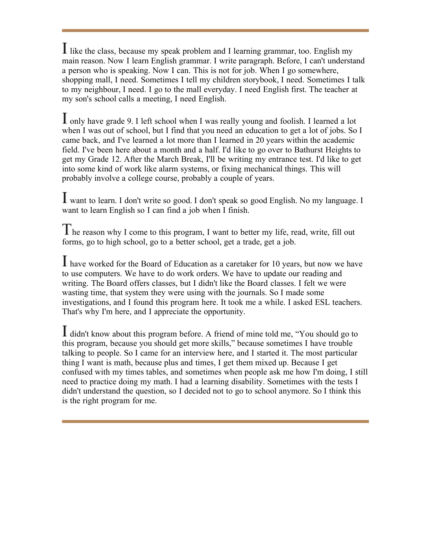I like the class, because my speak problem and I learning grammar, too. English my main reason. Now I learn English grammar. I write paragraph. Before, I can't understand a person who is speaking. Now I can. This is not for job. When I go somewhere, shopping mall, I need. Sometimes I tell my children storybook, I need. Sometimes I talk to my neighbour, I need. I go to the mall everyday. I need English first. The teacher at my son's school calls a meeting, I need English.

 only have grade 9. I left school when I was really young and foolish. I learned a lot when I was out of school, but I find that you need an education to get a lot of jobs. So I came back, and I've learned a lot more than I learned in 20 years within the academic field. I've been here about a month and a half. I'd like to go over to Bathurst Heights to get my Grade 12. After the March Break, I'll be writing my entrance test. I'd like to get into some kind of work like alarm systems, or fixing mechanical things. This will probably involve a college course, probably a couple of years.

 want to learn. I don't write so good. I don't speak so good English. No my language. I want to learn English so I can find a job when I finish.

he reason why I come to this program, I want to better my life, read, write, fill out forms, go to high school, go to a better school, get a trade, get a job.

 have worked for the Board of Education as a caretaker for 10 years, but now we have to use computers. We have to do work orders. We have to update our reading and writing. The Board offers classes, but I didn't like the Board classes. I felt we were wasting time, that system they were using with the journals. So I made some investigations, and I found this program here. It took me a while. I asked ESL teachers. That's why I'm here, and I appreciate the opportunity.

 didn't know about this program before. A friend of mine told me, "You should go to this program, because you should get more skills," because sometimes I have trouble talking to people. So I came for an interview here, and I started it. The most particular thing I want is math, because plus and times, I get them mixed up. Because I get confused with my times tables, and sometimes when people ask me how I'm doing, I still need to practice doing my math. I had a learning disability. Sometimes with the tests I didn't understand the question, so I decided not to go to school anymore. So I think this is the right program for me.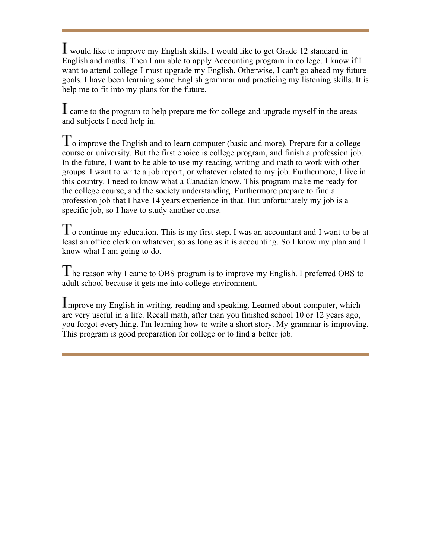**I** would like to improve my English skills. I would like to get Grade 12 standard in English and maths. Then I am able to apply Accounting program in college. I know if I want to attend college I must upgrade my English. Otherwise, I can't go ahead my future goals. I have been learning some English grammar and practicing my listening skills. It is help me to fit into my plans for the future.

**L** came to the program to help prepare me for college and upgrade myself in the areas and subjects I need help in.

 $\Gamma$  o improve the English and to learn computer (basic and more). Prepare for a college course or university. But the first choice is college program, and finish a profession job. In the future, I want to be able to use my reading, writing and math to work with other groups. I want to write a job report, or whatever related to my job. Furthermore, I live in this country. I need to know what a Canadian know. This program make me ready for the college course, and the society understanding. Furthermore prepare to find a profession job that I have 14 years experience in that. But unfortunately my job is a specific job, so I have to study another course.

 $\Gamma$  o continue my education. This is my first step. I was an accountant and I want to be at least an office clerk on whatever, so as long as it is accounting. So I know my plan and I know what I am going to do.

he reason why I came to OBS program is to improve my English. I preferred OBS to adult school because it gets me into college environment.

**I**mprove my English in writing, reading and speaking. Learned about computer, which are very useful in a life. Recall math, after than you finished school 10 or 12 years ago, you forgot everything. I'm learning how to write a short story. My grammar is improving. This program is good preparation for college or to find a better job.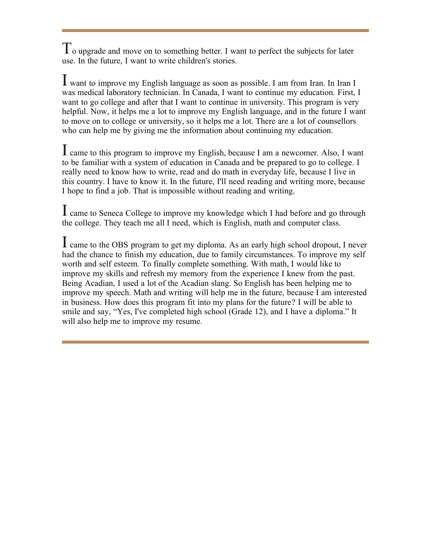$\Gamma$  o upgrade and move on to something better. I want to perfect the subjects for later use. In the future, I want to write children's stories.

 want to improve my English language as soon as possible. I am from Iran. In Iran I was medical laboratory technician. In Canada, I want to continue my education. First, I want to go college and after that I want to continue in university. This program is very helpful. Now, it helps me a lot to improve my English language, and in the future I want to move on to college or university, so it helps me a lot. There are a lot of counsellors who can help me by giving me the information about continuing my education.

 came to this program to improve my English, because I am a newcomer. Also, I want to be familiar with a system of education in Canada and be prepared to go to college. I really need to know how to write, read and do math in everyday life, because I live in this country. I have to know it. In the future, I'll need reading and writing more, because I hope to find a job. That is impossible without reading and writing.

 came to Seneca College to improve my knowledge which I had before and go through the college. They teach me all I need, which is English, math and computer class.

 came to the OBS program to get my diploma. As an early high school dropout, I never had the chance to finish my education, due to family circumstances. To improve my self worth and self esteem. To finally complete something. With math, I would like to improve my skills and refresh my memory from the experience I knew from the past. Being Acadian, I used a lot of the Acadian slang. So English has been helping me to improve my speech. Math and writing will help me in the future, because I am interested in business. How does this program fit into my plans for the future? I will be able to smile and say, "Yes, I've completed high school (Grade 12), and I have a diploma." It will also help me to improve my resume.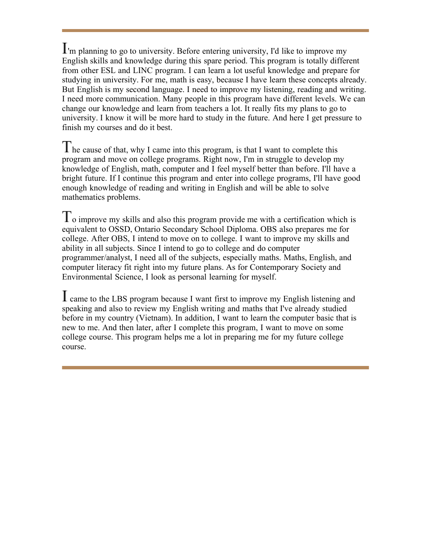'm planning to go to university. Before entering university, I'd like to improve my English skills and knowledge during this spare period. This program is totally different from other ESL and LINC program. I can learn a lot useful knowledge and prepare for studying in university. For me, math is easy, because I have learn these concepts already. But English is my second language. I need to improve my listening, reading and writing. I need more communication. Many people in this program have different levels. We can change our knowledge and learn from teachers a lot. It really fits my plans to go to university. I know it will be more hard to study in the future. And here I get pressure to finish my courses and do it best.

The cause of that, why I came into this program, is that I want to complete this program and move on college programs. Right now, I'm in struggle to develop my knowledge of English, math, computer and I feel myself better than before. I'll have a bright future. If I continue this program and enter into college programs, I'll have good enough knowledge of reading and writing in English and will be able to solve mathematics problems.

 $T<sub>o</sub>$  improve my skills and also this program provide me with a certification which is equivalent to OSSD, Ontario Secondary School Diploma. OBS also prepares me for college. After OBS, I intend to move on to college. I want to improve my skills and ability in all subjects. Since I intend to go to college and do computer programmer/analyst, I need all of the subjects, especially maths. Maths, English, and computer literacy fit right into my future plans. As for Contemporary Society and Environmental Science, I look as personal learning for myself.

 came to the LBS program because I want first to improve my English listening and speaking and also to review my English writing and maths that I've already studied before in my country (Vietnam). In addition, I want to learn the computer basic that is new to me. And then later, after I complete this program, I want to move on some college course. This program helps me a lot in preparing me for my future college course.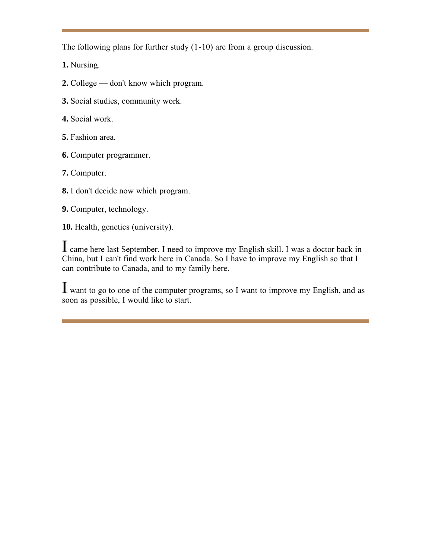The following plans for further study (1-10) are from a group discussion.

**1.** Nursing.

**2.** College — don't know which program.

- **3.** Social studies, community work.
- **4.** Social work.
- **5.** Fashion area.
- **6.** Computer programmer.
- **7.** Computer.
- **8.** I don't decide now which program.
- **9.** Computer, technology.
- **10.** Health, genetics (university).

 came here last September. I need to improve my English skill. I was a doctor back in China, but I can't find work here in Canada. So I have to improve my English so that I can contribute to Canada, and to my family here.

 want to go to one of the computer programs, so I want to improve my English, and as soon as possible, I would like to start.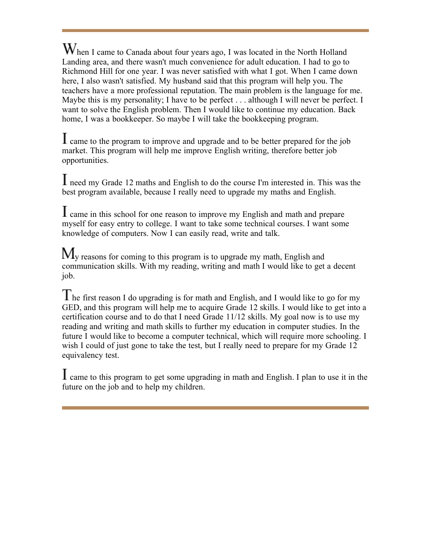When I came to Canada about four years ago, I was located in the North Holland Landing area, and there wasn't much convenience for adult education. I had to go to Richmond Hill for one year. I was never satisfied with what I got. When I came down here, I also wasn't satisfied. My husband said that this program will help you. The teachers have a more professional reputation. The main problem is the language for me. Maybe this is my personality; I have to be perfect . . . although I will never be perfect. I want to solve the English problem. Then I would like to continue my education. Back home, I was a bookkeeper. So maybe I will take the bookkeeping program.

 $\mathbf I$  came to the program to improve and upgrade and to be better prepared for the job market. This program will help me improve English writing, therefore better job opportunities.

 need my Grade 12 maths and English to do the course I'm interested in. This was the best program available, because I really need to upgrade my maths and English.

 came in this school for one reason to improve my English and math and prepare myself for easy entry to college. I want to take some technical courses. I want some knowledge of computers. Now I can easily read, write and talk.

 $M_{\rm y}$  reasons for coming to this program is to upgrade my math, English and communication skills. With my reading, writing and math I would like to get a decent job.

The first reason I do upgrading is for math and English, and I would like to go for my GED, and this program will help me to acquire Grade 12 skills. I would like to get into a certification course and to do that I need Grade 11/12 skills. My goal now is to use my reading and writing and math skills to further my education in computer studies. In the future I would like to become a computer technical, which will require more schooling. I wish I could of just gone to take the test, but I really need to prepare for my Grade 12 equivalency test.

 came to this program to get some upgrading in math and English. I plan to use it in the future on the job and to help my children.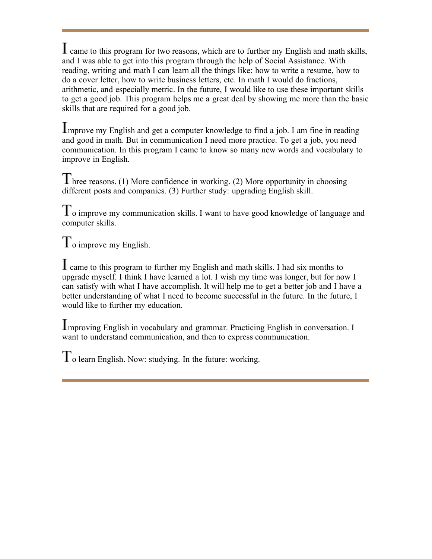I came to this program for two reasons, which are to further my English and math skills, and I was able to get into this program through the help of Social Assistance. With reading, writing and math I can learn all the things like: how to write a resume, how to do a cover letter, how to write business letters, etc. In math I would do fractions, arithmetic, and especially metric. In the future, I would like to use these important skills to get a good job. This program helps me a great deal by showing me more than the basic skills that are required for a good job.

Improve my English and get a computer knowledge to find a job. I am fine in reading and good in math. But in communication I need more practice. To get a job, you need communication. In this program I came to know so many new words and vocabulary to improve in English.

Three reasons. (1) More confidence in working. (2) More opportunity in choosing different posts and companies. (3) Further study: upgrading English skill.

 $T_0$  improve my communication skills. I want to have good knowledge of language and computer skills.

 $T_0$  improve my English.

I came to this program to further my English and math skills. I had six months to upgrade myself. I think I have learned a lot. I wish my time was longer, but for now I can satisfy with what I have accomplish. It will help me to get a better job and I have a better understanding of what I need to become successful in the future. In the future, I would like to further my education.

**I**mproving English in vocabulary and grammar. Practicing English in conversation. I want to understand communication, and then to express communication.

 $T_0$  learn English. Now: studying. In the future: working.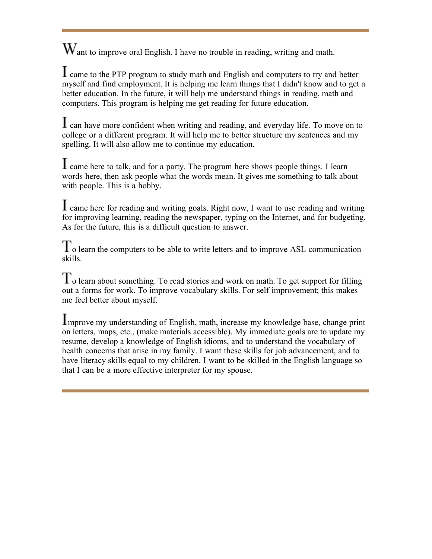$W<sub>ant</sub>$  to improve oral English. I have no trouble in reading, writing and math.

**L** came to the PTP program to study math and English and computers to try and better myself and find employment. It is helping me learn things that I didn't know and to get a better education. In the future, it will help me understand things in reading, math and computers. This program is helping me get reading for future education.

 can have more confident when writing and reading, and everyday life. To move on to college or a different program. It will help me to better structure my sentences and my spelling. It will also allow me to continue my education.

 came here to talk, and for a party. The program here shows people things. I learn words here, then ask people what the words mean. It gives me something to talk about with people. This is a hobby.

 came here for reading and writing goals. Right now, I want to use reading and writing for improving learning, reading the newspaper, typing on the Internet, and for budgeting. As for the future, this is a difficult question to answer.

 $\Gamma$  o learn the computers to be able to write letters and to improve ASL communication skills.

 $T_0$  learn about something. To read stories and work on math. To get support for filling out a forms for work. To improve vocabulary skills. For self improvement; this makes me feel better about myself.

mprove my understanding of English, math, increase my knowledge base, change print on letters, maps, etc., (make materials accessible). My immediate goals are to update my resume, develop a knowledge of English idioms, and to understand the vocabulary of health concerns that arise in my family. I want these skills for job advancement, and to have literacy skills equal to my children. I want to be skilled in the English language so that I can be a more effective interpreter for my spouse.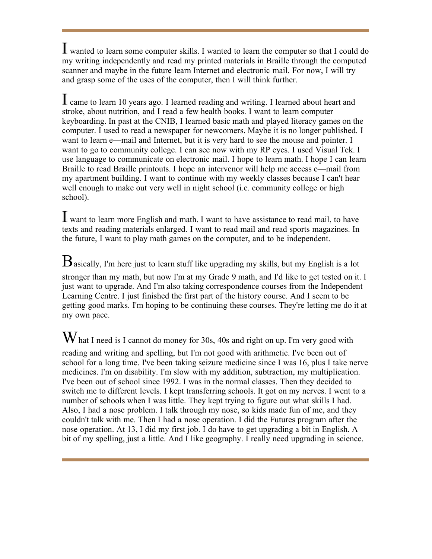wanted to learn some computer skills. I wanted to learn the computer so that I could do my writing independently and read my printed materials in Braille through the computed scanner and maybe in the future learn Internet and electronic mail. For now, I will try and grasp some of the uses of the computer, then I will think further.

 came to learn 10 years ago. I learned reading and writing. I learned about heart and stroke, about nutrition, and I read a few health books. I want to learn computer keyboarding. In past at the CNIB, I learned basic math and played literacy games on the computer. I used to read a newspaper for newcomers. Maybe it is no longer published. I want to learn e—mail and Internet, but it is very hard to see the mouse and pointer. I want to go to community college. I can see now with my RP eyes. I used Visual Tek. I use language to communicate on electronic mail. I hope to learn math. I hope I can learn Braille to read Braille printouts. I hope an intervenor will help me access e—mail from my apartment building. I want to continue with my weekly classes because I can't hear well enough to make out very well in night school (i.e. community college or high school).

 want to learn more English and math. I want to have assistance to read mail, to have texts and reading materials enlarged. I want to read mail and read sports magazines. In the future, I want to play math games on the computer, and to be independent.

 $\mathbf B$ asically, I'm here just to learn stuff like upgrading my skills, but my English is a lot stronger than my math, but now I'm at my Grade 9 math, and I'd like to get tested on it. I just want to upgrade. And I'm also taking correspondence courses from the Independent Learning Centre. I just finished the first part of the history course. And I seem to be getting good marks. I'm hoping to be continuing these courses. They're letting me do it at my own pace.

What I need is I cannot do money for 30s, 40s and right on up. I'm very good with reading and writing and spelling, but I'm not good with arithmetic. I've been out of school for a long time. I've been taking seizure medicine since I was 16, plus I take nerve medicines. I'm on disability. I'm slow with my addition, subtraction, my multiplication. I've been out of school since 1992. I was in the normal classes. Then they decided to switch me to different levels. I kept transferring schools. It got on my nerves. I went to a number of schools when I was little. They kept trying to figure out what skills I had. Also, I had a nose problem. I talk through my nose, so kids made fun of me, and they couldn't talk with me. Then I had a nose operation. I did the Futures program after the nose operation. At 13, I did my first job. I do have to get upgrading a bit in English. A bit of my spelling, just a little. And I like geography. I really need upgrading in science.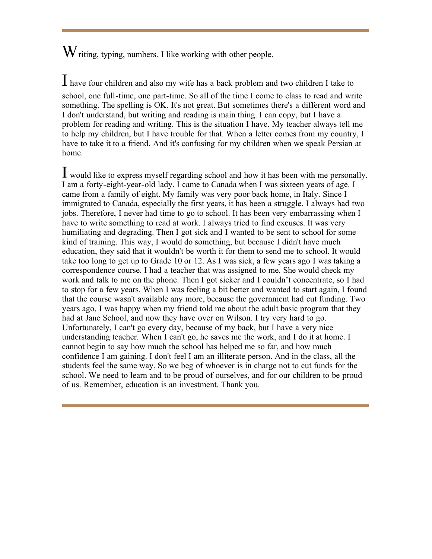$W$  riting, typing, numbers. I like working with other people.

I have four children and also my wife has a back problem and two children I take to school, one full-time, one part-time. So all of the time I come to class to read and write something. The spelling is OK. It's not great. But sometimes there's a different word and I don't understand, but writing and reading is main thing. I can copy, but I have a problem for reading and writing. This is the situation I have. My teacher always tell me to help my children, but I have trouble for that. When a letter comes from my country, I have to take it to a friend. And it's confusing for my children when we speak Persian at home.

 would like to express myself regarding school and how it has been with me personally. I am a forty-eight-year-old lady. I came to Canada when I was sixteen years of age. I came from a family of eight. My family was very poor back home, in Italy. Since I immigrated to Canada, especially the first years, it has been a struggle. I always had two jobs. Therefore, I never had time to go to school. It has been very embarrassing when I have to write something to read at work. I always tried to find excuses. It was very humiliating and degrading. Then I got sick and I wanted to be sent to school for some kind of training. This way, I would do something, but because I didn't have much education, they said that it wouldn't be worth it for them to send me to school. It would take too long to get up to Grade 10 or 12. As I was sick, a few years ago I was taking a correspondence course. I had a teacher that was assigned to me. She would check my work and talk to me on the phone. Then I got sicker and I couldn't concentrate, so I had to stop for a few years. When I was feeling a bit better and wanted to start again, I found that the course wasn't available any more, because the government had cut funding. Two years ago, I was happy when my friend told me about the adult basic program that they had at Jane School, and now they have over on Wilson. I try very hard to go. Unfortunately, I can't go every day, because of my back, but I have a very nice understanding teacher. When I can't go, he saves me the work, and I do it at home. I cannot begin to say how much the school has helped me so far, and how much confidence I am gaining. I don't feel I am an illiterate person. And in the class, all the students feel the same way. So we beg of whoever is in charge not to cut funds for the school. We need to learn and to be proud of ourselves, and for our children to be proud of us. Remember, education is an investment. Thank you.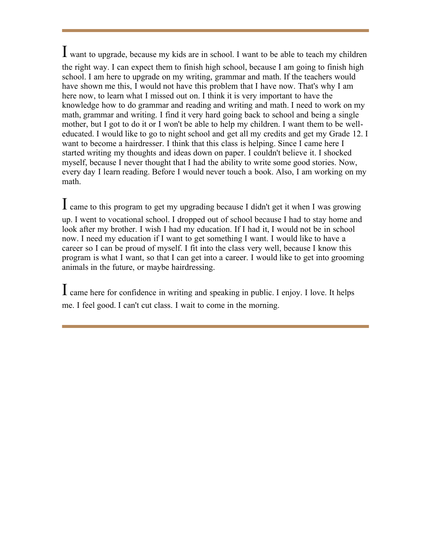I want to upgrade, because my kids are in school. I want to be able to teach my children the right way. I can expect them to finish high school, because I am going to finish high school. I am here to upgrade on my writing, grammar and math. If the teachers would have shown me this, I would not have this problem that I have now. That's why I am here now, to learn what I missed out on. I think it is very important to have the knowledge how to do grammar and reading and writing and math. I need to work on my math, grammar and writing. I find it very hard going back to school and being a single mother, but I got to do it or I won't be able to help my children. I want them to be welleducated. I would like to go to night school and get all my credits and get my Grade 12. I want to become a hairdresser. I think that this class is helping. Since I came here I started writing my thoughts and ideas down on paper. I couldn't believe it. I shocked myself, because I never thought that I had the ability to write some good stories. Now, every day I learn reading. Before I would never touch a book. Also, I am working on my math.

I came to this program to get my upgrading because I didn't get it when I was growing up. I went to vocational school. I dropped out of school because I had to stay home and look after my brother. I wish I had my education. If I had it, I would not be in school now. I need my education if I want to get something I want. I would like to have a career so I can be proud of myself. I fit into the class very well, because I know this program is what I want, so that I can get into a career. I would like to get into grooming animals in the future, or maybe hairdressing.

I came here for confidence in writing and speaking in public. I enjoy. I love. It helps me. I feel good. I can't cut class. I wait to come in the morning.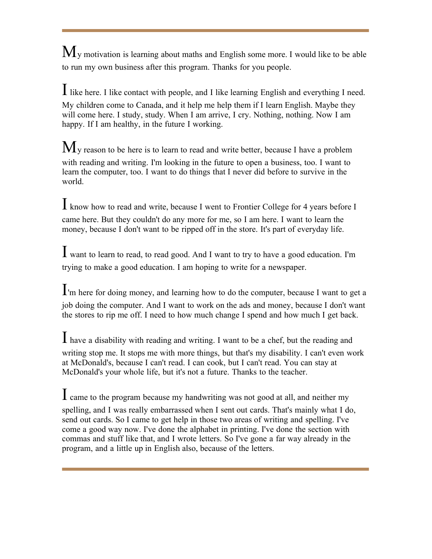$M_{\rm y}$  motivation is learning about maths and English some more. I would like to be able to run my own business after this program. Thanks for you people.

I like here. I like contact with people, and I like learning English and everything I need. My children come to Canada, and it help me help them if I learn English. Maybe they will come here. I study, study. When I am arrive, I cry. Nothing, nothing. Now I am happy. If I am healthy, in the future I working.

 $M_{\rm V}$  reason to be here is to learn to read and write better, because I have a problem with reading and writing. I'm looking in the future to open a business, too. I want to learn the computer, too. I want to do things that I never did before to survive in the world.

I know how to read and write, because I went to Frontier College for 4 years before I came here. But they couldn't do any more for me, so I am here. I want to learn the money, because I don't want to be ripped off in the store. It's part of everyday life.

I want to learn to read, to read good. And I want to try to have a good education. I'm trying to make a good education. I am hoping to write for a newspaper.

I'm here for doing money, and learning how to do the computer, because I want to get a job doing the computer. And I want to work on the ads and money, because I don't want the stores to rip me off. I need to how much change I spend and how much I get back.

I have a disability with reading and writing. I want to be a chef, but the reading and writing stop me. It stops me with more things, but that's my disability. I can't even work at McDonald's, because I can't read. I can cook, but I can't read. You can stay at McDonald's your whole life, but it's not a future. Thanks to the teacher.

I came to the program because my handwriting was not good at all, and neither my spelling, and I was really embarrassed when I sent out cards. That's mainly what I do, send out cards. So I came to get help in those two areas of writing and spelling. I've come a good way now. I've done the alphabet in printing. I've done the section with commas and stuff like that, and I wrote letters. So I've gone a far way already in the program, and a little up in English also, because of the letters.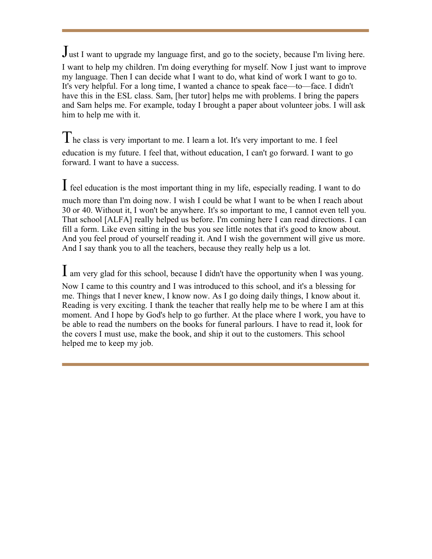Just I want to upgrade my language first, and go to the society, because I'm living here.

I want to help my children. I'm doing everything for myself. Now I just want to improve my language. Then I can decide what I want to do, what kind of work I want to go to. It's very helpful. For a long time, I wanted a chance to speak face—to—face. I didn't have this in the ESL class. Sam, [her tutor] helps me with problems. I bring the papers and Sam helps me. For example, today I brought a paper about volunteer jobs. I will ask him to help me with it.

The class is very important to me. I learn a lot. It's very important to me. I feel education is my future. I feel that, without education, I can't go forward. I want to go forward. I want to have a success.

I feel education is the most important thing in my life, especially reading. I want to do much more than I'm doing now. I wish I could be what I want to be when I reach about 30 or 40. Without it, I won't be anywhere. It's so important to me, I cannot even tell you. That school [ALFA] really helped us before. I'm coming here I can read directions. I can fill a form. Like even sitting in the bus you see little notes that it's good to know about. And you feel proud of yourself reading it. And I wish the government will give us more. And I say thank you to all the teachers, because they really help us a lot.

I am very glad for this school, because I didn't have the opportunity when I was young. Now I came to this country and I was introduced to this school, and it's a blessing for me. Things that I never knew, I know now. As I go doing daily things, I know about it. Reading is very exciting. I thank the teacher that really help me to be where I am at this moment. And I hope by God's help to go further. At the place where I work, you have to be able to read the numbers on the books for funeral parlours. I have to read it, look for the covers I must use, make the book, and ship it out to the customers. This school

helped me to keep my job.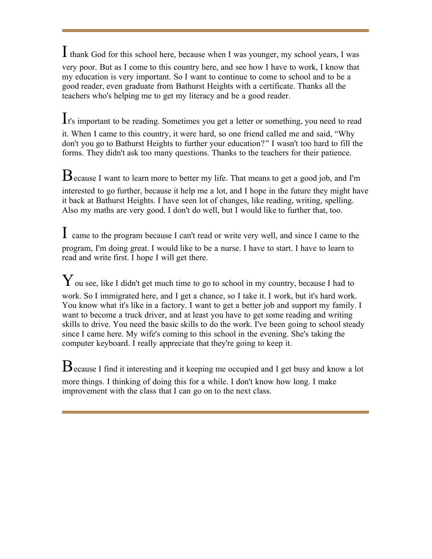I thank God for this school here, because when I was younger, my school years, I was very poor. But as I come to this country here, and see how I have to work, I know that my education is very important. So I want to continue to come to school and to be a good reader, even graduate from Bathurst Heights with a certificate. Thanks all the teachers who's helping me to get my literacy and be a good reader.

It's important to be reading. Sometimes you get a letter or something, you need to read

it. When I came to this country, it were hard, so one friend called me and said, "Why don't you go to Bathurst Heights to further your education?" I wasn't too hard to fill the forms. They didn't ask too many questions. Thanks to the teachers for their patience.

 $\mathbf B$  ecause I want to learn more to better my life. That means to get a good job, and I'm interested to go further, because it help me a lot, and I hope in the future they might have it back at Bathurst Heights. I have seen lot of changes, like reading, writing, spelling. Also my maths are very good. I don't do well, but I would like to further that, too.

I came to the program because I can't read or write very well, and since I came to the program, I'm doing great. I would like to be a nurse. I have to start. I have to learn to read and write first. I hope I will get there.

 $\bf{Y}$  ou see, like I didn't get much time to go to school in my country, because I had to

work. So I immigrated here, and I get a chance, so I take it. I work, but it's hard work. You know what it's like in a factory. I want to get a better job and support my family. I want to become a truck driver, and at least you have to get some reading and writing skills to drive. You need the basic skills to do the work. I've been going to school steady since I came here. My wife's coming to this school in the evening. She's taking the computer keyboard. I really appreciate that they're going to keep it.

Because I find it interesting and it keeping me occupied and I get busy and know a lot more things. I thinking of doing this for a while. I don't know how long. I make improvement with the class that I can go on to the next class.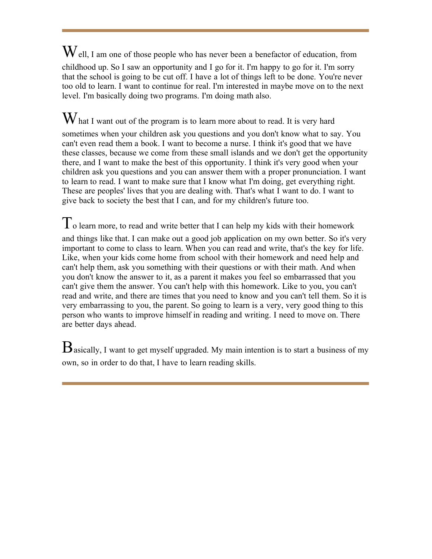Well, I am one of those people who has never been a benefactor of education, from

childhood up. So I saw an opportunity and I go for it. I'm happy to go for it. I'm sorry that the school is going to be cut off. I have a lot of things left to be done. You're never too old to learn. I want to continue for real. I'm interested in maybe move on to the next level. I'm basically doing two programs. I'm doing math also.

 $W$  hat I want out of the program is to learn more about to read. It is very hard sometimes when your children ask you questions and you don't know what to say. You can't even read them a book. I want to become a nurse. I think it's good that we have these classes, because we come from these small islands and we don't get the opportunity there, and I want to make the best of this opportunity. I think it's very good when your children ask you questions and you can answer them with a proper pronunciation. I want to learn to read. I want to make sure that I know what I'm doing, get everything right. These are peoples' lives that you are dealing with. That's what I want to do. I want to give back to society the best that I can, and for my children's future too.

 $T_0$  learn more, to read and write better that I can help my kids with their homework and things like that. I can make out a good job application on my own better. So it's very important to come to class to learn. When you can read and write, that's the key for life. Like, when your kids come home from school with their homework and need help and can't help them, ask you something with their questions or with their math. And when you don't know the answer to it, as a parent it makes you feel so embarrassed that you can't give them the answer. You can't help with this homework. Like to you, you can't read and write, and there are times that you need to know and you can't tell them. So it is very embarrassing to you, the parent. So going to learn is a very, very good thing to this person who wants to improve himself in reading and writing. I need to move on. There are better days ahead.

 $B$ asically, I want to get myself upgraded. My main intention is to start a business of my own, so in order to do that, I have to learn reading skills.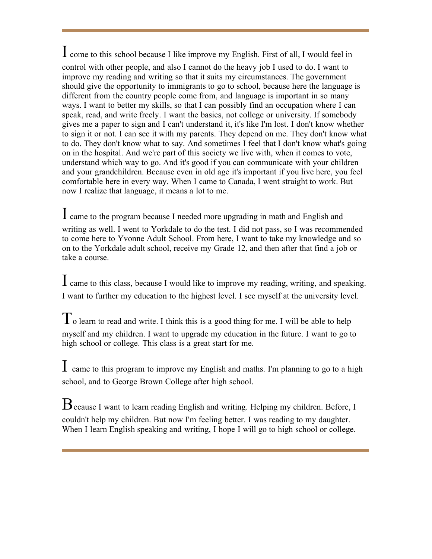I come to this school because I like improve my English. First of all, I would feel in control with other people, and also I cannot do the heavy job I used to do. I want to improve my reading and writing so that it suits my circumstances. The government should give the opportunity to immigrants to go to school, because here the language is different from the country people come from, and language is important in so many ways. I want to better my skills, so that I can possibly find an occupation where I can speak, read, and write freely. I want the basics, not college or university. If somebody gives me a paper to sign and I can't understand it, it's like I'm lost. I don't know whether to sign it or not. I can see it with my parents. They depend on me. They don't know what to do. They don't know what to say. And sometimes I feel that I don't know what's going on in the hospital. And we're part of this society we live with, when it comes to vote, understand which way to go. And it's good if you can communicate with your children and your grandchildren. Because even in old age it's important if you live here, you feel comfortable here in every way. When I came to Canada, I went straight to work. But now I realize that language, it means a lot to me.

I came to the program because I needed more upgrading in math and English and writing as well. I went to Yorkdale to do the test. I did not pass, so I was recommended to come here to Yvonne Adult School. From here, I want to take my knowledge and so on to the Yorkdale adult school, receive my Grade 12, and then after that find a job or take a course.

I came to this class, because I would like to improve my reading, writing, and speaking. I want to further my education to the highest level. I see myself at the university level.

 $T_0$  learn to read and write. I think this is a good thing for me. I will be able to help myself and my children. I want to upgrade my education in the future. I want to go to high school or college. This class is a great start for me.

I came to this program to improve my English and maths. I'm planning to go to a high school, and to George Brown College after high school.

Because I want to learn reading English and writing. Helping my children. Before, I couldn't help my children. But now I'm feeling better. I was reading to my daughter. When I learn English speaking and writing, I hope I will go to high school or college.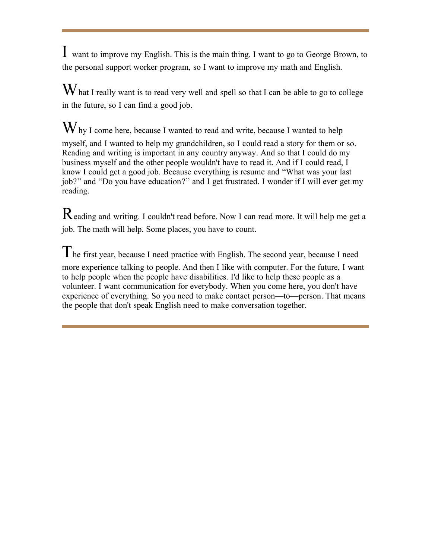I want to improve my English. This is the main thing. I want to go to George Brown, to the personal support worker program, so I want to improve my math and English.

 $W$  hat I really want is to read very well and spell so that I can be able to go to college in the future, so I can find a good job.

 $\mathbf{W}_{\text{hv I}}$  come here, because I wanted to read and write, because I wanted to help myself, and I wanted to help my grandchildren, so I could read a story for them or so. Reading and writing is important in any country anyway. And so that I could do my business myself and the other people wouldn't have to read it. And if I could read, I know I could get a good job. Because everything is resume and "What was your last job?" and "Do you have education?" and I get frustrated. I wonder if I will ever get my reading.

Reading and writing. I couldn't read before. Now I can read more. It will help me get a job. The math will help. Some places, you have to count.

The first year, because I need practice with English. The second year, because I need more experience talking to people. And then I like with computer. For the future, I want to help people when the people have disabilities. I'd like to help these people as a volunteer. I want communication for everybody. When you come here, you don't have experience of everything. So you need to make contact person—to—person. That means the people that don't speak English need to make conversation together.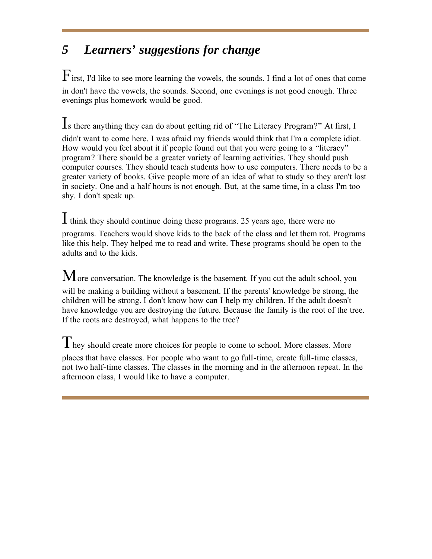## *5 Learners' suggestions for change*

 $F$  irst, I'd like to see more learning the vowels, the sounds. I find a lot of ones that come in don't have the vowels, the sounds. Second, one evenings is not good enough. Three evenings plus homework would be good.

Is there anything they can do about getting rid of "The Literacy Program?" At first, I didn't want to come here. I was afraid my friends would think that I'm a complete idiot. How would you feel about it if people found out that you were going to a "literacy" program? There should be a greater variety of learning activities. They should push computer courses. They should teach students how to use computers. There needs to be a greater variety of books. Give people more of an idea of what to study so they aren't lost in society. One and a half hours is not enough. But, at the same time, in a class I'm too shy. I don't speak up.

I think they should continue doing these programs. 25 years ago, there were no

programs. Teachers would shove kids to the back of the class and let them rot. Programs like this help. They helped me to read and write. These programs should be open to the adults and to the kids.

 $M$  ore conversation. The knowledge is the basement. If you cut the adult school, you will be making a building without a basement. If the parents' knowledge be strong, the children will be strong. I don't know how can I help my children. If the adult doesn't have knowledge you are destroying the future. Because the family is the root of the tree. If the roots are destroyed, what happens to the tree?

 $T$  hev should create more choices for people to come to school. More classes. More places that have classes. For people who want to go full-time, create full-time classes, not two half-time classes. The classes in the morning and in the afternoon repeat. In the afternoon class, I would like to have a computer.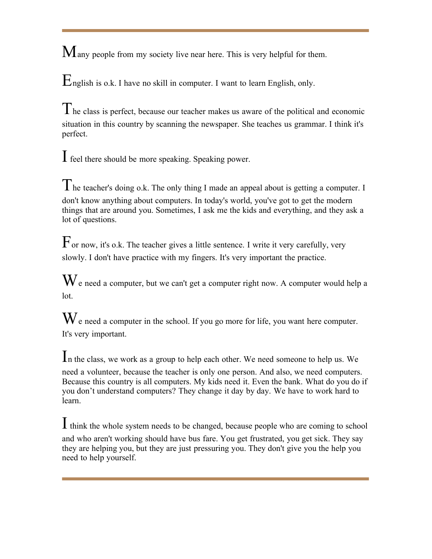$M$ any people from my society live near here. This is very helpful for them.

English is o.k. I have no skill in computer. I want to learn English, only.

 $\Gamma$  he class is perfect, because our teacher makes us aware of the political and economic situation in this country by scanning the newspaper. She teaches us grammar. I think it's perfect.

I feel there should be more speaking. Speaking power.

The teacher's doing o.k. The only thing I made an appeal about is getting a computer. I don't know anything about computers. In today's world, you've got to get the modern things that are around you. Sometimes, I ask me the kids and everything, and they ask a lot of questions.

 $F_{\text{or now, it's o.k.}}$  The teacher gives a little sentence. I write it very carefully, very slowly. I don't have practice with my fingers. It's very important the practice.

 $W_e$  need a computer, but we can't get a computer right now. A computer would help a lot.

 $W_e$  need a computer in the school. If you go more for life, you want here computer. It's very important.

In the class, we work as a group to help each other. We need someone to help us. We need a volunteer, because the teacher is only one person. And also, we need computers. Because this country is all computers. My kids need it. Even the bank. What do you do if you don't understand computers? They change it day by day. We have to work hard to learn.

I think the whole system needs to be changed, because people who are coming to school and who aren't working should have bus fare. You get frustrated, you get sick. They say they are helping you, but they are just pressuring you. They don't give you the help you need to help yourself.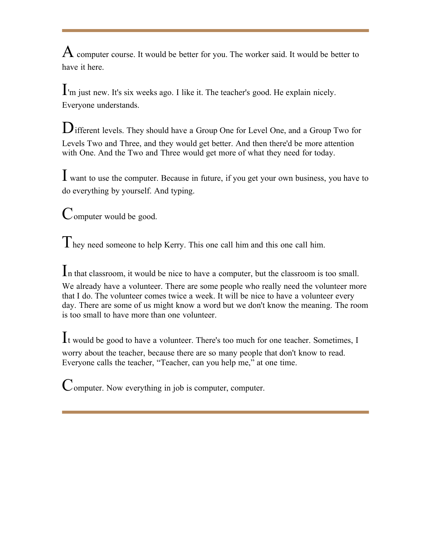$A$  computer course. It would be better for you. The worker said. It would be better to have it here.

I'm just new. It's six weeks ago. I like it. The teacher's good. He explain nicely. Everyone understands.

Different levels. They should have a Group One for Level One, and a Group Two for Levels Two and Three, and they would get better. And then there'd be more attention with One. And the Two and Three would get more of what they need for today.

I want to use the computer. Because in future, if you get your own business, you have to do everything by yourself. And typing.

Computer would be good.

 $T$  hey need someone to help Kerry. This one call him and this one call him.

In that classroom, it would be nice to have a computer, but the classroom is too small. We already have a volunteer. There are some people who really need the volunteer more that I do. The volunteer comes twice a week. It will be nice to have a volunteer every day. There are some of us might know a word but we don't know the meaning. The room is too small to have more than one volunteer.

It would be good to have a volunteer. There's too much for one teacher. Sometimes, I worry about the teacher, because there are so many people that don't know to read. Everyone calls the teacher, "Teacher, can you help me," at one time.

Computer. Now everything in job is computer, computer.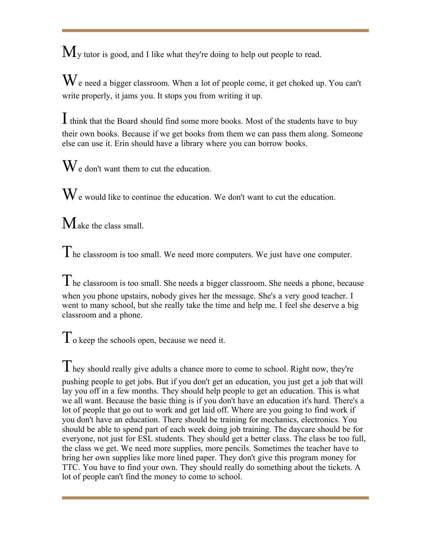$M_{\rm y}$  tutor is good, and I like what they're doing to help out people to read.

 $W_e$  need a bigger classroom. When a lot of people come, it get choked up. You can't write properly, it jams you. It stops you from writing it up.

I think that the Board should find some more books. Most of the students have to buy their own books. Because if we get books from them we can pass them along. Someone else can use it. Erin should have a library where you can borrow books.

 $W_e$  don't want them to cut the education.

 $W_e$  would like to continue the education. We don't want to cut the education.

Make the class small.

 $T$ he classroom is too small. We need more computers. We just have one computer.

 $T$ he classroom is too small. She needs a bigger classroom. She needs a phone, because when you phone upstairs, nobody gives her the message. She's a very good teacher. I went to many school, but she really take the time and help me. I feel she deserve a big classroom and a phone.

 $T_0$  keep the schools open, because we need it.

 $T$  hey should really give adults a chance more to come to school. Right now, they're pushing people to get jobs. But if you don't get an education, you just get a job that will lay you off in a few months. They should help people to get an education. This is what we all want. Because the basic thing is if you don't have an education it's hard. There's a lot of people that go out to work and get laid off. Where are you going to find work if you don't have an education. There should be training for mechanics, electronics. You should be able to spend part of each week doing job training. The daycare should be for everyone, not just for ESL students. They should get a better class. The class be too full, the class we get. We need more supplies, more pencils. Sometimes the teacher have to bring her own supplies like more lined paper. They don't give this program money for TTC. You have to find your own. They should really do something about the tickets. A lot of people can't find the money to come to school.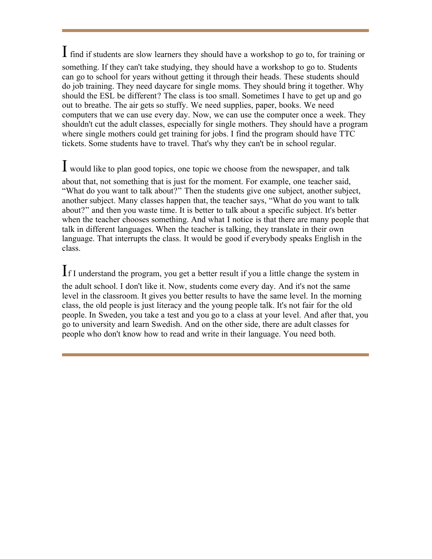I find if students are slow learners they should have a workshop to go to, for training or something. If they can't take studying, they should have a workshop to go to. Students can go to school for years without getting it through their heads. These students should do job training. They need daycare for single moms. They should bring it together. Why should the ESL be different? The class is too small. Sometimes I have to get up and go out to breathe. The air gets so stuffy. We need supplies, paper, books. We need computers that we can use every day. Now, we can use the computer once a week. They shouldn't cut the adult classes, especially for single mothers. They should have a program where single mothers could get training for jobs. I find the program should have TTC tickets. Some students have to travel. That's why they can't be in school regular.

I would like to plan good topics, one topic we choose from the newspaper, and talk about that, not something that is just for the moment. For example, one teacher said, "What do you want to talk about?" Then the students give one subject, another subject, another subject. Many classes happen that, the teacher says, "What do you want to talk about?" and then you waste time. It is better to talk about a specific subject. It's better when the teacher chooses something. And what I notice is that there are many people that talk in different languages. When the teacher is talking, they translate in their own language. That interrupts the class. It would be good if everybody speaks English in the class.

If I understand the program, you get a better result if you a little change the system in the adult school. I don't like it. Now, students come every day. And it's not the same level in the classroom. It gives you better results to have the same level. In the morning class, the old people is just literacy and the young people talk. It's not fair for the old people. In Sweden, you take a test and you go to a class at your level. And after that, you go to university and learn Swedish. And on the other side, there are adult classes for people who don't know how to read and write in their language. You need both.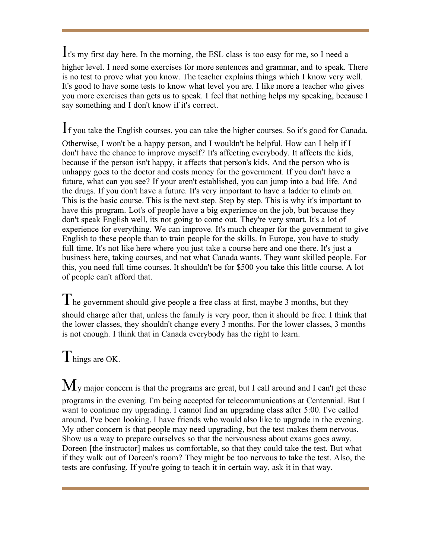It's my first day here. In the morning, the ESL class is too easy for me, so I need a

higher level. I need some exercises for more sentences and grammar, and to speak. There is no test to prove what you know. The teacher explains things which I know very well. It's good to have some tests to know what level you are. I like more a teacher who gives you more exercises than gets us to speak. I feel that nothing helps my speaking, because I say something and I don't know if it's correct.

If you take the English courses, you can take the higher courses. So it's good for Canada. Otherwise, I won't be a happy person, and I wouldn't be helpful. How can I help if I don't have the chance to improve myself? It's affecting everybody. It affects the kids, because if the person isn't happy, it affects that person's kids. And the person who is unhappy goes to the doctor and costs money for the government. If you don't have a future, what can you see? If your aren't established, you can jump into a bad life. And the drugs. If you don't have a future. It's very important to have a ladder to climb on. This is the basic course. This is the next step. Step by step. This is why it's important to have this program. Lot's of people have a big experience on the job, but because they don't speak English well, its not going to come out. They're very smart. It's a lot of experience for everything. We can improve. It's much cheaper for the government to give English to these people than to train people for the skills. In Europe, you have to study full time. It's not like here where you just take a course here and one there. It's just a business here, taking courses, and not what Canada wants. They want skilled people. For this, you need full time courses. It shouldn't be for \$500 you take this little course. A lot of people can't afford that.

 $T<sub>he</sub>$  government should give people a free class at first, maybe 3 months, but they should charge after that, unless the family is very poor, then it should be free. I think that

the lower classes, they shouldn't change every 3 months. For the lower classes, 3 months is not enough. I think that in Canada everybody has the right to learn.

## Things are OK.

 $M_y$  major concern is that the programs are great, but I call around and I can't get these programs in the evening. I'm being accepted for telecommunications at Centennial. But I want to continue my upgrading. I cannot find an upgrading class after 5:00. I've called around. I've been looking. I have friends who would also like to upgrade in the evening. My other concern is that people may need upgrading, but the test makes them nervous. Show us a way to prepare ourselves so that the nervousness about exams goes away. Doreen [the instructor] makes us comfortable, so that they could take the test. But what if they walk out of Doreen's room? They might be too nervous to take the test. Also, the tests are confusing. If you're going to teach it in certain way, ask it in that way.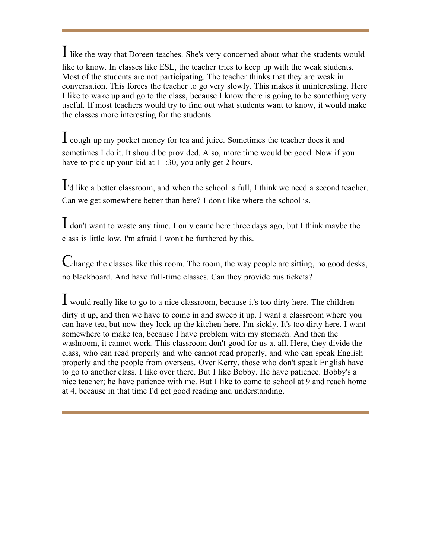I like the way that Doreen teaches. She's very concerned about what the students would like to know. In classes like ESL, the teacher tries to keep up with the weak students. Most of the students are not participating. The teacher thinks that they are weak in conversation. This forces the teacher to go very slowly. This makes it uninteresting. Here I like to wake up and go to the class, because I know there is going to be something very useful. If most teachers would try to find out what students want to know, it would make the classes more interesting for the students.

I cough up my pocket money for tea and juice. Sometimes the teacher does it and sometimes I do it. It should be provided. Also, more time would be good. Now if you have to pick up your kid at 11:30, you only get 2 hours.

I'd like a better classroom, and when the school is full, I think we need a second teacher. Can we get somewhere better than here? I don't like where the school is.

I don't want to waste any time. I only came here three days ago, but I think maybe the class is little low. I'm afraid I won't be furthered by this.

Change the classes like this room. The room, the way people are sitting, no good desks, no blackboard. And have full-time classes. Can they provide bus tickets?

I would really like to go to a nice classroom, because it's too dirty here. The children

dirty it up, and then we have to come in and sweep it up. I want a classroom where you can have tea, but now they lock up the kitchen here. I'm sickly. It's too dirty here. I want somewhere to make tea, because I have problem with my stomach. And then the washroom, it cannot work. This classroom don't good for us at all. Here, they divide the class, who can read properly and who cannot read properly, and who can speak English properly and the people from overseas. Over Kerry, those who don't speak English have to go to another class. I like over there. But I like Bobby. He have patience. Bobby's a nice teacher; he have patience with me. But I like to come to school at 9 and reach home at 4, because in that time I'd get good reading and understanding.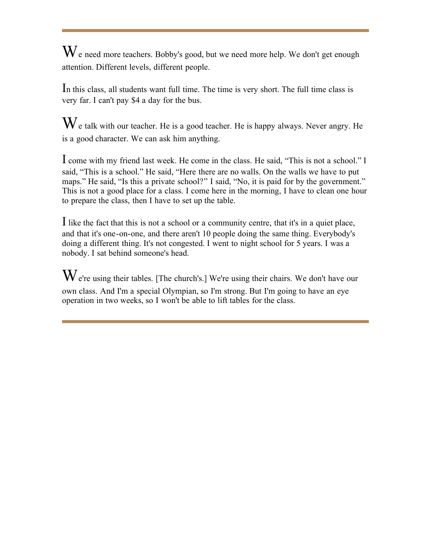We need more teachers. Bobby's good, but we need more help. We don't get enough attention. Different levels, different people.

In this class, all students want full time. The time is very short. The full time class is very far. I can't pay \$4 a day for the bus.

 $\mathbf W$  e talk with our teacher. He is a good teacher. He is happy always. Never angry. He is a good character. We can ask him anything.

I come with my friend last week. He come in the class. He said, "This is not a school." I said, "This is a school." He said, "Here there are no walls. On the walls we have to put maps." He said, "Is this a private school?" I said, "No, it is paid for by the government." This is not a good place for a class. I come here in the morning, I have to clean one hour to prepare the class, then I have to set up the table.

I like the fact that this is not a school or a community centre, that it's in a quiet place, and that it's one-on-one, and there aren't 10 people doing the same thing. Everybody's doing a different thing. It's not congested. I went to night school for 5 years. I was a nobody. I sat behind someone's head.

 $\rm W$ e're using their tables. [The church's.] We're using their chairs. We don't have our own class. And I'm a special Olympian, so I'm strong. But I'm going to have an eye operation in two weeks, so I won't be able to lift tables for the class.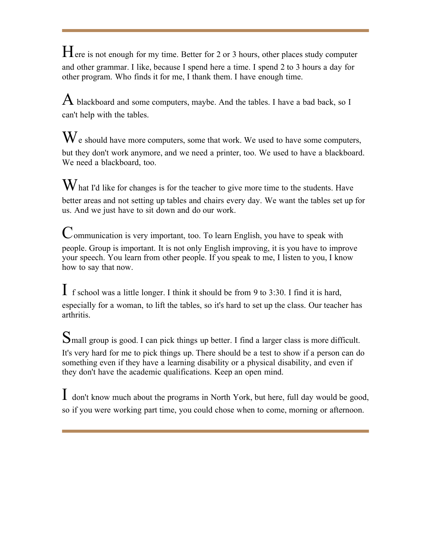Here is not enough for my time. Better for 2 or 3 hours, other places study computer and other grammar. I like, because I spend here a time. I spend 2 to 3 hours a day for other program. Who finds it for me, I thank them. I have enough time.

 $\overline{A}$  blackboard and some computers, maybe. And the tables, I have a bad back, so I can't help with the tables.

 $W_e$  should have more computers, some that work. We used to have some computers, but they don't work anymore, and we need a printer, too. We used to have a blackboard. We need a blackboard, too.

 $\rm W$  hat I'd like for changes is for the teacher to give more time to the students. Have better areas and not setting up tables and chairs every day. We want the tables set up for us. And we just have to sit down and do our work.

Communication is very important, too. To learn English, you have to speak with people. Group is important. It is not only English improving, it is you have to improve your speech. You learn from other people. If you speak to me, I listen to you, I know how to say that now.

I f school was a little longer. I think it should be from 9 to 3:30. I find it is hard, especially for a woman, to lift the tables, so it's hard to set up the class. Our teacher has arthritis.

Small group is good. I can pick things up better. I find a larger class is more difficult. It's very hard for me to pick things up. There should be a test to show if a person can do something even if they have a learning disability or a physical disability, and even if they don't have the academic qualifications. Keep an open mind.

I don't know much about the programs in North York, but here, full day would be good, so if you were working part time, you could chose when to come, morning or afternoon.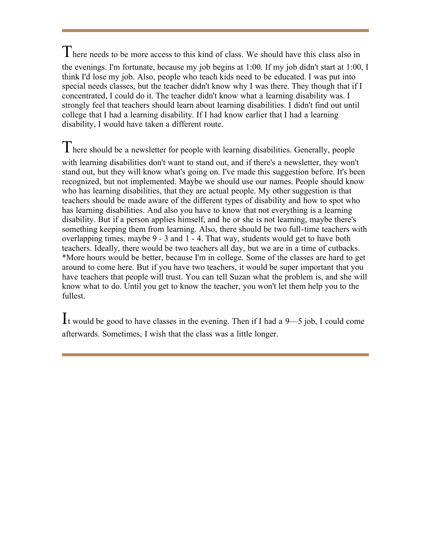There needs to be more access to this kind of class. We should have this class also in the evenings. I'm fortunate, because my job begins at 1:00. If my job didn't start at 1:00, I think I'd lose my job. Also, people who teach kids need to be educated. I was put into special needs classes, but the teacher didn't know why I was there. They though that if I concentrated, I could do it. The teacher didn't know what a learning disability was. I strongly feel that teachers should learn about learning disabilities. I didn't find out until college that I had a learning disability. If I had know earlier that I had a learning disability, I would have taken a different route.

There should be a newsletter for people with learning disabilities. Generally, people with learning disabilities don't want to stand out, and if there's a newsletter, they won't stand out, but they will know what's going on. I've made this suggestion before. It's been recognized, but not implemented. Maybe we should use our names. People should know who has learning disabilities, that they are actual people. My other suggestion is that teachers should be made aware of the different types of disability and how to spot who has learning disabilities. And also you have to know that not everything is a learning disability. But if a person applies himself, and he or she is not learning, maybe there's something keeping them from learning. Also, there should be two full-time teachers with overlapping times, maybe 9 - 3 and 1 - 4. That way, students would get to have both teachers. Ideally, there would be two teachers all day, but we are in a time of cutbacks. \*More hours would be better, because I'm in college. Some of the classes are hard to get around to come here. But if you have two teachers, it would be super important that you have teachers that people will trust. You can tell Suzan what the problem is, and she will know what to do. Until you get to know the teacher, you won't let them help you to the fullest.

It would be good to have classes in the evening. Then if I had a 9—5 job, I could come afterwards. Sometimes, I wish that the class was a little longer.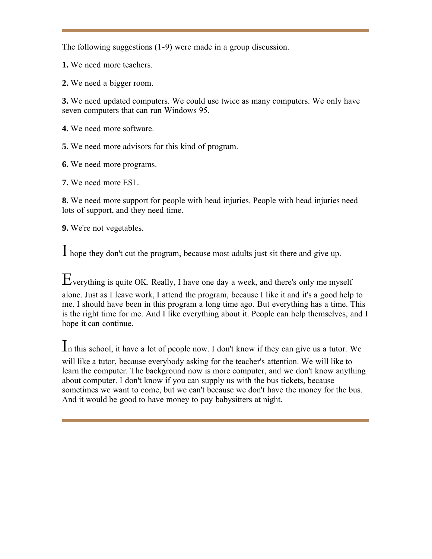The following suggestions (1-9) were made in a group discussion.

**1.** We need more teachers.

**2.** We need a bigger room.

**3.** We need updated computers. We could use twice as many computers. We only have seven computers that can run Windows 95.

**4.** We need more software.

**5.** We need more advisors for this kind of program.

**6.** We need more programs.

**7.** We need more ESL.

**8.** We need more support for people with head injuries. People with head injuries need lots of support, and they need time.

**9.** We're not vegetables.

I hope they don't cut the program, because most adults just sit there and give up.

Everything is quite OK. Really, I have one day a week, and there's only me myself alone. Just as I leave work, I attend the program, because I like it and it's a good help to me. I should have been in this program a long time ago. But everything has a time. This is the right time for me. And I like everything about it. People can help themselves, and I hope it can continue.

In this school, it have a lot of people now. I don't know if they can give us a tutor. We

will like a tutor, because everybody asking for the teacher's attention. We will like to learn the computer. The background now is more computer, and we don't know anything about computer. I don't know if you can supply us with the bus tickets, because sometimes we want to come, but we can't because we don't have the money for the bus. And it would be good to have money to pay babysitters at night.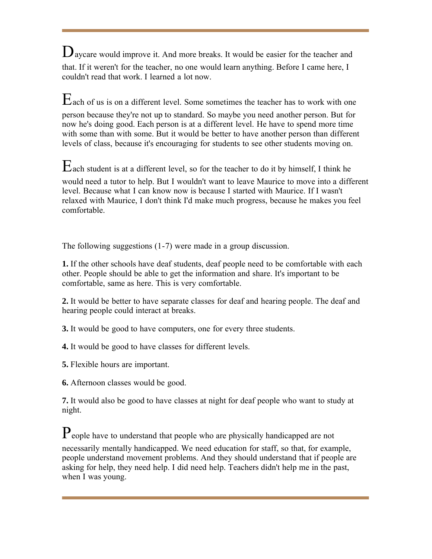$\mathbf{D}_{\text{average}}$  would improve it. And more breaks. It would be easier for the teacher and that. If it weren't for the teacher, no one would learn anything. Before I came here, I couldn't read that work. I learned a lot now.

Each of us is on a different level. Some sometimes the teacher has to work with one person because they're not up to standard. So maybe you need another person. But for now he's doing good. Each person is at a different level. He have to spend more time with some than with some. But it would be better to have another person than different levels of class, because it's encouraging for students to see other students moving on.

 $E$ ach student is at a different level, so for the teacher to do it by himself, I think he would need a tutor to help. But I wouldn't want to leave Maurice to move into a different level. Because what I can know now is because I started with Maurice. If I wasn't relaxed with Maurice, I don't think I'd make much progress, because he makes you feel comfortable.

The following suggestions (1-7) were made in a group discussion.

**1.** If the other schools have deaf students, deaf people need to be comfortable with each other. People should be able to get the information and share. It's important to be comfortable, same as here. This is very comfortable.

**2.** It would be better to have separate classes for deaf and hearing people. The deaf and hearing people could interact at breaks.

**3.** It would be good to have computers, one for every three students.

**4.** It would be good to have classes for different levels.

**5.** Flexible hours are important.

**6.** Afternoon classes would be good.

**7.** It would also be good to have classes at night for deaf people who want to study at night.

 $P_{\text{eople have to understand that people who are physically handicapped are not}$ necessarily mentally handicapped. We need education for staff, so that, for example, people understand movement problems. And they should understand that if people are asking for help, they need help. I did need help. Teachers didn't help me in the past, when I was young.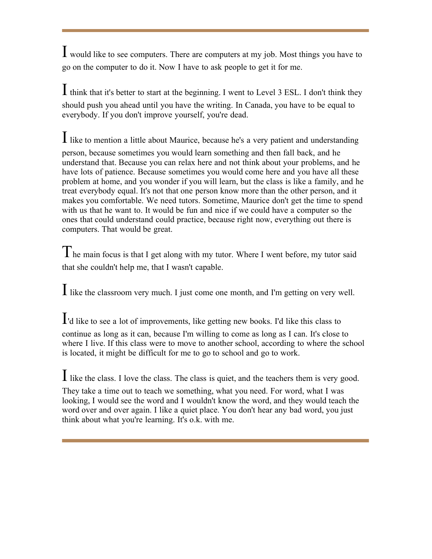I would like to see computers. There are computers at my job. Most things you have to go on the computer to do it. Now I have to ask people to get it for me.

I think that it's better to start at the beginning. I went to Level 3 ESL. I don't think they should push you ahead until you have the writing. In Canada, you have to be equal to everybody. If you don't improve yourself, you're dead.

I like to mention a little about Maurice, because he's a very patient and understanding person, because sometimes you would learn something and then fall back, and he understand that. Because you can relax here and not think about your problems, and he have lots of patience. Because sometimes you would come here and you have all these problem at home, and you wonder if you will learn, but the class is like a family, and he treat everybody equal. It's not that one person know more than the other person, and it makes you comfortable. We need tutors. Sometime, Maurice don't get the time to spend with us that he want to. It would be fun and nice if we could have a computer so the ones that could understand could practice, because right now, everything out there is computers. That would be great.

 $T$ he main focus is that I get along with my tutor. Where I went before, my tutor said that she couldn't help me, that I wasn't capable.

I like the classroom very much. I just come one month, and I'm getting on very well.

I'd like to see a lot of improvements, like getting new books. I'd like this class to continue as long as it can, because I'm willing to come as long as I can. It's close to where I live. If this class were to move to another school, according to where the school is located, it might be difficult for me to go to school and go to work.

I like the class. I love the class. The class is quiet, and the teachers them is very good.

They take a time out to teach we something, what you need. For word, what I was looking, I would see the word and I wouldn't know the word, and they would teach the word over and over again. I like a quiet place. You don't hear any bad word, you just think about what you're learning. It's o.k. with me.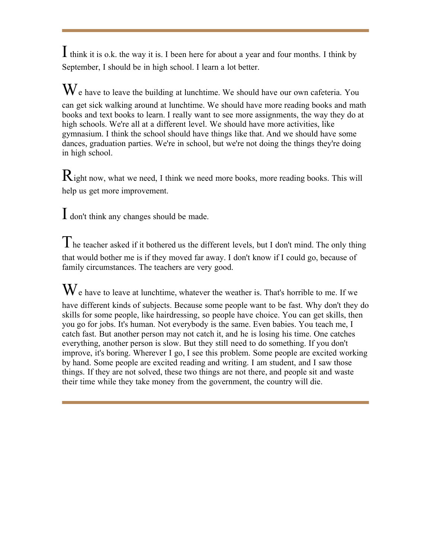$\mathbf I$  think it is o.k. the way it is. I been here for about a year and four months. I think by September, I should be in high school. I learn a lot better.

 $W_e$  have to leave the building at lunchtime. We should have our own cafeteria. You can get sick walking around at lunchtime. We should have more reading books and math books and text books to learn. I really want to see more assignments, the way they do at high schools. We're all at a different level. We should have more activities, like gymnasium. I think the school should have things like that. And we should have some dances, graduation parties. We're in school, but we're not doing the things they're doing in high school.

Right now, what we need, I think we need more books, more reading books. This will help us get more improvement.

I don't think any changes should be made.

 $\Gamma$  he teacher asked if it bothered us the different levels, but I don't mind. The only thing that would bother me is if they moved far away. I don't know if I could go, because of family circumstances. The teachers are very good.

 $\bf{W}$ e have to leave at lunchtime, whatever the weather is. That's horrible to me. If we have different kinds of subjects. Because some people want to be fast. Why don't they do skills for some people, like hairdressing, so people have choice. You can get skills, then you go for jobs. It's human. Not everybody is the same. Even babies. You teach me, I catch fast. But another person may not catch it, and he is losing his time. One catches everything, another person is slow. But they still need to do something. If you don't improve, it's boring. Wherever I go, I see this problem. Some people are excited working by hand. Some people are excited reading and writing. I am student, and I saw those things. If they are not solved, these two things are not there, and people sit and waste their time while they take money from the government, the country will die.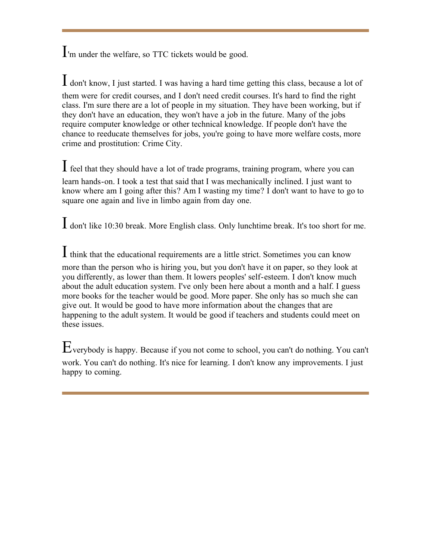I'm under the welfare, so TTC tickets would be good.

I don't know, I just started. I was having a hard time getting this class, because a lot of them were for credit courses, and I don't need credit courses. It's hard to find the right class. I'm sure there are a lot of people in my situation. They have been working, but if they don't have an education, they won't have a job in the future. Many of the jobs require computer knowledge or other technical knowledge. If people don't have the chance to reeducate themselves for jobs, you're going to have more welfare costs, more crime and prostitution: Crime City.

I feel that they should have a lot of trade programs, training program, where you can learn hands-on. I took a test that said that I was mechanically inclined. I just want to know where am I going after this? Am I wasting my time? I don't want to have to go to square one again and live in limbo again from day one.

I don't like 10:30 break. More English class. Only lunchtime break. It's too short for me.

I think that the educational requirements are a little strict. Sometimes you can know more than the person who is hiring you, but you don't have it on paper, so they look at you differently, as lower than them. It lowers peoples' self-esteem. I don't know much about the adult education system. I've only been here about a month and a half. I guess more books for the teacher would be good. More paper. She only has so much she can give out. It would be good to have more information about the changes that are happening to the adult system. It would be good if teachers and students could meet on these issues.

Everybody is happy. Because if you not come to school, you can't do nothing. You can't work. You can't do nothing. It's nice for learning. I don't know any improvements. I just happy to coming.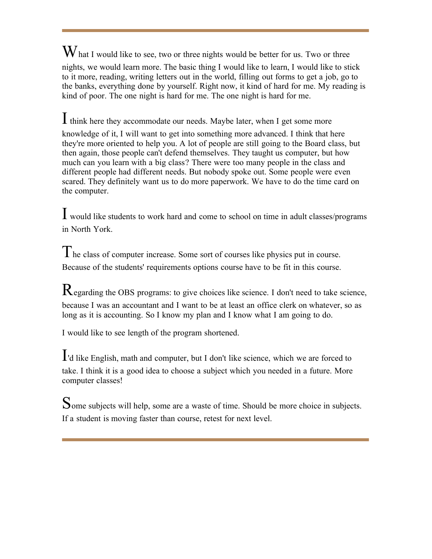$\mathbf W$  hat I would like to see, two or three nights would be better for us. Two or three nights, we would learn more. The basic thing I would like to learn, I would like to stick to it more, reading, writing letters out in the world, filling out forms to get a job, go to the banks, everything done by yourself. Right now, it kind of hard for me. My reading is kind of poor. The one night is hard for me. The one night is hard for me.

I think here they accommodate our needs. Maybe later, when I get some more

knowledge of it, I will want to get into something more advanced. I think that here they're more oriented to help you. A lot of people are still going to the Board class, but then again, those people can't defend themselves. They taught us computer, but how much can you learn with a big class? There were too many people in the class and different people had different needs. But nobody spoke out. Some people were even scared. They definitely want us to do more paperwork. We have to do the time card on the computer.

I would like students to work hard and come to school on time in adult classes/programs in North York.

The class of computer increase. Some sort of courses like physics put in course. Because of the students' requirements options course have to be fit in this course.

Regarding the OBS programs: to give choices like science. I don't need to take science, because I was an accountant and I want to be at least an office clerk on whatever, so as long as it is accounting. So I know my plan and I know what I am going to do.

I would like to see length of the program shortened.

I'd like English, math and computer, but I don't like science, which we are forced to take. I think it is a good idea to choose a subject which you needed in a future. More computer classes!

Some subjects will help, some are a waste of time. Should be more choice in subjects. If a student is moving faster than course, retest for next level.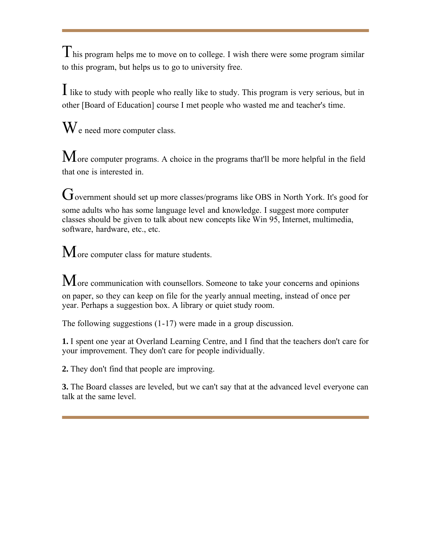$T$  his program helps me to move on to college. I wish there were some program similar to this program, but helps us to go to university free.

I like to study with people who really like to study. This program is very serious, but in other [Board of Education] course I met people who wasted me and teacher's time.

We need more computer class.

 $M$  ore computer programs. A choice in the programs that'll be more helpful in the field that one is interested in.

Government should set up more classes/programs like OBS in North York. It's good for some adults who has some language level and knowledge. I suggest more computer classes should be given to talk about new concepts like Win 95, Internet, multimedia, software, hardware, etc., etc.

More computer class for mature students.

 $M$  ore communication with counsellors. Someone to take your concerns and opinions on paper, so they can keep on file for the yearly annual meeting, instead of once per year. Perhaps a suggestion box. A library or quiet study room.

The following suggestions (1-17) were made in a group discussion.

**1.** I spent one year at Overland Learning Centre, and I find that the teachers don't care for your improvement. They don't care for people individually.

**2.** They don't find that people are improving.

**3.** The Board classes are leveled, but we can't say that at the advanced level everyone can talk at the same level.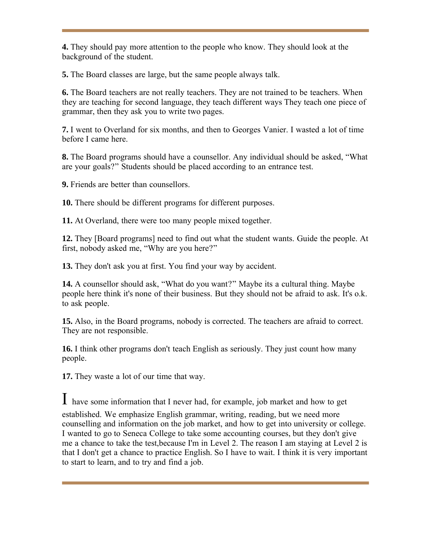**4.** They should pay more attention to the people who know. They should look at the background of the student.

**5.** The Board classes are large, but the same people always talk.

**6.** The Board teachers are not really teachers. They are not trained to be teachers. When they are teaching for second language, they teach different ways They teach one piece of grammar, then they ask you to write two pages.

**7.** I went to Overland for six months, and then to Georges Vanier. I wasted a lot of time before I came here.

**8.** The Board programs should have a counsellor. Any individual should be asked, "What are your goals?" Students should be placed according to an entrance test.

**9.** Friends are better than counsellors.

**10.** There should be different programs for different purposes.

**11.** At Overland, there were too many people mixed together.

**12.** They [Board programs] need to find out what the student wants. Guide the people. At first, nobody asked me, "Why are you here?"

**13.** They don't ask you at first. You find your way by accident.

**14.** A counsellor should ask, "What do you want?" Maybe its a cultural thing. Maybe people here think it's none of their business. But they should not be afraid to ask. It's o.k. to ask people.

**15.** Also, in the Board programs, nobody is corrected. The teachers are afraid to correct. They are not responsible.

**16.** I think other programs don't teach English as seriously. They just count how many people.

**17.** They waste a lot of our time that way.

I have some information that I never had, for example, job market and how to get established. We emphasize English grammar, writing, reading, but we need more counselling and information on the job market, and how to get into university or college. I wanted to go to Seneca College to take some accounting courses, but they don't give me a chance to take the test,because I'm in Level 2. The reason I am staying at Level 2 is that I don't get a chance to practice English. So I have to wait. I think it is very important to start to learn, and to try and find a job.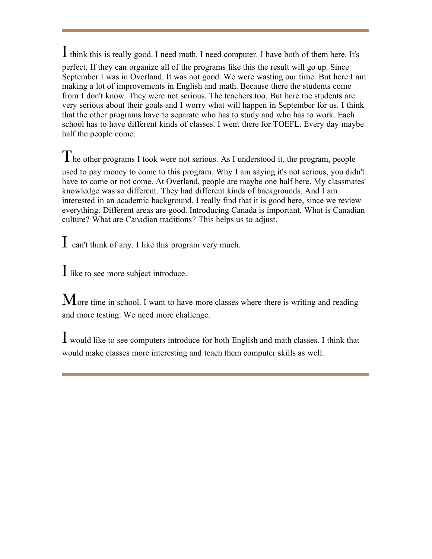I think this is really good. I need math. I need computer. I have both of them here. It's perfect. If they can organize all of the programs like this the result will go up. Since September I was in Overland. It was not good. We were wasting our time. But here I am making a lot of improvements in English and math. Because there the students come from I don't know. They were not serious. The teachers too. But here the students are very serious about their goals and I worry what will happen in September for us. I think that the other programs have to separate who has to study and who has to work. Each school has to have different kinds of classes. I went there for TOEFL. Every day maybe half the people come.

The other programs I took were not serious. As I understood it, the program, people used to pay money to come to this program. Why I am saying it's not serious, you didn't have to come or not come. At Overland, people are maybe one half here. My classmates' knowledge was so different. They had different kinds of backgrounds. And I am interested in an academic background. I really find that it is good here, since we review everything. Different areas are good. Introducing Canada is important. What is Canadian culture? What are Canadian traditions? This helps us to adjust.

I can't think of any. I like this program very much.

I like to see more subject introduce.

 $M$  ore time in school. I want to have more classes where there is writing and reading and more testing. We need more challenge.

I would like to see computers introduce for both English and math classes. I think that would make classes more interesting and teach them computer skills as well.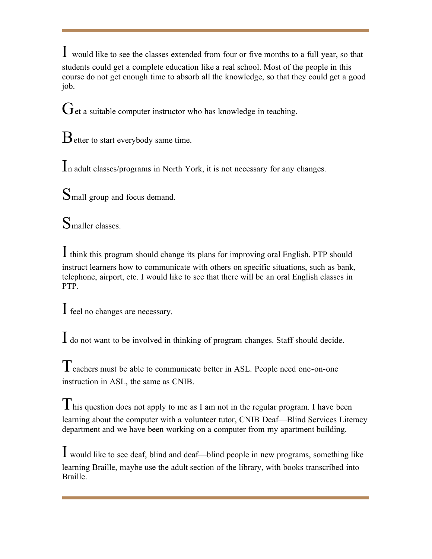I would like to see the classes extended from four or five months to a full year, so that students could get a complete education like a real school. Most of the people in this course do not get enough time to absorb all the knowledge, so that they could get a good job.

 $G$ et a suitable computer instructor who has knowledge in teaching.

**B**etter to start everybody same time.

In adult classes/programs in North York, it is not necessary for any changes.

Small group and focus demand.

Smaller classes.

I think this program should change its plans for improving oral English. PTP should instruct learners how to communicate with others on specific situations, such as bank, telephone, airport, etc. I would like to see that there will be an oral English classes in PTP.

I feel no changes are necessary.

I do not want to be involved in thinking of program changes. Staff should decide.

Teachers must be able to communicate better in ASL. People need one-on-one instruction in ASL, the same as CNIB.

 $T$  his question does not apply to me as I am not in the regular program. I have been learning about the computer with a volunteer tutor, CNIB Deaf—Blind Services Literacy department and we have been working on a computer from my apartment building.

I would like to see deaf, blind and deaf—blind people in new programs, something like learning Braille, maybe use the adult section of the library, with books transcribed into Braille.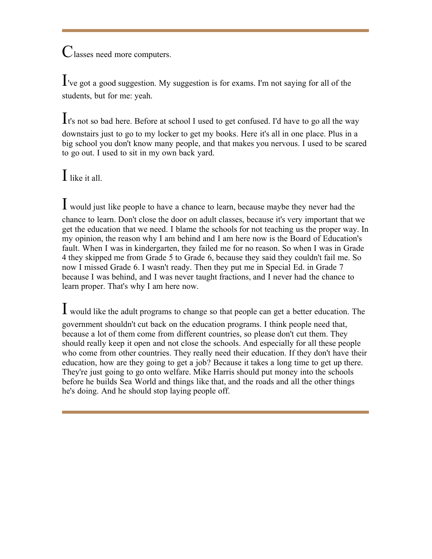Classes need more computers.

I've got a good suggestion. My suggestion is for exams. I'm not saying for all of the students, but for me: yeah.

It's not so bad here. Before at school I used to get confused. I'd have to go all the way downstairs just to go to my locker to get my books. Here it's all in one place. Plus in a big school you don't know many people, and that makes you nervous. I used to be scared to go out. I used to sit in my own back yard.

## I like it all.

I would just like people to have a chance to learn, because maybe they never had the chance to learn. Don't close the door on adult classes, because it's very important that we get the education that we need. I blame the schools for not teaching us the proper way. In my opinion, the reason why I am behind and I am here now is the Board of Education's fault. When I was in kindergarten, they failed me for no reason. So when I was in Grade 4 they skipped me from Grade 5 to Grade 6, because they said they couldn't fail me. So now I missed Grade 6. I wasn't ready. Then they put me in Special Ed. in Grade 7 because I was behind, and I was never taught fractions, and I never had the chance to learn proper. That's why I am here now.

I would like the adult programs to change so that people can get a better education. The government shouldn't cut back on the education programs. I think people need that, because a lot of them come from different countries, so please don't cut them. They should really keep it open and not close the schools. And especially for all these people who come from other countries. They really need their education. If they don't have their education, how are they going to get a job? Because it takes a long time to get up there. They're just going to go onto welfare. Mike Harris should put money into the schools before he builds Sea World and things like that, and the roads and all the other things he's doing. And he should stop laying people off.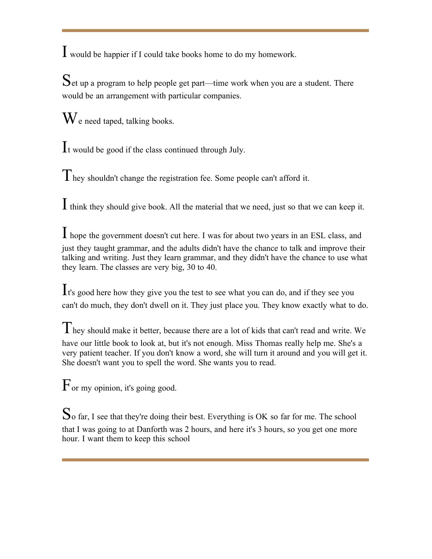I would be happier if I could take books home to do my homework.

Set up a program to help people get part—time work when you are a student. There would be an arrangement with particular companies.

 $W_e$  need taped, talking books.

It would be good if the class continued through July.

 $T$  hey shouldn't change the registration fee. Some people can't afford it.

I think they should give book. All the material that we need, just so that we can keep it.

I hope the government doesn't cut here. I was for about two years in an ESL class, and just they taught grammar, and the adults didn't have the chance to talk and improve their talking and writing. Just they learn grammar, and they didn't have the chance to use what they learn. The classes are very big, 30 to 40.

It's good here how they give you the test to see what you can do, and if they see you can't do much, they don't dwell on it. They just place you. They know exactly what to do.

 $T$  hey should make it better, because there are a lot of kids that can't read and write. We have our little book to look at, but it's not enough. Miss Thomas really help me. She's a very patient teacher. If you don't know a word, she will turn it around and you will get it. She doesn't want you to spell the word. She wants you to read.

 $F_{\text{or} \text{my opinion, it's going good.}}$ 

So far, I see that they're doing their best. Everything is OK so far for me. The school that I was going to at Danforth was 2 hours, and here it's 3 hours, so you get one more hour. I want them to keep this school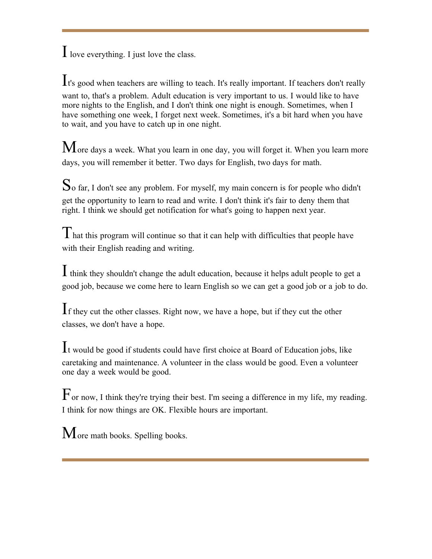$\mathbf I$  love everything. I just love the class.

It's good when teachers are willing to teach. It's really important. If teachers don't really want to, that's a problem. Adult education is very important to us. I would like to have more nights to the English, and I don't think one night is enough. Sometimes, when I have something one week, I forget next week. Sometimes, it's a bit hard when you have to wait, and you have to catch up in one night.

 $M$  ore days a week. What you learn in one day, you will forget it. When you learn more days, you will remember it better. Two days for English, two days for math.

So far, I don't see any problem. For myself, my main concern is for people who didn't get the opportunity to learn to read and write. I don't think it's fair to deny them that right. I think we should get notification for what's going to happen next year.

 $T<sub>hat</sub>$  that this program will continue so that it can help with difficulties that people have with their English reading and writing.

I think they shouldn't change the adult education, because it helps adult people to get a good job, because we come here to learn English so we can get a good job or a job to do.

If they cut the other classes. Right now, we have a hope, but if they cut the other classes, we don't have a hope.

It would be good if students could have first choice at Board of Education jobs, like caretaking and maintenance. A volunteer in the class would be good. Even a volunteer one day a week would be good.

 $F_{\text{or now, I think they're trying their best. I'm seeing a difference in my life, my reading.}$ I think for now things are OK. Flexible hours are important.

More math books. Spelling books.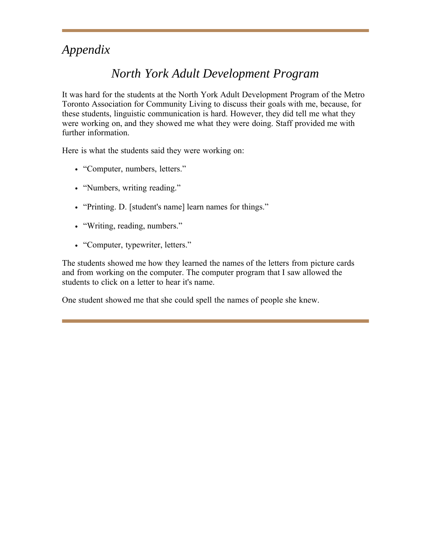## *Appendix*

## *North York Adult Development Program*

It was hard for the students at the North York Adult Development Program of the Metro Toronto Association for Community Living to discuss their goals with me, because, for these students, linguistic communication is hard. However, they did tell me what they were working on, and they showed me what they were doing. Staff provided me with further information.

Here is what the students said they were working on:

- "Computer, numbers, letters."
- "Numbers, writing reading."
- "Printing. D. [student's name] learn names for things."
- "Writing, reading, numbers."
- "Computer, typewriter, letters."

The students showed me how they learned the names of the letters from picture cards and from working on the computer. The computer program that I saw allowed the students to click on a letter to hear it's name.

One student showed me that she could spell the names of people she knew.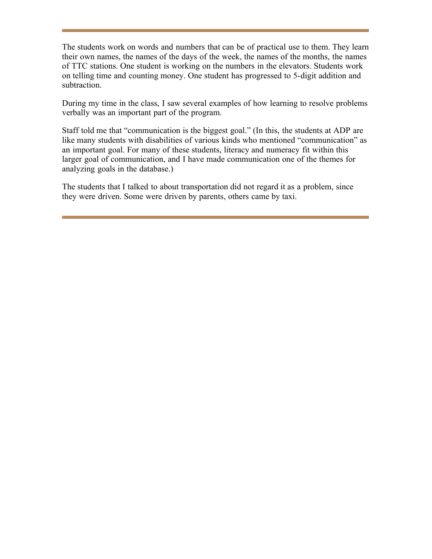The students work on words and numbers that can be of practical use to them. They learn their own names, the names of the days of the week, the names of the months, the names of TTC stations. One student is working on the numbers in the elevators. Students work on telling time and counting money. One student has progressed to 5-digit addition and subtraction.

During my time in the class, I saw several examples of how learning to resolve problems verbally was an important part of the program.

Staff told me that "communication is the biggest goal." (In this, the students at ADP are like many students with disabilities of various kinds who mentioned "communication" as an important goal. For many of these students, literacy and numeracy fit within this larger goal of communication, and I have made communication one of the themes for analyzing goals in the database.)

The students that I talked to about transportation did not regard it as a problem, since they were driven. Some were driven by parents, others came by taxi.